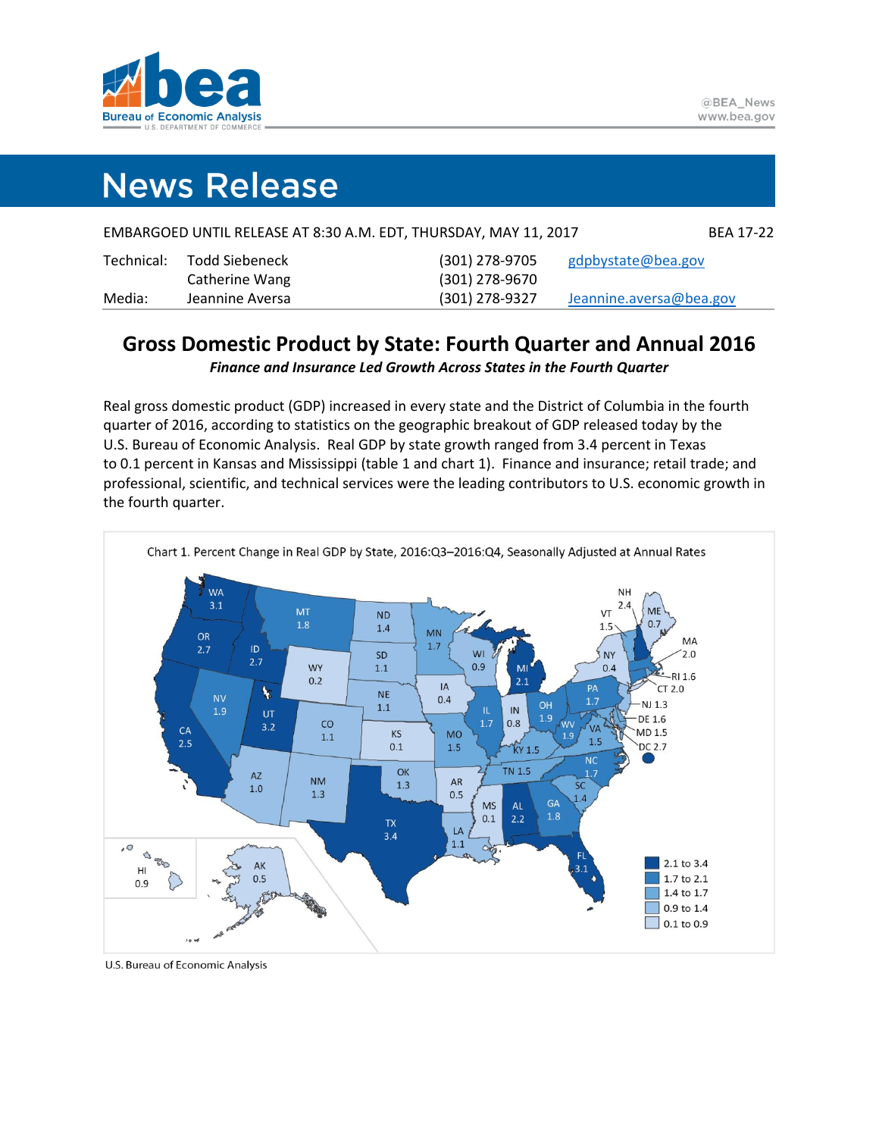

# **News Release**

|            |                 | EMBARGOED UNTIL RELEASE AT 8:30 A.M. EDT, THURSDAY, MAY 11, 2017 | <b>BEA 17-22</b>        |
|------------|-----------------|------------------------------------------------------------------|-------------------------|
| Technical: | Todd Siebeneck  | (301) 278-9705                                                   | gdpbystate@bea.gov      |
|            | Catherine Wang  | (301) 278-9670                                                   |                         |
| Media:     | Jeannine Aversa | $(301)$ 278-9327                                                 | Jeannine.aversa@bea.gov |

### **Gross Domestic Product by State: Fourth Quarter and Annual 2016**

*Finance and Insurance Led Growth Across States in the Fourth Quarter*

Real gross domestic product (GDP) increased in every state and the District of Columbia in the fourth quarter of 2016, according to statistics on the geographic breakout of GDP released today by the U.S. Bureau of Economic Analysis. Real GDP by state growth ranged from 3.4 percent in Texas to 0.1 percent in Kansas and Mississippi (table 1 and chart 1). Finance and insurance; retail trade; and professional, scientific, and technical services were the leading contributors to U.S. economic growth in the fourth quarter.



U.S. Bureau of Economic Analysis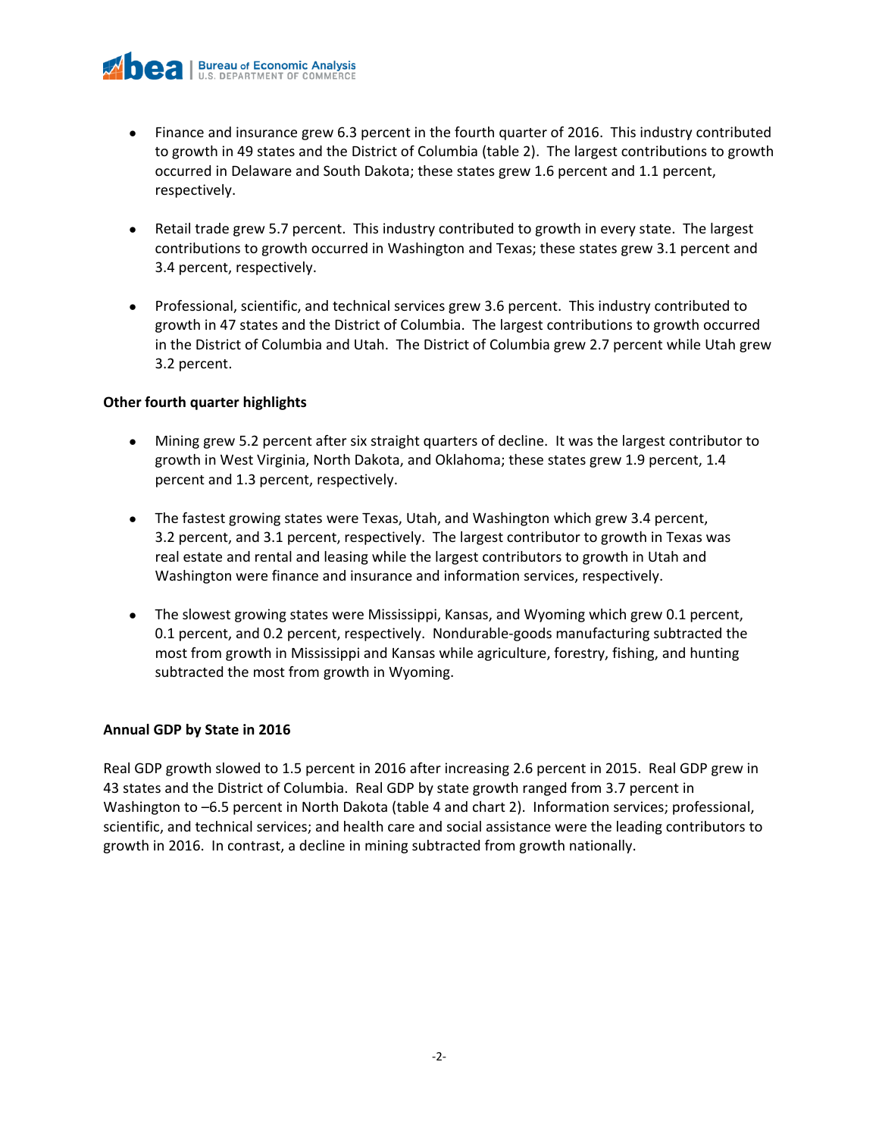- Finance and insurance grew 6.3 percent in the fourth quarter of 2016. This industry contributed to growth in 49 states and the District of Columbia (table 2). The largest contributions to growth occurred in Delaware and South Dakota; these states grew 1.6 percent and 1.1 percent, respectively.
- Retail trade grew 5.7 percent. This industry contributed to growth in every state. The largest contributions to growth occurred in Washington and Texas; these states grew 3.1 percent and 3.4 percent, respectively.
- Professional, scientific, and technical services grew 3.6 percent. This industry contributed to growth in 47 states and the District of Columbia. The largest contributions to growth occurred in the District of Columbia and Utah. The District of Columbia grew 2.7 percent while Utah grew 3.2 percent.

#### **Other fourth quarter highlights**

- Mining grew 5.2 percent after six straight quarters of decline. It was the largest contributor to growth in West Virginia, North Dakota, and Oklahoma; these states grew 1.9 percent, 1.4 percent and 1.3 percent, respectively.
- The fastest growing states were Texas, Utah, and Washington which grew 3.4 percent, 3.2 percent, and 3.1 percent, respectively. The largest contributor to growth in Texas was real estate and rental and leasing while the largest contributors to growth in Utah and Washington were finance and insurance and information services, respectively.
- The slowest growing states were Mississippi, Kansas, and Wyoming which grew 0.1 percent, 0.1 percent, and 0.2 percent, respectively. Nondurable-goods manufacturing subtracted the most from growth in Mississippi and Kansas while agriculture, forestry, fishing, and hunting subtracted the most from growth in Wyoming.

#### **Annual GDP by State in 2016**

Real GDP growth slowed to 1.5 percent in 2016 after increasing 2.6 percent in 2015. Real GDP grew in 43 states and the District of Columbia. Real GDP by state growth ranged from 3.7 percent in Washington to –6.5 percent in North Dakota (table 4 and chart 2). Information services; professional, scientific, and technical services; and health care and social assistance were the leading contributors to growth in 2016. In contrast, a decline in mining subtracted from growth nationally.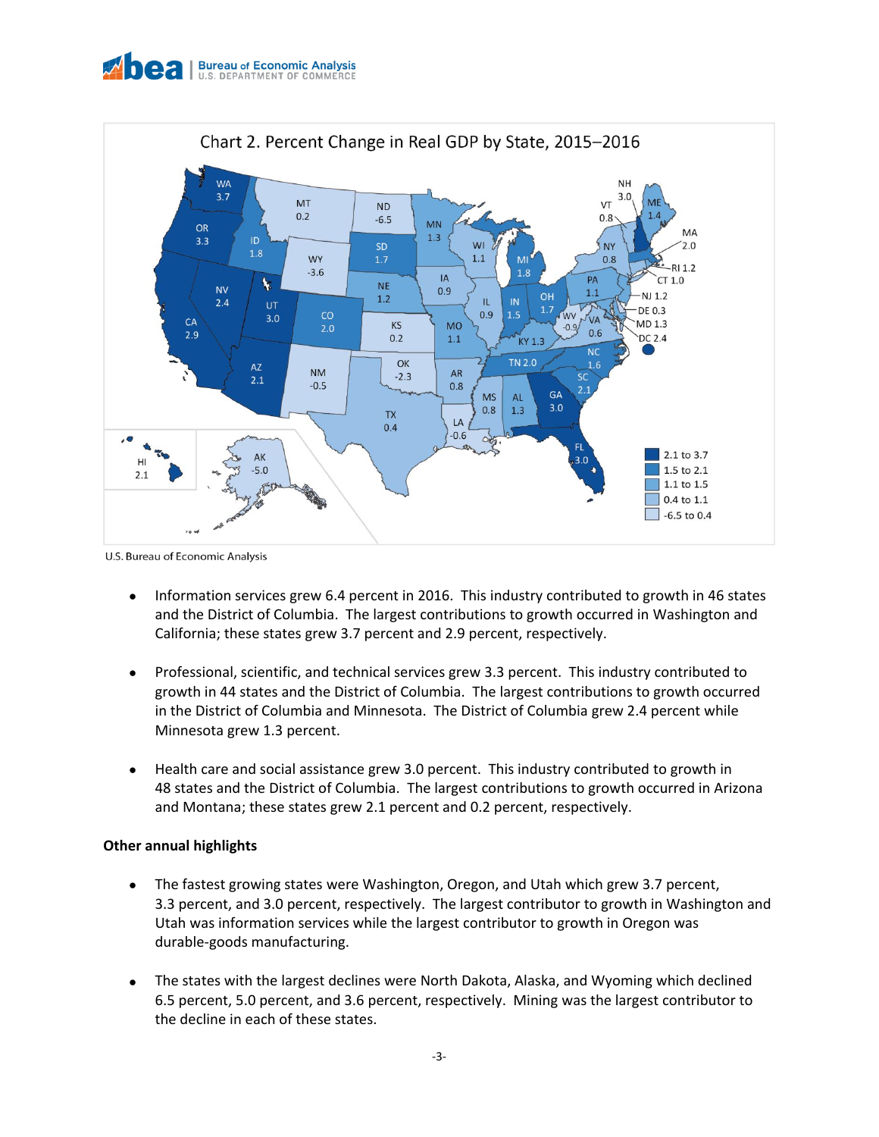

![](_page_2_Figure_1.jpeg)

U.S. Bureau of Economic Analysis

- Information services grew 6.4 percent in 2016. This industry contributed to growth in 46 states and the District of Columbia. The largest contributions to growth occurred in Washington and California; these states grew 3.7 percent and 2.9 percent, respectively.
- Professional, scientific, and technical services grew 3.3 percent. This industry contributed to growth in 44 states and the District of Columbia. The largest contributions to growth occurred in the District of Columbia and Minnesota. The District of Columbia grew 2.4 percent while Minnesota grew 1.3 percent.
- Health care and social assistance grew 3.0 percent. This industry contributed to growth in 48 states and the District of Columbia. The largest contributions to growth occurred in Arizona and Montana; these states grew 2.1 percent and 0.2 percent, respectively.

#### **Other annual highlights**

- The fastest growing states were Washington, Oregon, and Utah which grew 3.7 percent, 3.3 percent, and 3.0 percent, respectively. The largest contributor to growth in Washington and Utah was information services while the largest contributor to growth in Oregon was durable-goods manufacturing.
- The states with the largest declines were North Dakota, Alaska, and Wyoming which declined 6.5 percent, 5.0 percent, and 3.6 percent, respectively. Mining was the largest contributor to the decline in each of these states.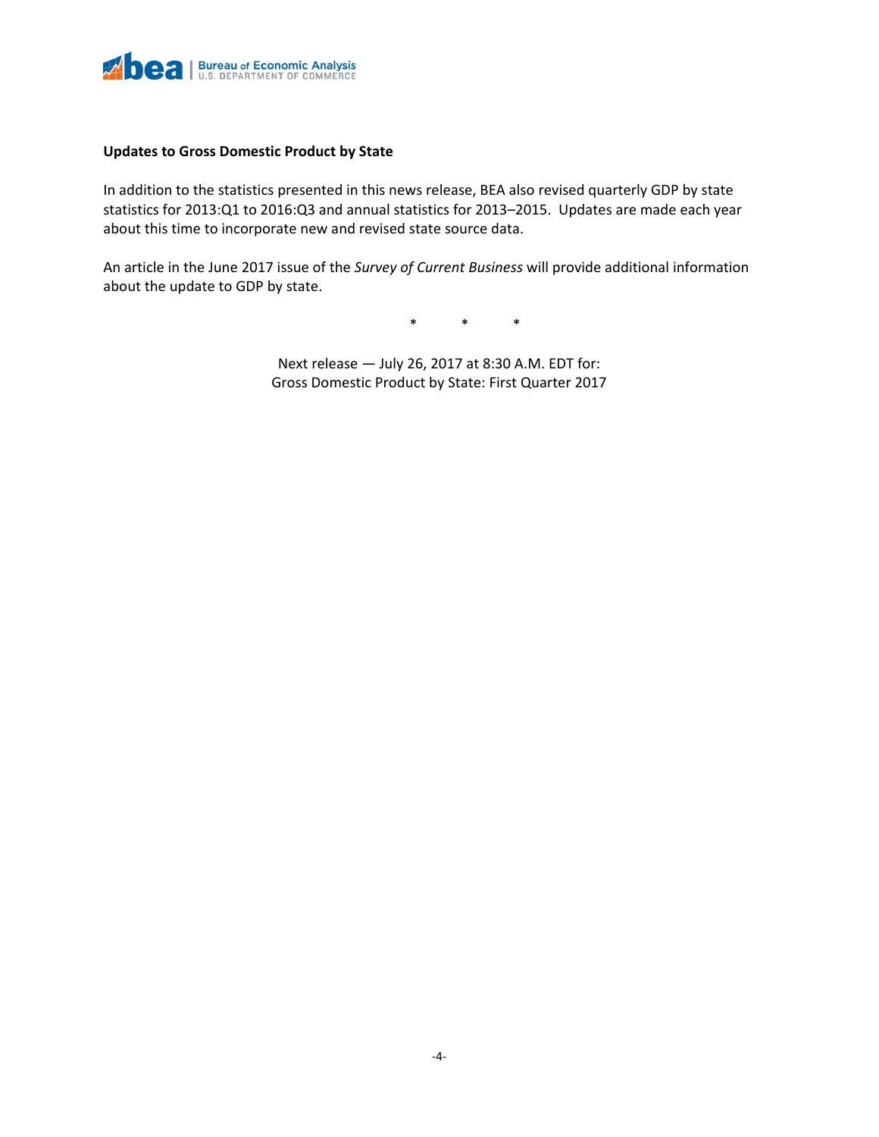![](_page_3_Picture_0.jpeg)

#### **Updates to Gross Domestic Product by State**

In addition to the statistics presented in this news release, BEA also revised quarterly GDP by state statistics for 2013:Q1 to 2016:Q3 and annual statistics for 2013–2015. Updates are made each year about this time to incorporate new and revised state source data.

An article in the June 2017 issue of the *Survey of Current Business* will provide additional information about the update to GDP by state.

\* \* \*

Next release — July 26, 2017 at 8:30 A.M. EDT for: Gross Domestic Product by State: First Quarter 2017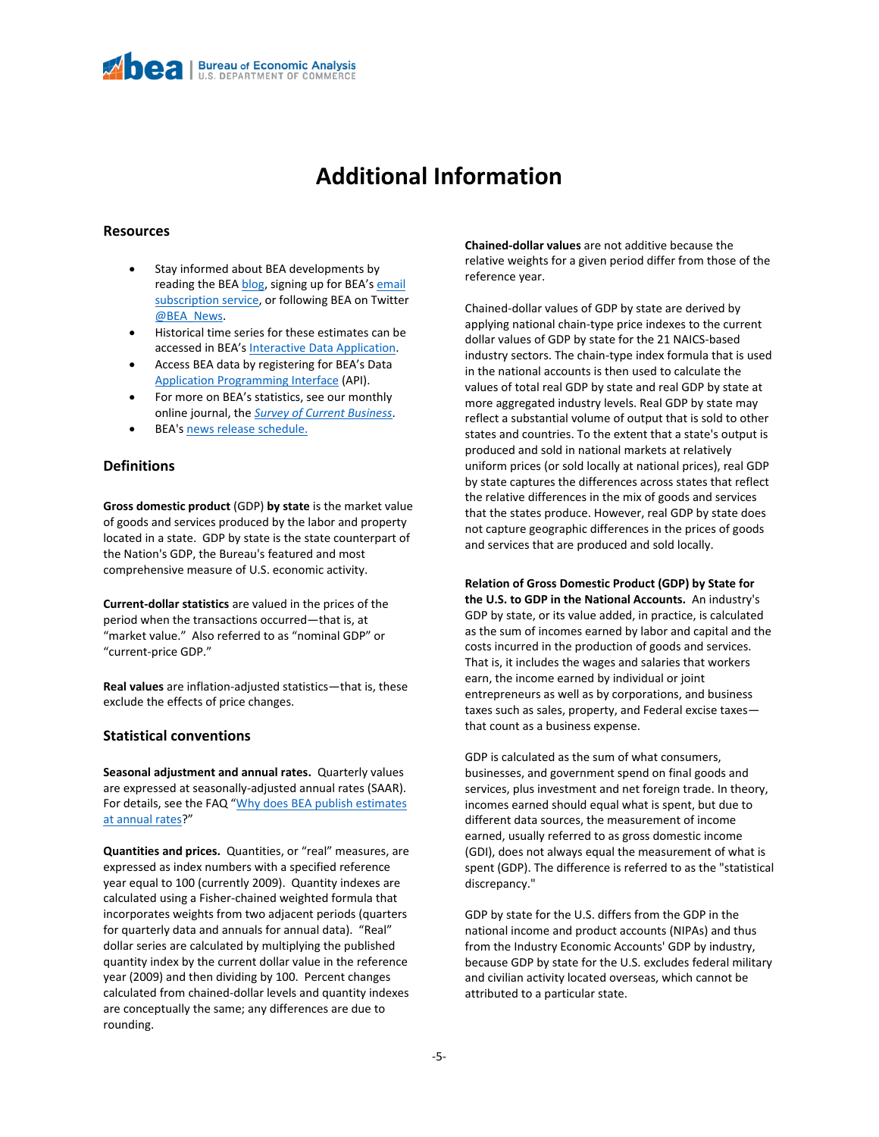### **Additional Information**

#### **Resources**

- Stay informed about BEA developments by reading the BE[A blog,](http://blog.bea.gov/) signing up for BEA's email [subscription service,](http://www.bea.gov/_subscribe/) or following BEA on Twitter [@BEA\\_News.](http://www.twitter.com/BEA_News)
- Historical time series for these estimates can be accessed in BEA's [Interactive Data Application.](http://www.bea.gov/itable/)
- Access BEA data by registering for BEA's Data [Application Programming Interface](http://www.bea.gov/API/signup/index.cfm) (API).
- For more on BEA's statistics, see our monthly online journal, the *[Survey of Current Business](http://www.bea.gov/scb/index.htm)*.
- BEA'[s news release schedule.](http://www.bea.gov/newsreleases/2016rd.htm)

#### **Definitions**

**Gross domestic product** (GDP) **by state** is the market value of goods and services produced by the labor and property located in a state. GDP by state is the state counterpart of the Nation's GDP, the Bureau's featured and most comprehensive measure of U.S. economic activity.

**Current-dollar statistics** are valued in the prices of the period when the transactions occurred—that is, at "market value." Also referred to as "nominal GDP" or "current-price GDP."

**Real values** are inflation-adjusted statistics—that is, these exclude the effects of price changes.

#### **Statistical conventions**

**Seasonal adjustment and annual rates.** Quarterly values are expressed at seasonally-adjusted annual rates (SAAR). For details, see the FAQ "Why does BEA publish estimates [at annual rates](http://www.bea.gov/faq/index.cfm?faq_id=121)?"

**Quantities and prices.** Quantities, or "real" measures, are expressed as index numbers with a specified reference year equal to 100 (currently 2009). Quantity indexes are calculated using a Fisher-chained weighted formula that incorporates weights from two adjacent periods (quarters for quarterly data and annuals for annual data). "Real" dollar series are calculated by multiplying the published quantity index by the current dollar value in the reference year (2009) and then dividing by 100. Percent changes calculated from chained-dollar levels and quantity indexes are conceptually the same; any differences are due to rounding.

**Chained-dollar values** are not additive because the relative weights for a given period differ from those of the reference year.

Chained-dollar values of GDP by state are derived by applying national chain-type price indexes to the current dollar values of GDP by state for the 21 NAICS-based industry sectors. The chain-type index formula that is used in the national accounts is then used to calculate the values of total real GDP by state and real GDP by state at more aggregated industry levels. Real GDP by state may reflect a substantial volume of output that is sold to other states and countries. To the extent that a state's output is produced and sold in national markets at relatively uniform prices (or sold locally at national prices), real GDP by state captures the differences across states that reflect the relative differences in the mix of goods and services that the states produce. However, real GDP by state does not capture geographic differences in the prices of goods and services that are produced and sold locally.

**Relation of Gross Domestic Product (GDP) by State for the U.S. to GDP in the National Accounts.** An industry's GDP by state, or its value added, in practice, is calculated as the sum of incomes earned by labor and capital and the costs incurred in the production of goods and services. That is, it includes the wages and salaries that workers earn, the income earned by individual or joint entrepreneurs as well as by corporations, and business taxes such as sales, property, and Federal excise taxes that count as a business expense.

GDP is calculated as the sum of what consumers, businesses, and government spend on final goods and services, plus investment and net foreign trade. In theory, incomes earned should equal what is spent, but due to different data sources, the measurement of income earned, usually referred to as gross domestic income (GDI), does not always equal the measurement of what is spent (GDP). The difference is referred to as the "statistical discrepancy."

GDP by state for the U.S. differs from the GDP in the national income and product accounts (NIPAs) and thus from the Industry Economic Accounts' GDP by industry, because GDP by state for the U.S. excludes federal military and civilian activity located overseas, which cannot be attributed to a particular state.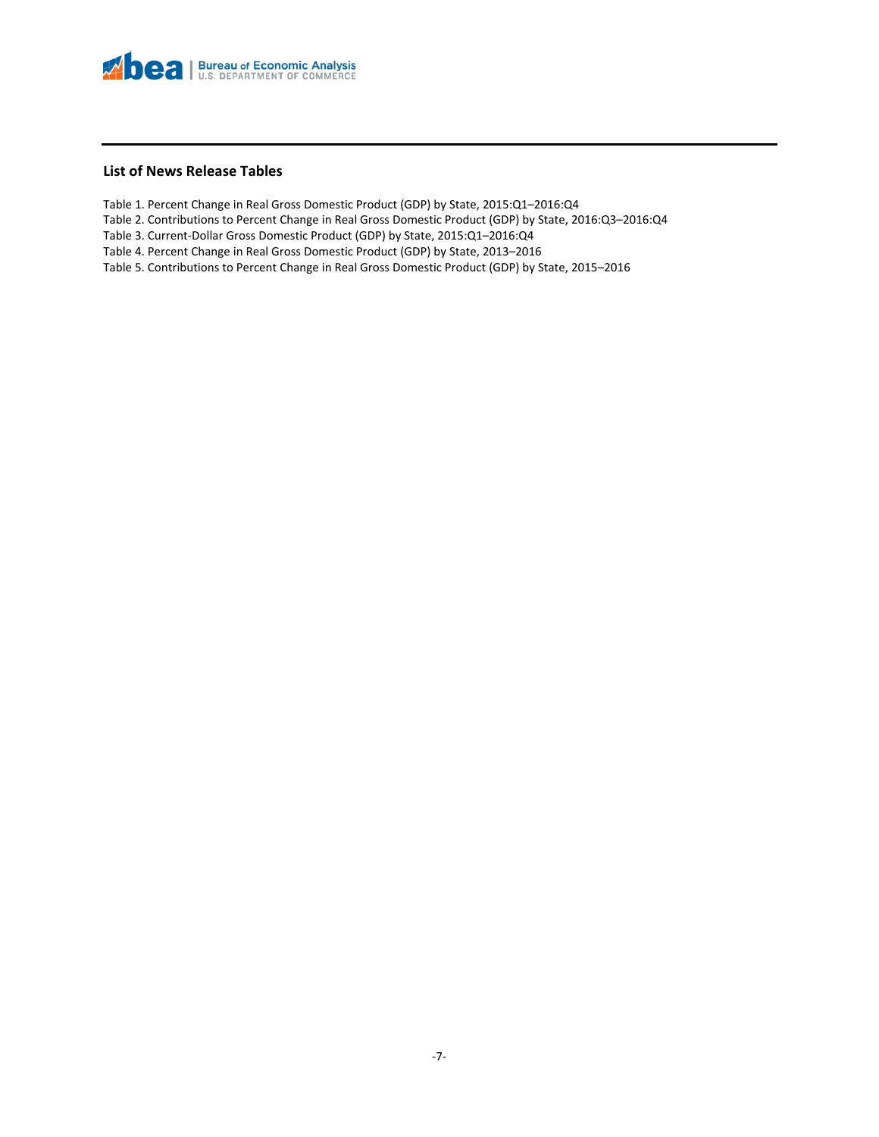![](_page_5_Picture_0.jpeg)

#### **List of News Release Tables**

- Table 1. Percent Change in Real Gross Domestic Product (GDP) by State, 2015:Q1–2016:Q4
- Table 2. Contributions to Percent Change in Real Gross Domestic Product (GDP) by State, 2016:Q3–2016:Q4
- Table 3. Current-Dollar Gross Domestic Product (GDP) by State, 2015:Q1–2016:Q4
- Table 4. Percent Change in Real Gross Domestic Product (GDP) by State, 2013–2016
- Table 5. Contributions to Percent Change in Real Gross Domestic Product (GDP) by State, 2015–2016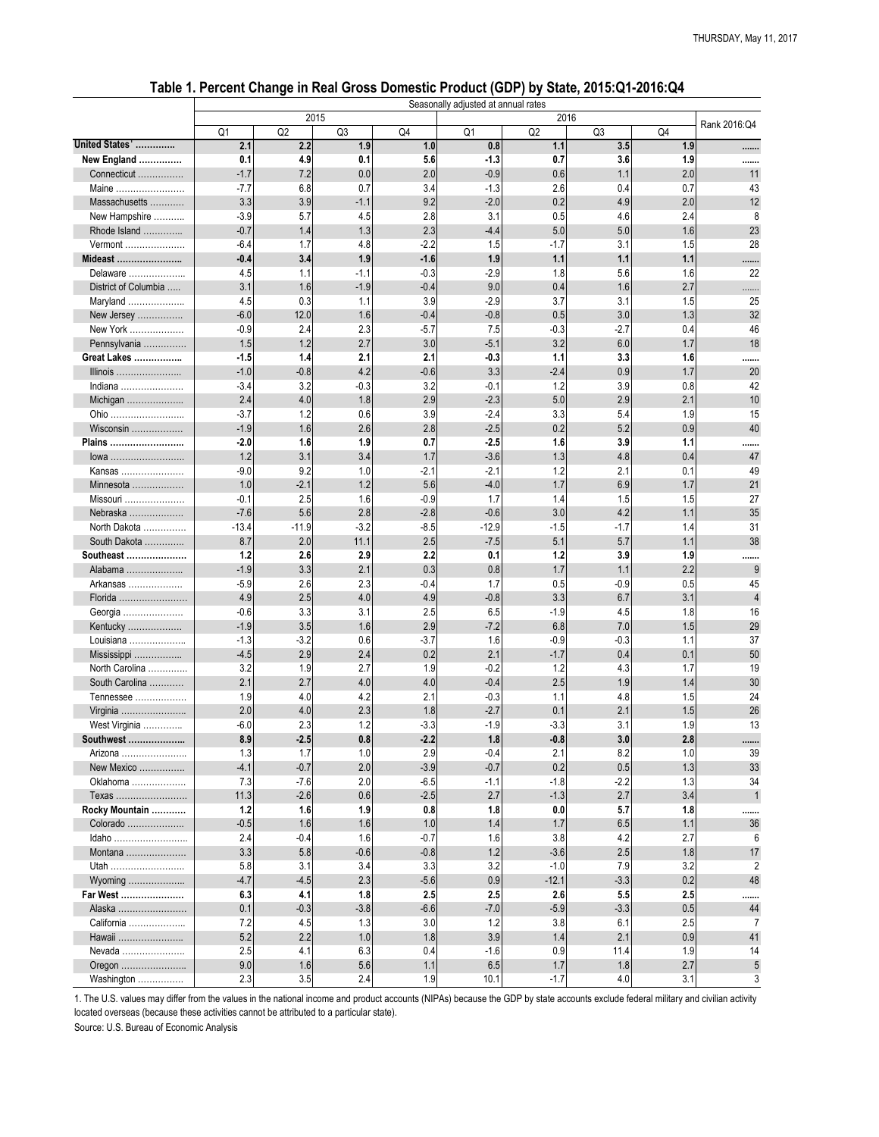|                             |                |               |                |                  | Seasonally adjusted at annual rates |               | - ,           |            |                |
|-----------------------------|----------------|---------------|----------------|------------------|-------------------------------------|---------------|---------------|------------|----------------|
|                             |                |               | 2015           |                  |                                     | 2016          |               |            | Rank 2016:Q4   |
|                             | Q <sub>1</sub> | Q2            | Q <sub>3</sub> | Q <sub>4</sub>   | Q <sub>1</sub>                      | Q2            | Q3            | Q4         |                |
| United States'              | 2.1            | 2.2           | 1.9            | 1.0              | 0.8                                 | 1.1           | 3.5           | 1.9        |                |
| New England                 | 0.1            | 4.9           | 0.1            | 5.6              | $-1.3$                              | 0.7           | 3.6           | 1.9        |                |
| Connecticut                 | $-1.7$         | 7.2           | 0.0            | 2.0              | $-0.9$                              | 0.6           | 1.1           | 2.0        | 11             |
| Maine                       | $-7.7$         | 6.8           | 0.7            | 3.4              | $-1.3$                              | 2.6           | 0.4           | 0.7        | 43             |
| Massachusetts               | 3.3            | 3.9           | $-1.1$         | 9.2              | $-2.0$                              | 0.2           | 4.9           | 2.0        | 12             |
| New Hampshire               | $-3.9$         | 5.7           | 4.5            | 2.8              | 3.1                                 | 0.5           | 4.6           | 2.4        | 8              |
| Rhode Island                | $-0.7$         | 1.4           | 1.3            | 2.3              | $-4.4$                              | 5.0           | 5.0           | 1.6        | 23             |
| Vermont                     | $-6.4$         | 1.7           | 4.8            | $-2.2$           | 1.5                                 | $-1.7$        | 3.1           | 1.5        | 28             |
| Mideast                     | $-0.4$         | 3.4           | 1.9            | $-1.6$           | 1.9                                 | 1.1           | 1.1           | 1.1        |                |
| Delaware                    | 4.5            | 1.1           | $-1.1$         | $-0.3$           | $-2.9$                              | 1.8           | 5.6           | 1.6        | 22             |
| District of Columbia        | 3.1            | 1.6           | $-1.9$<br>1.1  | $-0.4$<br>3.9    | 9.0                                 | 0.4<br>3.7    | 1.6<br>3.1    | 2.7        | .<br>25        |
| Maryland                    | 4.5<br>$-6.0$  | 0.3           |                |                  | $-2.9$                              |               |               | 1.5        | 32             |
| New Jersey<br>New York      |                | 12.0<br>2.4   | 1.6<br>2.3     | $-0.4$<br>$-5.7$ | $-0.8$                              | 0.5           | 3.0<br>$-2.7$ | 1.3        | 46             |
|                             | $-0.9$<br>1.5  | 1.2           | 2.7            | 3.0              | 7.5<br>$-5.1$                       | $-0.3$<br>3.2 | 6.0           | 0.4<br>1.7 | 18             |
| Pennsylvania<br>Great Lakes | $-1.5$         | 1.4           | 2.1            | 2.1              | $-0.3$                              | 1.1           | 3.3           | 1.6        |                |
| Illinois                    | $-1.0$         | $-0.8$        | 4.2            | $-0.6$           | 3.3                                 | $-2.4$        | 0.9           | 1.7        | <br>20         |
| Indiana                     | $-3.4$         | 3.2           | $-0.3$         | 3.2              | $-0.1$                              | 1.2           | 3.9           | 0.8        | 42             |
| Michigan                    | 2.4            | 4.0           | 1.8            | 2.9              | $-2.3$                              | 5.0           | 2.9           | 2.1        | 10             |
| Ohio                        | $-3.7$         | 1.2           | 0.6            | 3.9              | $-2.4$                              | 3.3           | 5.4           | 1.9        | 15             |
| Wisconsin                   | $-1.9$         | 1.6           | 2.6            | 2.8              | $-2.5$                              | 0.2           | 5.2           | 0.9        | 40             |
| Plains                      | $-2.0$         | 1.6           | 1.9            | 0.7              | $-2.5$                              | 1.6           | 3.9           | 1.1        |                |
| lowa                        | 1.2            | 3.1           | 3.4            | 1.7              | $-3.6$                              | 1.3           | 4.8           | 0.4        | <br>47         |
| Kansas                      | $-9.0$         | 9.2           | 1.0            | $-2.1$           | $-2.1$                              | 1.2           | 2.1           | 0.1        | 49             |
| Minnesota                   | 1.0            | $-2.1$        | 1.2            | 5.6              | $-4.0$                              | 1.7           | 6.9           | 1.7        | 21             |
| Missouri                    | $-0.1$         | 2.5           | 1.6            | $-0.9$           | 1.7                                 | 1.4           | 1.5           | 1.5        | 27             |
| Nebraska                    | $-7.6$         | 5.6           | 2.8            | $-2.8$           | $-0.6$                              | 3.0           | 4.2           | 1.1        | 35             |
| North Dakota                | $-13.4$        | $-11.9$       | $-3.2$         | $-8.5$           | $-12.9$                             | $-1.5$        | $-1.7$        | 1.4        | 31             |
| South Dakota                | 8.7            | 2.0           | 11.1           | 2.5              | $-7.5$                              | 5.1           | 5.7           | 1.1        | 38             |
| Southeast                   | 1.2            | 2.6           | 2.9            | 2.2              | 0.1                                 | 1.2           | 3.9           | 1.9        |                |
| Alabama                     | $-1.9$         | 3.3           | 2.1            | 0.3              | 0.8                                 | 1.7           | 1.1           | 2.2        | 9              |
| Arkansas                    | $-5.9$         | 2.6           | 2.3            | $-0.4$           | 1.7                                 | 0.5           | $-0.9$        | 0.5        | 45             |
| Florida                     | 4.9            | 2.5           | 4.0            | 4.9              | $-0.8$                              | 3.3           | 6.7           | 3.1        |                |
| Georgia                     | $-0.6$         | 3.3           | 3.1            | 2.5              | 6.5                                 | $-1.9$        | 4.5           | 1.8        | 16             |
| Kentucky                    | $-1.9$         | 3.5           | 1.6            | 2.9              | $-7.2$                              | 6.8           | 7.0           | 1.5        | 29             |
| Louisiana                   | $-1.3$         | $-3.2$        | 0.6            | $-3.7$           | 1.6                                 | $-0.9$        | $-0.3$        | 1.1        | 37             |
| Mississippi                 | $-4.5$         | 2.9           | 2.4            | 0.2              | 2.1                                 | $-1.7$        | 0.4           | 0.1        | 50             |
| North Carolina              | 3.2            | 1.9           | 2.7            | 1.9              | $-0.2$                              | 1.2           | 4.3           | 1.7        | 19             |
| South Carolina              | 2.1            | 2.7           | 4.0            | 4.0              | $-0.4$                              | 2.5           | 1.9           | 1.4        | 30             |
| Tennessee                   | 1.9            | 4.0           | 4.2            | 2.1              | $-0.3$                              | 1.1           | 4.8           | 1.5        | 24             |
| Virginia                    | 2.0            | 4.0           | 2.3            | 1.8              | $-2.7$                              | 0.1           | 2.1           | 1.5        | 26             |
| West Virginia               | $-6.0$         | 2.3           | 1.2            | $-3.3$           | $-1.9$                              | $-3.3$        | 3.1           | 1.9        | 13             |
| Southwest                   | 8.9            | $-2.5$        | 0.8            | $-2.2$           | 1.8                                 | $-0.8$        | 3.0           | 2.8        |                |
| Arizona<br>New Mexico       | 1.3<br>$-4.1$  | 1.7<br>$-0.7$ | 1.0<br>2.0     | 2.9<br>$-3.9$    | $-0.4$<br>$-0.7$                    | 2.1<br>0.2    | 8.2<br>0.5    | 1.0<br>1.3 | 39<br>33       |
| Oklahoma                    | 7.3            | $-7.6$        | 2.0            | $-6.5$           | $-1.1$                              | $-1.8$        | $-2.2$        | 1.3        | 34             |
| Texas                       | 11.3           | $-2.6$        | 0.6            | $-2.5$           | 2.7                                 | $-1.3$        | 2.7           | 3.4        |                |
| Rocky Mountain              | 1.2            | 1.6           | 1.9            | 0.8              | 1.8                                 | 0.0           | 5.7           | 1.8        |                |
| Colorado                    | $-0.5$         | 1.6           | 1.6            | 1.0              | 1.4                                 | 1.7           | 6.5           | 1.1        | <br>36         |
| Idaho                       | 2.4            | $-0.4$        | 1.6            | $-0.7$           | 1.6                                 | 3.8           | 4.2           | 2.7        | 6              |
| Montana                     | 3.3            | 5.8           | $-0.6$         | $-0.8$           | 1.2                                 | $-3.6$        | 2.5           | 1.8        | 17             |
| Utah                        | 5.8            | 3.1           | 3.4            | 3.3              | 3.2                                 | $-1.0$        | 7.9           | 3.2        | $\overline{2}$ |
| Wyoming                     | $-4.7$         | $-4.5$        | 2.3            | $-5.6$           | 0.9                                 | $-12.1$       | $-3.3$        | 0.2        | 48             |
| Far West                    | 6.3            | 4.1           | 1.8            | 2.5              | 2.5                                 | 2.6           | 5.5           | 2.5        |                |
| Alaska                      | 0.1            | $-0.3$        | $-3.8$         | $-6.6$           | $-7.0$                              | $-5.9$        | $-3.3$        | 0.5        | 44             |
| California                  | 7.2            | 4.5           | 1.3            | 3.0              | 1.2                                 | 3.8           | 6.1           | 2.5        |                |
| Hawaii                      | 5.2            | 2.2           | 1.0            | 1.8              | 3.9                                 | 1.4           | 2.1           | 0.9        | 41             |
| Nevada                      | 2.5            | 4.1           | 6.3            | 0.4              | $-1.6$                              | 0.9           | 11.4          | 1.9        | 14             |
| Oregon                      | 9.0            | 1.6           | 5.6            | 1.1              | 6.5                                 | 1.7           | 1.8           | 2.7        | $\overline{5}$ |
| Washington                  | 2.3            | 3.5           | 2.4            | 1.9              | 10.1                                | $-1.7$        | 4.0           | 3.1        | 3              |

1. The U.S. values may differ from the values in the national income and product accounts (NIPAs) because the GDP by state accounts exclude federal military and civilian activity located overseas (because these activities cannot be attributed to a particular state).

Source: U.S. Bureau of Economic Analysis

### **Table 1. Percent Change in Real Gross Domestic Product (GDP) by State, 2015:Q1-2016:Q4**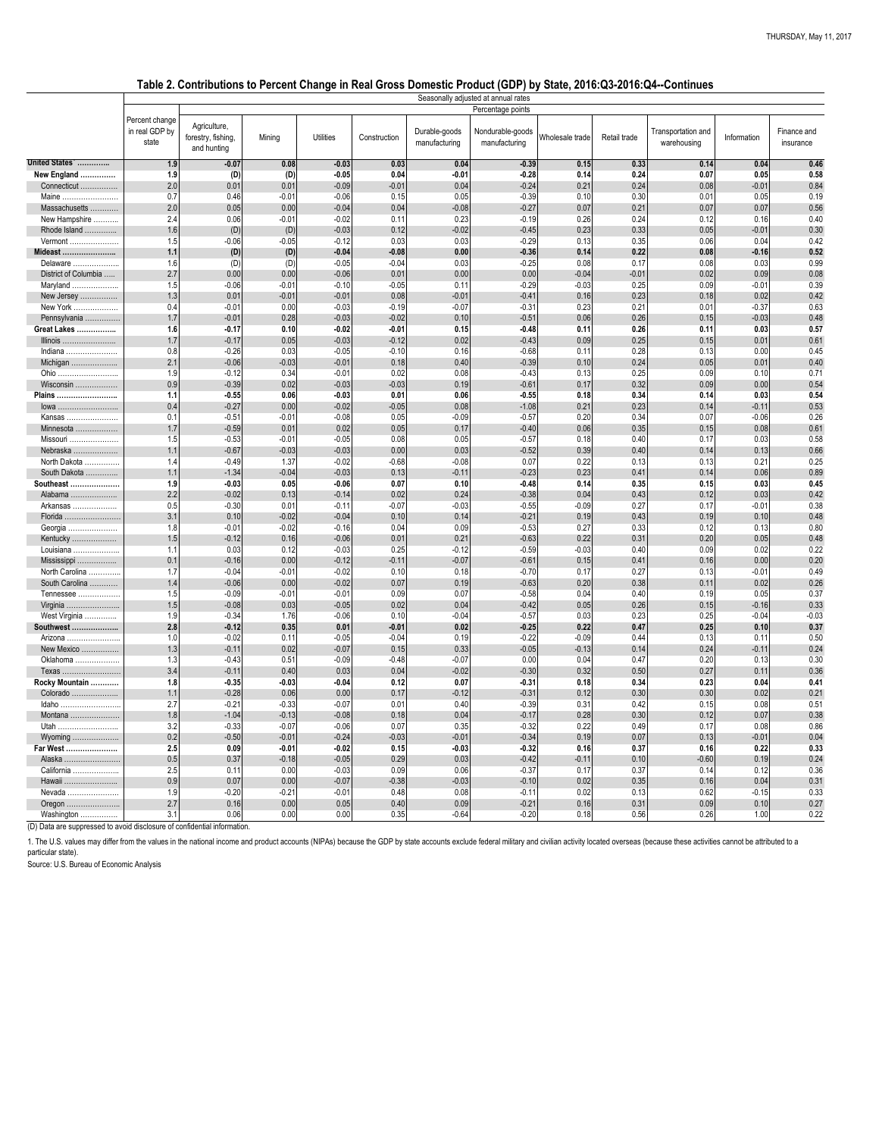1. The U.S. values may differ from the values in the national income and product accounts (NIPAs) because the GDP by state accounts exclude federal military and civilian activity located overseas (because these activities particular state).

|                                                                                         |                                           | Percentage points                                 |                 |                    |                    |                                |                                   |                 |              |                                   |                 |                          |
|-----------------------------------------------------------------------------------------|-------------------------------------------|---------------------------------------------------|-----------------|--------------------|--------------------|--------------------------------|-----------------------------------|-----------------|--------------|-----------------------------------|-----------------|--------------------------|
|                                                                                         | Percent change<br>in real GDP by<br>state | Agriculture,<br>forestry, fishing,<br>and hunting | Mining          | <b>Utilities</b>   | Construction       | Durable-goods<br>manufacturing | Nondurable-goods<br>manufacturing | Wholesale trade | Retail trade | Transportation and<br>warehousing | Information     | Finance and<br>insurance |
| United States'                                                                          | 1.9                                       | $-0.07$                                           | 0.08            | $-0.03$            | 0.03               | 0.04                           | $-0.39$                           | 0.15            | 0.33         | 0.14                              | 0.04            | 0.46                     |
| New England                                                                             | 1.9                                       | (D)                                               | (D)             | $-0.05$            | 0.04               | $-0.01$                        | $-0.28$                           | 0.14            | 0.24         | 0.07                              | 0.05            | 0.58                     |
| Connecticut                                                                             | 2.0                                       | 0.01                                              | 0.01            | $-0.09$            | $-0.01$            | 0.04                           | $-0.24$                           | 0.21            | 0.24         | 0.08                              | $-0.01$         | 0.84                     |
| Maine                                                                                   | 0.7                                       | 0.46                                              | $-0.01$         | $-0.06$            | 0.15               | 0.05                           | $-0.39$                           | 0.10            | 0.30         | 0.01                              | 0.05            | 0.19                     |
| Massachusetts                                                                           | 2.0                                       | 0.05                                              | 0.00            | $-0.04$            | 0.04               | $-0.08$                        | $-0.27$                           | 0.07            | 0.21         | 0.07                              | 0.07            | 0.56                     |
| New Hampshire                                                                           | 2.4                                       | 0.06                                              | $-0.01$         | $-0.02$            | 0.11               | 0.23                           | $-0.19$                           | 0.26            | 0.24         | 0.12                              | 0.16            | 0.40                     |
| Rhode Island                                                                            | 1.6                                       | (D)                                               | (D)             | $-0.03$            | 0.12               | $-0.02$                        | $-0.45$                           | 0.23            | 0.33         | 0.05                              | $-0.01$         | 0.30                     |
| Vermont                                                                                 | 1.5                                       | $-0.06$                                           | $-0.05$         | $-0.12$            | 0.03               | 0.03                           | $-0.29$                           | 0.13            | 0.35         | 0.06                              | 0.04            | 0.42                     |
| Mideast                                                                                 | 1.1<br>1.6                                | (D)                                               | (D)             | $-0.04$<br>$-0.05$ | $-0.08$<br>$-0.04$ | 0.00<br>0.03                   | $-0.36$<br>$-0.25$                | 0.14<br>0.08    | 0.22<br>0.17 | 0.08<br>0.08                      | $-0.16$<br>0.03 | 0.52<br>0.99             |
| Delaware<br>District of Columbia                                                        | 2.7                                       | (D)<br>0.00                                       | (D)<br>0.00     | $-0.06$            | 0.01               | 0.00                           | 0.00                              | $-0.04$         | $-0.01$      | 0.02                              | 0.09            | 0.08                     |
| Maryland                                                                                | 1.5                                       | $-0.06$                                           | $-0.01$         | $-0.10$            | $-0.05$            | 0.11                           | $-0.29$                           | $-0.03$         | 0.25         | 0.09                              | $-0.01$         | 0.39                     |
| New Jersey                                                                              | 1.3                                       | 0.01                                              | $-0.01$         | $-0.01$            | 0.08               | $-0.01$                        | $-0.41$                           | 0.16            | 0.23         | 0.18                              | 0.02            | 0.42                     |
| New York                                                                                | 0.4                                       | $-0.01$                                           | 0.00            | $-0.03$            | $-0.19$            | $-0.07$                        | $-0.31$                           | 0.23            | 0.21         | 0.01                              | $-0.37$         | 0.63                     |
| Pennsylvania                                                                            | 1.7                                       | $-0.01$                                           | 0.28            | $-0.03$            | $-0.02$            | 0.10                           | $-0.51$                           | 0.06            | 0.26         | 0.15                              | $-0.03$         | 0.48                     |
| Great Lakes                                                                             | 1.6                                       | $-0.17$                                           | 0.10            | $-0.02$            | $-0.01$            | 0.15                           | $-0.48$                           | 0.11            | 0.26         | 0.11                              | 0.03            | 0.57                     |
| Illinois                                                                                | 1.7                                       | $-0.17$                                           | 0.05            | $-0.03$            | $-0.12$            | 0.02                           | $-0.43$                           | 0.09            | 0.25         | 0.15                              | 0.01            | 0.61                     |
| Indiana                                                                                 | 0.8                                       | $-0.26$                                           | 0.03            | $-0.05$            | $-0.10$            | 0.16                           | $-0.68$                           | 0.11            | 0.28         | 0.13                              | 0.00            | 0.45                     |
| Michigan                                                                                | 2.1                                       | $-0.06$                                           | $-0.03$         | $-0.01$            | 0.18               | 0.40                           | $-0.39$                           | 0.10            | 0.24         | 0.05                              | 0.01            | 0.40                     |
| Ohio                                                                                    | 1.9                                       | $-0.12$                                           | 0.34            | $-0.01$            | 0.02               | 0.08                           | $-0.43$                           | 0.13            | 0.25         | 0.09                              | 0.10            | 0.71                     |
| Wisconsin                                                                               | 0.9                                       | $-0.39$                                           | 0.02            | $-0.03$            | $-0.03$            | 0.19                           | $-0.61$                           | 0.17            | 0.32         | 0.09                              | 0.00            | 0.54                     |
| Plains                                                                                  | 1.1                                       | $-0.55$                                           | 0.06            | $-0.03$            | 0.01               | 0.06                           | $-0.55$                           | 0.18            | 0.34         | 0.14                              | 0.03            | 0.54                     |
| lowa                                                                                    | 0.4                                       | $-0.27$                                           | 0.00            | $-0.02$            | $-0.05$            | 0.08                           | $-1.08$                           | 0.21            | 0.23         | 0.14                              | $-0.11$         | 0.53                     |
| Kansas<br>Minnesota                                                                     | 0.1<br>1.7                                | $-0.51$<br>$-0.59$                                | $-0.01$<br>0.01 | $-0.08$<br>0.02    | 0.05<br>0.05       | $-0.09$<br>0.17                | $-0.57$<br>$-0.40$                | 0.20<br>0.06    | 0.34<br>0.35 | 0.07<br>0.15                      | $-0.06$<br>0.08 | 0.26<br>0.61             |
| Missouri                                                                                | 1.5                                       | $-0.53$                                           | $-0.01$         | $-0.05$            | 0.08               | 0.05                           | $-0.57$                           | 0.18            | 0.40         | 0.17                              | 0.03            | 0.58                     |
| Nebraska                                                                                |                                           | $-0.67$                                           | $-0.03$         | $-0.03$            | 0.00               | 0.03                           | $-0.52$                           | 0.39            | 0.40         | 0.14                              | 0.13            | 0.66                     |
| North Dakota                                                                            | 1.4                                       | $-0.49$                                           | 1.37            | $-0.02$            | $-0.68$            | $-0.08$                        | 0.07                              | 0.22            | 0.13         | 0.13                              | 0.21            | 0.25                     |
| South Dakota                                                                            | 1.1                                       | $-1.34$                                           | $-0.04$         | $-0.03$            | 0.13               | $-0.11$                        | $-0.23$                           | 0.23            | 0.41         | 0.14                              | 0.06            | 0.89                     |
| Southeast                                                                               | 1.9                                       | $-0.03$                                           | 0.05            | $-0.06$            | 0.07               | 0.10                           | $-0.48$                           | 0.14            | 0.35         | 0.15                              | 0.03            | 0.45                     |
| Alabama                                                                                 | 2.2                                       | $-0.02$                                           | 0.13            | $-0.14$            | 0.02               | 0.24                           | $-0.38$                           | 0.04            | 0.43         | 0.12                              | 0.03            | 0.42                     |
| Arkansas                                                                                | 0.5                                       | $-0.30$                                           | 0.01            | $-0.11$            | $-0.07$            | $-0.03$                        | $-0.55$                           | $-0.09$         | 0.27         | 0.17                              | $-0.01$         | 0.38                     |
| Florida                                                                                 | 3.1                                       | 0.10                                              | $-0.02$         | $-0.04$            | 0.10               | 0.14                           | $-0.21$                           | 0.19            | 0.43         | 0.19                              | 0.10            | 0.48                     |
| Georgia                                                                                 | 1.8                                       | $-0.01$                                           | $-0.02$         | $-0.16$            | 0.04               | 0.09                           | $-0.53$                           | 0.27            | 0.33         | 0.12                              | 0.13            | 0.80                     |
| Kentucky                                                                                | 1.5                                       | $-0.12$                                           | 0.16            | $-0.06$            | 0.01               | 0.21                           | $-0.63$                           | 0.22            | 0.31         | 0.20                              | 0.05            | 0.48                     |
| Louisiana.<br>.                                                                         | 1.1                                       | 0.03                                              | 0.12            | $-0.03$            | 0.25               | $-0.12$                        | $-0.59$                           | $-0.03$         | 0.40         | 0.09                              | 0.02            | 0.22                     |
| Mississippi<br>North Carolina                                                           | 0.1<br>1.7                                | $-0.16$<br>$-0.04$                                | 0.00<br>$-0.01$ | $-0.12$<br>$-0.02$ | $-0.11$<br>0.10    | $-0.07$<br>0.18                | $-0.61$<br>$-0.70$                | 0.15<br>0.17    | 0.41<br>0.27 | 0.16<br>0.13                      | 0.00<br>$-0.01$ | 0.20<br>0.49             |
| South Carolina                                                                          | 1.4                                       | $-0.06$                                           | 0.00            | $-0.02$            | 0.07               | 0.19                           | $-0.63$                           | 0.20            | 0.38         | 0.11                              | 0.02            | 0.26                     |
| Tennessee                                                                               | 1.5                                       | $-0.09$                                           | $-0.01$         | $-0.01$            | 0.09               | 0.07                           | $-0.58$                           | 0.04            | 0.40         | 0.19                              | 0.05            | 0.37                     |
| Virginia                                                                                | 1.5                                       | $-0.08$                                           | 0.03            | $-0.05$            | 0.02               | 0.04                           | $-0.42$                           | 0.05            | 0.26         | 0.15                              | $-0.16$         | 0.33                     |
| West Virginia                                                                           | 1.9                                       | $-0.34$                                           | 1.76            | $-0.06$            | 0.10               | $-0.04$                        | $-0.57$                           | 0.03            | 0.23         | 0.25                              | $-0.04$         | $-0.03$                  |
| Southwest                                                                               | 2.8                                       | $-0.12$                                           | 0.35            | 0.01               | $-0.01$            | 0.02                           | $-0.25$                           | 0.22            | 0.47         | 0.25                              | 0.10            | 0.37                     |
| Arizona                                                                                 | 1.0                                       | $-0.02$                                           | 0.11            | $-0.05$            | $-0.04$            | 0.19                           | $-0.22$                           | $-0.09$         | 0.44         | 0.13                              | 0.11            | 0.50                     |
| New Mexico                                                                              | 1.3                                       | $-0.11$                                           | 0.02            | $-0.07$            | 0.15               | 0.33                           | $-0.05$                           | $-0.13$         | 0.14         | 0.24                              | $-0.11$         | 0.24                     |
| Oklahoma                                                                                | 1.3                                       | $-0.43$                                           | 0.51            | $-0.09$            | $-0.48$            | $-0.07$                        | 0.00                              | 0.04            | 0.47         | 0.20                              | 0.13            | 0.30                     |
| Texas                                                                                   | 3.4                                       | $-0.11$                                           | 0.40            | 0.03               | 0.04               | $-0.02$                        | $-0.30$                           | 0.32            | 0.50         | 0.27                              | 0.11            | 0.36                     |
| Rocky Mountain                                                                          | 1.8                                       | $-0.35$                                           | $-0.03$         | $-0.04$            | 0.12               | 0.07                           | $-0.31$                           | 0.18            | 0.34         | 0.23                              | 0.04            | 0.41                     |
| Colorado                                                                                | 1.1<br>2.7                                | $-0.28$<br>$-0.21$                                | 0.06<br>$-0.33$ | 0.00<br>$-0.07$    | 0.17<br>0.01       | $-0.12$<br>0.40                | $-0.31$<br>$-0.39$                | 0.12<br>0.31    | 0.30<br>0.42 | 0.30<br>0.15                      | 0.02<br>0.08    | 0.21<br>0.51             |
| Idaho<br>Montana                                                                        | 1.8                                       | $-1.04$                                           | $-0.13$         | $-0.08$            | 0.18               | 0.04                           | $-0.17$                           | 0.28            | 0.30         | 0.12                              | 0.07            | 0.38                     |
| Utah                                                                                    | 3.2                                       | $-0.33$                                           | $-0.07$         | $-0.06$            | 0.07               | 0.35                           | $-0.32$                           | 0.22            | 0.49         | 0.17                              | 0.08            | 0.86                     |
| Wyoming                                                                                 | 0.2                                       | $-0.50$                                           | $-0.01$         | $-0.24$            | $-0.03$            | $-0.01$                        | $-0.34$                           | 0.19            | 0.07         | 0.13                              | $-0.01$         | 0.04                     |
| Far West                                                                                | 2.5                                       | 0.09                                              | $-0.01$         | $-0.02$            | 0.15               | $-0.03$                        | $-0.32$                           | 0.16            | 0.37         | 0.16                              | 0.22            | 0.33                     |
| Alaska                                                                                  | 0.5                                       | 0.37                                              | $-0.18$         | $-0.05$            | 0.29               | 0.03                           | $-0.42$                           | $-0.11$         | 0.10         | $-0.60$                           | 0.19            | 0.24                     |
| California                                                                              | 2.5                                       | 0.11                                              | 0.00            | $-0.03$            | 0.09               | 0.06                           | $-0.37$                           | 0.17            | 0.37         | 0.14                              | 0.12            | 0.36                     |
| Hawaii                                                                                  | 0.9                                       | 0.07                                              | 0.00            | $-0.07$            | $-0.38$            | $-0.03$                        | $-0.10$                           | 0.02            | 0.35         | 0.16                              | 0.04            | 0.31                     |
| Nevada                                                                                  | 1.9                                       | $-0.20$                                           | $-0.21$         | $-0.01$            | 0.48               | 0.08                           | $-0.11$                           | 0.02            | 0.13         | 0.62                              | $-0.15$         | 0.33                     |
| Oregon                                                                                  | 2.7                                       | 0.16                                              | 0.00            | 0.05               | 0.40               | 0.09                           | $-0.21$                           | 0.16            | 0.31         | 0.09                              | 0.10            | 0.27                     |
| Washington<br>$(D)$ Data are suppressed to avoid disclosure of confidential information | 3.1                                       | 0.06                                              | 0.00            | 0.00               | 0.35               | $-0.64$                        | $-0.20$                           | 0.18            | 0.56         | 0.26                              | 1.00            | 0.22                     |

|                               |                                                                                                   |                 |              |                                   |             | THURSDAY, May 11, 2017   |
|-------------------------------|---------------------------------------------------------------------------------------------------|-----------------|--------------|-----------------------------------|-------------|--------------------------|
|                               | omestic Product (GDP) by State, 2016:Q3-2016:Q4--Continues<br>Seasonally adjusted at annual rates |                 |              |                                   |             |                          |
|                               | Percentage points                                                                                 |                 |              |                                   |             |                          |
| urable-goods<br>nanufacturing | Nondurable-goods<br>manufacturing                                                                 | Wholesale trade | Retail trade | Transportation and<br>warehousing | Information | Finance and<br>insurance |
| 0.04                          | $-0.39$                                                                                           | 0.15            | 0.33         | 0.14                              | 0.04        | 0.46                     |

Source: U.S. Bureau of Economic Analysis

### **Table 2. Contributions to Percent Change in Real Gross Domestic Product (GDP) by State, 2016:Q3-2016:Q4--Continues**

(D) Data are suppressed to avoid disclosure of confidential information.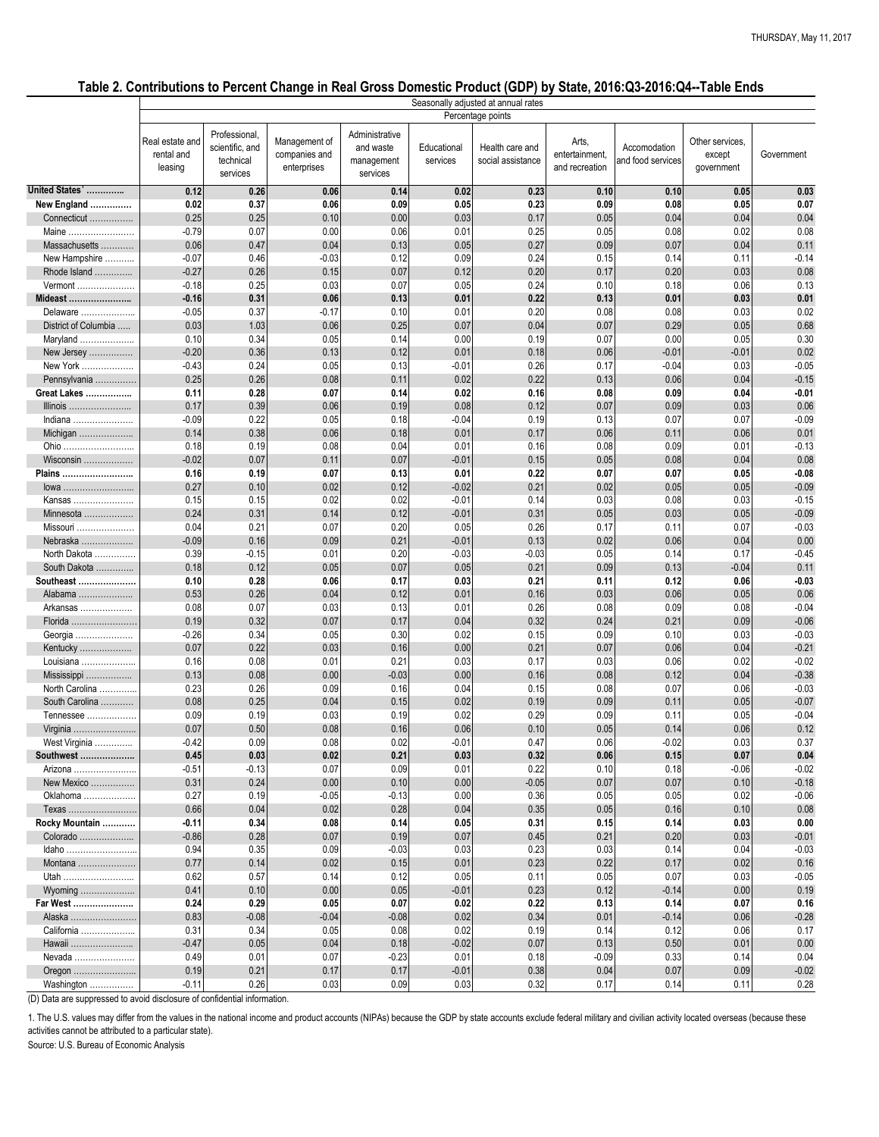| Percentage points<br>Professional,<br>Administrative<br>Management of<br>Other services,<br>Real estate and<br>Arts,<br>Health care and<br>Educational<br>scientific, and<br>Accomodation<br>and waste<br>rental and<br>companies and<br>entertainment,<br>Government<br>except<br>technical<br>social assistance<br>and food services<br>services<br>management<br>leasing<br>enterprises<br>and recreation<br>government<br>services<br>services<br>0.26<br>0.06<br>0.14<br>0.02<br>0.23<br>0.10<br>0.10<br>0.03<br>0.12<br>0.05<br>0.02<br>0.37<br>0.07<br>New England<br>0.06<br>0.09<br>0.05<br>0.23<br>0.09<br>0.08<br>0.05<br>0.04<br>0.25<br>0.25<br>0.10<br>0.03<br>0.17<br>0.00<br>0.05<br>0.04<br>0.04<br>Connecticut<br>$-0.79$<br>0.07<br>0.00<br>0.02<br>0.08<br>0.06<br>0.01<br>0.25<br>0.05<br>0.08<br>Maine<br>0.11<br>0.04<br>0.27<br>Massachusetts<br>0.06<br>0.47<br>0.13<br>0.05<br>0.09<br>0.07<br>0.04<br>$-0.14$<br>$-0.03$<br>$-0.07$<br>0.46<br>0.12<br>0.09<br>0.24<br>0.15<br>0.14<br>0.11<br>New Hampshire<br>0.08<br>$-0.27$<br>0.26<br>0.15<br>0.07<br>0.12<br>0.20<br>0.17<br>0.20<br>Rhode Island<br>0.03<br>0.13<br>$-0.18$<br>0.25<br>0.03<br>0.24<br>0.18<br>0.06<br>0.07<br>0.05<br>0.10<br>Vermont<br>0.01<br>0.31<br>0.01<br>$-0.16$<br>0.06<br>0.13<br>0.22<br>0.13<br>0.01<br>0.03<br>Mideast<br>0.02<br>0.37<br>$-0.17$<br>0.10<br>0.20<br>0.08<br>0.03<br>$-0.05$<br>0.01<br>0.08<br>Delaware<br>0.68<br>0.06<br>District of Columbia<br>0.03<br>1.03<br>0.25<br>0.07<br>0.04<br>0.07<br>0.29<br>0.05<br>0.10<br>0.34<br>0.05<br>0.19<br>0.30<br>Maryland<br>0.14<br>0.00<br>0.07<br>0.00<br>0.05<br>0.02<br>0.36<br>0.13<br>0.01<br>$-0.20$<br>0.12<br>0.18<br>0.06<br>$-0.01$<br>$-0.01$<br>New Jersey<br>0.24<br>0.17<br>$-0.05$<br>New York<br>$-0.43$<br>0.05<br>0.13<br>$-0.01$<br>0.26<br>$-0.04$<br>0.03<br>$-0.15$<br>0.25<br>0.26<br>0.08<br>0.11<br>0.02<br>0.22<br>0.13<br>Pennsylvania<br>0.06<br>0.04<br>0.11<br>0.28<br>0.07<br>0.14<br>$-0.01$<br><b>Great Lakes </b><br>0.02<br>0.16<br>0.08<br>0.09<br>0.04<br>0.06<br>0.17<br>0.39<br>0.06<br>0.19<br>0.08<br>0.12<br>0.07<br>0.09<br>0.03<br>Illinois<br>$-0.09$<br>0.22<br>0.13<br>$-0.09$<br>0.05<br>0.18<br>$-0.04$<br>0.19<br>0.07<br>0.07<br>Indiana<br>0.38<br>0.01<br>0.14<br>0.06<br>0.01<br>0.17<br>0.06<br>0.11<br>0.18<br>0.06<br>Michigan<br>0.18<br>0.19<br>0.08<br>0.08<br>$-0.13$<br>0.04<br>0.01<br>0.16<br>0.09<br>0.01<br>Ohio<br>0.08<br>Wisconsin<br>$-0.02$<br>0.07<br>0.11<br>0.07<br>$-0.01$<br>0.15<br>0.05<br>0.08<br>0.04<br>0.16<br>0.19<br>0.07<br>0.13<br>0.22<br>0.07<br>0.07<br>0.05<br>$-0.08$<br>0.01<br>Plains<br>0.27<br>0.02<br>$-0.09$<br>0.10<br>0.12<br>$-0.02$<br>0.21<br>0.02<br>0.05<br>0.05<br>lowa<br>$-0.15$<br>0.02<br>0.02<br>$-0.01$<br>0.14<br>0.03<br>0.08<br>0.15<br>0.15<br>0.03<br>Kansas<br>$-0.09$<br>Minnesota<br>0.12<br>0.24<br>0.31<br>0.14<br>$-0.01$<br>0.31<br>0.05<br>0.03<br>0.05<br>Missouri.<br>0.21<br>0.07<br>0.17<br>0.11<br>$-0.03$<br>0.04<br>0.20<br>0.05<br>0.26<br>0.07<br>.<br>0.09<br>0.00<br>$-0.09$<br>0.16<br>$-0.01$<br>0.13<br>0.02<br>Nebraska<br>0.21<br>0.06<br>0.04<br>$-0.45$<br>North Dakota<br>0.39<br>$-0.15$<br>0.01<br>0.20<br>$-0.03$<br>$-0.03$<br>0.05<br>0.14<br>0.17<br>0.11<br>South Dakota<br>0.18<br>0.12<br>0.05<br>0.05<br>0.21<br>0.09<br>0.13<br>0.07<br>$-0.04$<br>0.10<br>0.28<br>0.06<br>0.17<br>0.21<br>0.12<br>$-0.03$<br>Southeast<br>0.03<br>0.11<br>0.06<br>0.06<br>0.26<br>0.04<br>0.12<br>0.16<br>0.53<br>0.01<br>0.03<br>0.06<br>0.05<br>Alabama<br>0.08<br>0.07<br>0.03<br>$-0.04$<br>0.13<br>0.01<br>0.26<br>0.08<br>0.09<br>0.08<br>Arkansas<br>$-0.06$<br>0.32<br>0.07<br>0.21<br>Florida<br>0.19<br>0.17<br>0.04<br>0.32<br>0.24<br>0.09<br>0.34<br>$-0.26$<br>0.05<br>0.30<br>0.02<br>0.15<br>0.09<br>0.10<br>0.03<br>$-0.03$<br>Georgia<br>0.07<br>0.22<br>0.03<br>0.21<br>$-0.21$<br>0.00<br>0.07<br>0.06<br>0.04<br>Kentucky<br>0.16<br>$-0.02$<br>0.16<br>0.08<br>0.01<br>0.21<br>0.03<br>0.17<br>0.03<br>0.06<br>0.02<br>Louisiana<br>$-0.38$<br>0.13<br>0.08<br>0.00<br>0.00<br>0.16<br>0.08<br>0.12<br>Mississippi<br>$-0.03$<br>0.04<br>0.23<br>0.26<br>$-0.03$<br>0.09<br>0.16<br>0.04<br>0.15<br>0.08<br>0.07<br>0.06<br>North Carolina<br>$-0.07$<br>South Carolina<br>0.08<br>0.25<br>0.04<br>0.02<br>0.19<br>0.15<br>0.09<br>0.11<br>0.05<br>0.29<br>$-0.04$<br>0.09<br>0.19<br>0.03<br>0.19<br>0.02<br>0.09<br>0.11<br>0.05<br>Tennessee<br>0.08<br>0.12<br>0.07<br>0.50<br>0.16<br>0.06<br>0.10<br>0.05<br>0.14<br>0.06<br>Virginia<br>0.37<br>West Virginia<br>$-0.42$<br>0.09<br>0.08<br>0.02<br>$-0.01$<br>0.47<br>0.06<br>$-0.02$<br>0.03<br>0.04<br>0.45<br>0.03<br>0.02<br>Southwest<br>0.21<br>0.03<br>0.32<br>0.06<br>0.15<br>0.07<br>0.22<br>$-0.02$<br>$-0.51$<br>$-0.13$<br>0.07<br>0.09<br>0.01<br>0.10<br>0.18<br>$-0.06$<br>Arizona<br>$-0.18$<br>New Mexico<br>0.31<br>0.24<br>0.00<br>$-0.05$<br>0.07<br>0.07<br>0.10<br>0.00<br>0.10<br>0.19<br>$-0.06$<br>0.27<br>$-0.05$<br>$-0.13$<br>0.00<br>0.36<br>0.02<br>Oklahoma<br>0.05<br>0.05<br>0.08<br>0.66<br>0.04<br>0.02<br>0.04<br>0.35<br>0.16<br>0.28<br>0.05<br>0.10<br>Texas<br>0.34<br>0.14<br>0.00<br>Rocky Mountain<br>$-0.11$<br>0.08<br>0.31<br>0.15<br>0.14<br>0.05<br>0.03<br>0.07<br>$-0.01$<br>$-0.86$<br>0.28<br>0.19<br>0.07<br>0.45<br>0.21<br>0.20<br>Colorado<br>0.03<br>0.35<br>0.94<br>0.09<br>$-0.03$<br>0.03<br>0.23<br>0.03<br>0.14<br>0.04<br>$-0.03$<br>Idaho<br>0.16<br>0.77<br>0.14<br>0.02<br>0.23<br>0.22<br>0.15<br>0.01<br>0.17<br>0.02<br>Montana<br>0.62<br>$-0.05$<br>0.57<br>0.14<br>0.12<br>0.05<br>0.11<br>0.05<br>0.07<br>0.03<br>Utah<br>0.19<br>0.41<br>0.10<br>0.00<br>$-0.01$<br>0.23<br>0.12<br>0.00<br>0.05<br>$-0.14$<br>Wyoming<br>0.24<br>0.29<br>0.05<br>0.22<br>0.16<br>Far West<br>0.07<br>0.02<br>0.13<br>0.14<br>0.07<br>$-0.28$<br>0.83<br>$-0.08$<br>$-0.04$<br>0.02<br>0.34<br>Alaska<br>$-0.08$<br>0.01<br>$-0.14$<br>0.06<br>0.34<br>0.31<br>0.05<br>0.08<br>0.02<br>0.19<br>0.14<br>0.12<br>0.06<br>0.17<br>California<br>$-0.47$<br>0.05<br>0.04<br>0.18<br>$-0.02$<br>0.13<br>0.50<br>0.01<br>0.00<br>0.07<br>Hawaii<br>0.49<br>0.01<br>0.07<br>$-0.23$<br>0.01<br>0.18<br>0.33<br>0.14<br>0.04<br>$-0.09$<br>Nevada<br>0.19<br>0.21<br>0.17<br>0.17<br>$-0.01$<br>0.38<br>$-0.02$<br>0.04<br>0.07<br>0.09<br>Oregon |                |         |      |      |      |      | Seasonally adjusted at annual rates |      |      |      |      |
|-----------------------------------------------------------------------------------------------------------------------------------------------------------------------------------------------------------------------------------------------------------------------------------------------------------------------------------------------------------------------------------------------------------------------------------------------------------------------------------------------------------------------------------------------------------------------------------------------------------------------------------------------------------------------------------------------------------------------------------------------------------------------------------------------------------------------------------------------------------------------------------------------------------------------------------------------------------------------------------------------------------------------------------------------------------------------------------------------------------------------------------------------------------------------------------------------------------------------------------------------------------------------------------------------------------------------------------------------------------------------------------------------------------------------------------------------------------------------------------------------------------------------------------------------------------------------------------------------------------------------------------------------------------------------------------------------------------------------------------------------------------------------------------------------------------------------------------------------------------------------------------------------------------------------------------------------------------------------------------------------------------------------------------------------------------------------------------------------------------------------------------------------------------------------------------------------------------------------------------------------------------------------------------------------------------------------------------------------------------------------------------------------------------------------------------------------------------------------------------------------------------------------------------------------------------------------------------------------------------------------------------------------------------------------------------------------------------------------------------------------------------------------------------------------------------------------------------------------------------------------------------------------------------------------------------------------------------------------------------------------------------------------------------------------------------------------------------------------------------------------------------------------------------------------------------------------------------------------------------------------------------------------------------------------------------------------------------------------------------------------------------------------------------------------------------------------------------------------------------------------------------------------------------------------------------------------------------------------------------------------------------------------------------------------------------------------------------------------------------------------------------------------------------------------------------------------------------------------------------------------------------------------------------------------------------------------------------------------------------------------------------------------------------------------------------------------------------------------------------------------------------------------------------------------------------------------------------------------------------------------------------------------------------------------------------------------------------------------------------------------------------------------------------------------------------------------------------------------------------------------------------------------------------------------------------------------------------------------------------------------------------------------------------------------------------------------------------------------------------------------------------------------------------------------------------------------------------------------------------------------------------------------------------------------------------------------------------------------------------------------------------------------------------------------------------------------------------------------------------------------------------------------------------------------------------------------------------------------------------------------------------------------------------------------------------------------------------------------------------------------------------------------------------------------------------------------------------------------------------------------------------------------------------------------------------------------------------------------------------------------------------------------------------------------------------------------------------------------------------------------------------------------------------------------------------------------------------------------------------------------------------------------------------------------------------------------------------------------------------------------------------------------------------------------------------------------------------------------------------------------------------------------------------------------------------------------------------------------------------------------------------------------------------------------------------------------------------------------------------------------------------------------------------|----------------|---------|------|------|------|------|-------------------------------------|------|------|------|------|
|                                                                                                                                                                                                                                                                                                                                                                                                                                                                                                                                                                                                                                                                                                                                                                                                                                                                                                                                                                                                                                                                                                                                                                                                                                                                                                                                                                                                                                                                                                                                                                                                                                                                                                                                                                                                                                                                                                                                                                                                                                                                                                                                                                                                                                                                                                                                                                                                                                                                                                                                                                                                                                                                                                                                                                                                                                                                                                                                                                                                                                                                                                                                                                                                                                                                                                                                                                                                                                                                                                                                                                                                                                                                                                                                                                                                                                                                                                                                                                                                                                                                                                                                                                                                                                                                                                                                                                                                                                                                                                                                                                                                                                                                                                                                                                                                                                                                                                                                                                                                                                                                                                                                                                                                                                                                                                                                                                                                                                                                                                                                                                                                                                                                                                                                                                                                                                                                                                                                                                                                                                                                                                                                                                                                                                                                                                                                                                                                           |                |         |      |      |      |      |                                     |      |      |      |      |
|                                                                                                                                                                                                                                                                                                                                                                                                                                                                                                                                                                                                                                                                                                                                                                                                                                                                                                                                                                                                                                                                                                                                                                                                                                                                                                                                                                                                                                                                                                                                                                                                                                                                                                                                                                                                                                                                                                                                                                                                                                                                                                                                                                                                                                                                                                                                                                                                                                                                                                                                                                                                                                                                                                                                                                                                                                                                                                                                                                                                                                                                                                                                                                                                                                                                                                                                                                                                                                                                                                                                                                                                                                                                                                                                                                                                                                                                                                                                                                                                                                                                                                                                                                                                                                                                                                                                                                                                                                                                                                                                                                                                                                                                                                                                                                                                                                                                                                                                                                                                                                                                                                                                                                                                                                                                                                                                                                                                                                                                                                                                                                                                                                                                                                                                                                                                                                                                                                                                                                                                                                                                                                                                                                                                                                                                                                                                                                                                           |                |         |      |      |      |      |                                     |      |      |      |      |
|                                                                                                                                                                                                                                                                                                                                                                                                                                                                                                                                                                                                                                                                                                                                                                                                                                                                                                                                                                                                                                                                                                                                                                                                                                                                                                                                                                                                                                                                                                                                                                                                                                                                                                                                                                                                                                                                                                                                                                                                                                                                                                                                                                                                                                                                                                                                                                                                                                                                                                                                                                                                                                                                                                                                                                                                                                                                                                                                                                                                                                                                                                                                                                                                                                                                                                                                                                                                                                                                                                                                                                                                                                                                                                                                                                                                                                                                                                                                                                                                                                                                                                                                                                                                                                                                                                                                                                                                                                                                                                                                                                                                                                                                                                                                                                                                                                                                                                                                                                                                                                                                                                                                                                                                                                                                                                                                                                                                                                                                                                                                                                                                                                                                                                                                                                                                                                                                                                                                                                                                                                                                                                                                                                                                                                                                                                                                                                                                           | United States' |         |      |      |      |      |                                     |      |      |      |      |
|                                                                                                                                                                                                                                                                                                                                                                                                                                                                                                                                                                                                                                                                                                                                                                                                                                                                                                                                                                                                                                                                                                                                                                                                                                                                                                                                                                                                                                                                                                                                                                                                                                                                                                                                                                                                                                                                                                                                                                                                                                                                                                                                                                                                                                                                                                                                                                                                                                                                                                                                                                                                                                                                                                                                                                                                                                                                                                                                                                                                                                                                                                                                                                                                                                                                                                                                                                                                                                                                                                                                                                                                                                                                                                                                                                                                                                                                                                                                                                                                                                                                                                                                                                                                                                                                                                                                                                                                                                                                                                                                                                                                                                                                                                                                                                                                                                                                                                                                                                                                                                                                                                                                                                                                                                                                                                                                                                                                                                                                                                                                                                                                                                                                                                                                                                                                                                                                                                                                                                                                                                                                                                                                                                                                                                                                                                                                                                                                           |                |         |      |      |      |      |                                     |      |      |      |      |
|                                                                                                                                                                                                                                                                                                                                                                                                                                                                                                                                                                                                                                                                                                                                                                                                                                                                                                                                                                                                                                                                                                                                                                                                                                                                                                                                                                                                                                                                                                                                                                                                                                                                                                                                                                                                                                                                                                                                                                                                                                                                                                                                                                                                                                                                                                                                                                                                                                                                                                                                                                                                                                                                                                                                                                                                                                                                                                                                                                                                                                                                                                                                                                                                                                                                                                                                                                                                                                                                                                                                                                                                                                                                                                                                                                                                                                                                                                                                                                                                                                                                                                                                                                                                                                                                                                                                                                                                                                                                                                                                                                                                                                                                                                                                                                                                                                                                                                                                                                                                                                                                                                                                                                                                                                                                                                                                                                                                                                                                                                                                                                                                                                                                                                                                                                                                                                                                                                                                                                                                                                                                                                                                                                                                                                                                                                                                                                                                           |                |         |      |      |      |      |                                     |      |      |      |      |
|                                                                                                                                                                                                                                                                                                                                                                                                                                                                                                                                                                                                                                                                                                                                                                                                                                                                                                                                                                                                                                                                                                                                                                                                                                                                                                                                                                                                                                                                                                                                                                                                                                                                                                                                                                                                                                                                                                                                                                                                                                                                                                                                                                                                                                                                                                                                                                                                                                                                                                                                                                                                                                                                                                                                                                                                                                                                                                                                                                                                                                                                                                                                                                                                                                                                                                                                                                                                                                                                                                                                                                                                                                                                                                                                                                                                                                                                                                                                                                                                                                                                                                                                                                                                                                                                                                                                                                                                                                                                                                                                                                                                                                                                                                                                                                                                                                                                                                                                                                                                                                                                                                                                                                                                                                                                                                                                                                                                                                                                                                                                                                                                                                                                                                                                                                                                                                                                                                                                                                                                                                                                                                                                                                                                                                                                                                                                                                                                           |                |         |      |      |      |      |                                     |      |      |      |      |
|                                                                                                                                                                                                                                                                                                                                                                                                                                                                                                                                                                                                                                                                                                                                                                                                                                                                                                                                                                                                                                                                                                                                                                                                                                                                                                                                                                                                                                                                                                                                                                                                                                                                                                                                                                                                                                                                                                                                                                                                                                                                                                                                                                                                                                                                                                                                                                                                                                                                                                                                                                                                                                                                                                                                                                                                                                                                                                                                                                                                                                                                                                                                                                                                                                                                                                                                                                                                                                                                                                                                                                                                                                                                                                                                                                                                                                                                                                                                                                                                                                                                                                                                                                                                                                                                                                                                                                                                                                                                                                                                                                                                                                                                                                                                                                                                                                                                                                                                                                                                                                                                                                                                                                                                                                                                                                                                                                                                                                                                                                                                                                                                                                                                                                                                                                                                                                                                                                                                                                                                                                                                                                                                                                                                                                                                                                                                                                                                           |                |         |      |      |      |      |                                     |      |      |      |      |
|                                                                                                                                                                                                                                                                                                                                                                                                                                                                                                                                                                                                                                                                                                                                                                                                                                                                                                                                                                                                                                                                                                                                                                                                                                                                                                                                                                                                                                                                                                                                                                                                                                                                                                                                                                                                                                                                                                                                                                                                                                                                                                                                                                                                                                                                                                                                                                                                                                                                                                                                                                                                                                                                                                                                                                                                                                                                                                                                                                                                                                                                                                                                                                                                                                                                                                                                                                                                                                                                                                                                                                                                                                                                                                                                                                                                                                                                                                                                                                                                                                                                                                                                                                                                                                                                                                                                                                                                                                                                                                                                                                                                                                                                                                                                                                                                                                                                                                                                                                                                                                                                                                                                                                                                                                                                                                                                                                                                                                                                                                                                                                                                                                                                                                                                                                                                                                                                                                                                                                                                                                                                                                                                                                                                                                                                                                                                                                                                           |                |         |      |      |      |      |                                     |      |      |      |      |
|                                                                                                                                                                                                                                                                                                                                                                                                                                                                                                                                                                                                                                                                                                                                                                                                                                                                                                                                                                                                                                                                                                                                                                                                                                                                                                                                                                                                                                                                                                                                                                                                                                                                                                                                                                                                                                                                                                                                                                                                                                                                                                                                                                                                                                                                                                                                                                                                                                                                                                                                                                                                                                                                                                                                                                                                                                                                                                                                                                                                                                                                                                                                                                                                                                                                                                                                                                                                                                                                                                                                                                                                                                                                                                                                                                                                                                                                                                                                                                                                                                                                                                                                                                                                                                                                                                                                                                                                                                                                                                                                                                                                                                                                                                                                                                                                                                                                                                                                                                                                                                                                                                                                                                                                                                                                                                                                                                                                                                                                                                                                                                                                                                                                                                                                                                                                                                                                                                                                                                                                                                                                                                                                                                                                                                                                                                                                                                                                           |                |         |      |      |      |      |                                     |      |      |      |      |
|                                                                                                                                                                                                                                                                                                                                                                                                                                                                                                                                                                                                                                                                                                                                                                                                                                                                                                                                                                                                                                                                                                                                                                                                                                                                                                                                                                                                                                                                                                                                                                                                                                                                                                                                                                                                                                                                                                                                                                                                                                                                                                                                                                                                                                                                                                                                                                                                                                                                                                                                                                                                                                                                                                                                                                                                                                                                                                                                                                                                                                                                                                                                                                                                                                                                                                                                                                                                                                                                                                                                                                                                                                                                                                                                                                                                                                                                                                                                                                                                                                                                                                                                                                                                                                                                                                                                                                                                                                                                                                                                                                                                                                                                                                                                                                                                                                                                                                                                                                                                                                                                                                                                                                                                                                                                                                                                                                                                                                                                                                                                                                                                                                                                                                                                                                                                                                                                                                                                                                                                                                                                                                                                                                                                                                                                                                                                                                                                           |                |         |      |      |      |      |                                     |      |      |      |      |
|                                                                                                                                                                                                                                                                                                                                                                                                                                                                                                                                                                                                                                                                                                                                                                                                                                                                                                                                                                                                                                                                                                                                                                                                                                                                                                                                                                                                                                                                                                                                                                                                                                                                                                                                                                                                                                                                                                                                                                                                                                                                                                                                                                                                                                                                                                                                                                                                                                                                                                                                                                                                                                                                                                                                                                                                                                                                                                                                                                                                                                                                                                                                                                                                                                                                                                                                                                                                                                                                                                                                                                                                                                                                                                                                                                                                                                                                                                                                                                                                                                                                                                                                                                                                                                                                                                                                                                                                                                                                                                                                                                                                                                                                                                                                                                                                                                                                                                                                                                                                                                                                                                                                                                                                                                                                                                                                                                                                                                                                                                                                                                                                                                                                                                                                                                                                                                                                                                                                                                                                                                                                                                                                                                                                                                                                                                                                                                                                           |                |         |      |      |      |      |                                     |      |      |      |      |
|                                                                                                                                                                                                                                                                                                                                                                                                                                                                                                                                                                                                                                                                                                                                                                                                                                                                                                                                                                                                                                                                                                                                                                                                                                                                                                                                                                                                                                                                                                                                                                                                                                                                                                                                                                                                                                                                                                                                                                                                                                                                                                                                                                                                                                                                                                                                                                                                                                                                                                                                                                                                                                                                                                                                                                                                                                                                                                                                                                                                                                                                                                                                                                                                                                                                                                                                                                                                                                                                                                                                                                                                                                                                                                                                                                                                                                                                                                                                                                                                                                                                                                                                                                                                                                                                                                                                                                                                                                                                                                                                                                                                                                                                                                                                                                                                                                                                                                                                                                                                                                                                                                                                                                                                                                                                                                                                                                                                                                                                                                                                                                                                                                                                                                                                                                                                                                                                                                                                                                                                                                                                                                                                                                                                                                                                                                                                                                                                           |                |         |      |      |      |      |                                     |      |      |      |      |
|                                                                                                                                                                                                                                                                                                                                                                                                                                                                                                                                                                                                                                                                                                                                                                                                                                                                                                                                                                                                                                                                                                                                                                                                                                                                                                                                                                                                                                                                                                                                                                                                                                                                                                                                                                                                                                                                                                                                                                                                                                                                                                                                                                                                                                                                                                                                                                                                                                                                                                                                                                                                                                                                                                                                                                                                                                                                                                                                                                                                                                                                                                                                                                                                                                                                                                                                                                                                                                                                                                                                                                                                                                                                                                                                                                                                                                                                                                                                                                                                                                                                                                                                                                                                                                                                                                                                                                                                                                                                                                                                                                                                                                                                                                                                                                                                                                                                                                                                                                                                                                                                                                                                                                                                                                                                                                                                                                                                                                                                                                                                                                                                                                                                                                                                                                                                                                                                                                                                                                                                                                                                                                                                                                                                                                                                                                                                                                                                           |                |         |      |      |      |      |                                     |      |      |      |      |
|                                                                                                                                                                                                                                                                                                                                                                                                                                                                                                                                                                                                                                                                                                                                                                                                                                                                                                                                                                                                                                                                                                                                                                                                                                                                                                                                                                                                                                                                                                                                                                                                                                                                                                                                                                                                                                                                                                                                                                                                                                                                                                                                                                                                                                                                                                                                                                                                                                                                                                                                                                                                                                                                                                                                                                                                                                                                                                                                                                                                                                                                                                                                                                                                                                                                                                                                                                                                                                                                                                                                                                                                                                                                                                                                                                                                                                                                                                                                                                                                                                                                                                                                                                                                                                                                                                                                                                                                                                                                                                                                                                                                                                                                                                                                                                                                                                                                                                                                                                                                                                                                                                                                                                                                                                                                                                                                                                                                                                                                                                                                                                                                                                                                                                                                                                                                                                                                                                                                                                                                                                                                                                                                                                                                                                                                                                                                                                                                           |                |         |      |      |      |      |                                     |      |      |      |      |
|                                                                                                                                                                                                                                                                                                                                                                                                                                                                                                                                                                                                                                                                                                                                                                                                                                                                                                                                                                                                                                                                                                                                                                                                                                                                                                                                                                                                                                                                                                                                                                                                                                                                                                                                                                                                                                                                                                                                                                                                                                                                                                                                                                                                                                                                                                                                                                                                                                                                                                                                                                                                                                                                                                                                                                                                                                                                                                                                                                                                                                                                                                                                                                                                                                                                                                                                                                                                                                                                                                                                                                                                                                                                                                                                                                                                                                                                                                                                                                                                                                                                                                                                                                                                                                                                                                                                                                                                                                                                                                                                                                                                                                                                                                                                                                                                                                                                                                                                                                                                                                                                                                                                                                                                                                                                                                                                                                                                                                                                                                                                                                                                                                                                                                                                                                                                                                                                                                                                                                                                                                                                                                                                                                                                                                                                                                                                                                                                           |                |         |      |      |      |      |                                     |      |      |      |      |
|                                                                                                                                                                                                                                                                                                                                                                                                                                                                                                                                                                                                                                                                                                                                                                                                                                                                                                                                                                                                                                                                                                                                                                                                                                                                                                                                                                                                                                                                                                                                                                                                                                                                                                                                                                                                                                                                                                                                                                                                                                                                                                                                                                                                                                                                                                                                                                                                                                                                                                                                                                                                                                                                                                                                                                                                                                                                                                                                                                                                                                                                                                                                                                                                                                                                                                                                                                                                                                                                                                                                                                                                                                                                                                                                                                                                                                                                                                                                                                                                                                                                                                                                                                                                                                                                                                                                                                                                                                                                                                                                                                                                                                                                                                                                                                                                                                                                                                                                                                                                                                                                                                                                                                                                                                                                                                                                                                                                                                                                                                                                                                                                                                                                                                                                                                                                                                                                                                                                                                                                                                                                                                                                                                                                                                                                                                                                                                                                           |                |         |      |      |      |      |                                     |      |      |      |      |
|                                                                                                                                                                                                                                                                                                                                                                                                                                                                                                                                                                                                                                                                                                                                                                                                                                                                                                                                                                                                                                                                                                                                                                                                                                                                                                                                                                                                                                                                                                                                                                                                                                                                                                                                                                                                                                                                                                                                                                                                                                                                                                                                                                                                                                                                                                                                                                                                                                                                                                                                                                                                                                                                                                                                                                                                                                                                                                                                                                                                                                                                                                                                                                                                                                                                                                                                                                                                                                                                                                                                                                                                                                                                                                                                                                                                                                                                                                                                                                                                                                                                                                                                                                                                                                                                                                                                                                                                                                                                                                                                                                                                                                                                                                                                                                                                                                                                                                                                                                                                                                                                                                                                                                                                                                                                                                                                                                                                                                                                                                                                                                                                                                                                                                                                                                                                                                                                                                                                                                                                                                                                                                                                                                                                                                                                                                                                                                                                           |                |         |      |      |      |      |                                     |      |      |      |      |
|                                                                                                                                                                                                                                                                                                                                                                                                                                                                                                                                                                                                                                                                                                                                                                                                                                                                                                                                                                                                                                                                                                                                                                                                                                                                                                                                                                                                                                                                                                                                                                                                                                                                                                                                                                                                                                                                                                                                                                                                                                                                                                                                                                                                                                                                                                                                                                                                                                                                                                                                                                                                                                                                                                                                                                                                                                                                                                                                                                                                                                                                                                                                                                                                                                                                                                                                                                                                                                                                                                                                                                                                                                                                                                                                                                                                                                                                                                                                                                                                                                                                                                                                                                                                                                                                                                                                                                                                                                                                                                                                                                                                                                                                                                                                                                                                                                                                                                                                                                                                                                                                                                                                                                                                                                                                                                                                                                                                                                                                                                                                                                                                                                                                                                                                                                                                                                                                                                                                                                                                                                                                                                                                                                                                                                                                                                                                                                                                           |                |         |      |      |      |      |                                     |      |      |      |      |
|                                                                                                                                                                                                                                                                                                                                                                                                                                                                                                                                                                                                                                                                                                                                                                                                                                                                                                                                                                                                                                                                                                                                                                                                                                                                                                                                                                                                                                                                                                                                                                                                                                                                                                                                                                                                                                                                                                                                                                                                                                                                                                                                                                                                                                                                                                                                                                                                                                                                                                                                                                                                                                                                                                                                                                                                                                                                                                                                                                                                                                                                                                                                                                                                                                                                                                                                                                                                                                                                                                                                                                                                                                                                                                                                                                                                                                                                                                                                                                                                                                                                                                                                                                                                                                                                                                                                                                                                                                                                                                                                                                                                                                                                                                                                                                                                                                                                                                                                                                                                                                                                                                                                                                                                                                                                                                                                                                                                                                                                                                                                                                                                                                                                                                                                                                                                                                                                                                                                                                                                                                                                                                                                                                                                                                                                                                                                                                                                           |                |         |      |      |      |      |                                     |      |      |      |      |
|                                                                                                                                                                                                                                                                                                                                                                                                                                                                                                                                                                                                                                                                                                                                                                                                                                                                                                                                                                                                                                                                                                                                                                                                                                                                                                                                                                                                                                                                                                                                                                                                                                                                                                                                                                                                                                                                                                                                                                                                                                                                                                                                                                                                                                                                                                                                                                                                                                                                                                                                                                                                                                                                                                                                                                                                                                                                                                                                                                                                                                                                                                                                                                                                                                                                                                                                                                                                                                                                                                                                                                                                                                                                                                                                                                                                                                                                                                                                                                                                                                                                                                                                                                                                                                                                                                                                                                                                                                                                                                                                                                                                                                                                                                                                                                                                                                                                                                                                                                                                                                                                                                                                                                                                                                                                                                                                                                                                                                                                                                                                                                                                                                                                                                                                                                                                                                                                                                                                                                                                                                                                                                                                                                                                                                                                                                                                                                                                           |                |         |      |      |      |      |                                     |      |      |      |      |
|                                                                                                                                                                                                                                                                                                                                                                                                                                                                                                                                                                                                                                                                                                                                                                                                                                                                                                                                                                                                                                                                                                                                                                                                                                                                                                                                                                                                                                                                                                                                                                                                                                                                                                                                                                                                                                                                                                                                                                                                                                                                                                                                                                                                                                                                                                                                                                                                                                                                                                                                                                                                                                                                                                                                                                                                                                                                                                                                                                                                                                                                                                                                                                                                                                                                                                                                                                                                                                                                                                                                                                                                                                                                                                                                                                                                                                                                                                                                                                                                                                                                                                                                                                                                                                                                                                                                                                                                                                                                                                                                                                                                                                                                                                                                                                                                                                                                                                                                                                                                                                                                                                                                                                                                                                                                                                                                                                                                                                                                                                                                                                                                                                                                                                                                                                                                                                                                                                                                                                                                                                                                                                                                                                                                                                                                                                                                                                                                           |                |         |      |      |      |      |                                     |      |      |      |      |
|                                                                                                                                                                                                                                                                                                                                                                                                                                                                                                                                                                                                                                                                                                                                                                                                                                                                                                                                                                                                                                                                                                                                                                                                                                                                                                                                                                                                                                                                                                                                                                                                                                                                                                                                                                                                                                                                                                                                                                                                                                                                                                                                                                                                                                                                                                                                                                                                                                                                                                                                                                                                                                                                                                                                                                                                                                                                                                                                                                                                                                                                                                                                                                                                                                                                                                                                                                                                                                                                                                                                                                                                                                                                                                                                                                                                                                                                                                                                                                                                                                                                                                                                                                                                                                                                                                                                                                                                                                                                                                                                                                                                                                                                                                                                                                                                                                                                                                                                                                                                                                                                                                                                                                                                                                                                                                                                                                                                                                                                                                                                                                                                                                                                                                                                                                                                                                                                                                                                                                                                                                                                                                                                                                                                                                                                                                                                                                                                           |                |         |      |      |      |      |                                     |      |      |      |      |
|                                                                                                                                                                                                                                                                                                                                                                                                                                                                                                                                                                                                                                                                                                                                                                                                                                                                                                                                                                                                                                                                                                                                                                                                                                                                                                                                                                                                                                                                                                                                                                                                                                                                                                                                                                                                                                                                                                                                                                                                                                                                                                                                                                                                                                                                                                                                                                                                                                                                                                                                                                                                                                                                                                                                                                                                                                                                                                                                                                                                                                                                                                                                                                                                                                                                                                                                                                                                                                                                                                                                                                                                                                                                                                                                                                                                                                                                                                                                                                                                                                                                                                                                                                                                                                                                                                                                                                                                                                                                                                                                                                                                                                                                                                                                                                                                                                                                                                                                                                                                                                                                                                                                                                                                                                                                                                                                                                                                                                                                                                                                                                                                                                                                                                                                                                                                                                                                                                                                                                                                                                                                                                                                                                                                                                                                                                                                                                                                           |                |         |      |      |      |      |                                     |      |      |      |      |
|                                                                                                                                                                                                                                                                                                                                                                                                                                                                                                                                                                                                                                                                                                                                                                                                                                                                                                                                                                                                                                                                                                                                                                                                                                                                                                                                                                                                                                                                                                                                                                                                                                                                                                                                                                                                                                                                                                                                                                                                                                                                                                                                                                                                                                                                                                                                                                                                                                                                                                                                                                                                                                                                                                                                                                                                                                                                                                                                                                                                                                                                                                                                                                                                                                                                                                                                                                                                                                                                                                                                                                                                                                                                                                                                                                                                                                                                                                                                                                                                                                                                                                                                                                                                                                                                                                                                                                                                                                                                                                                                                                                                                                                                                                                                                                                                                                                                                                                                                                                                                                                                                                                                                                                                                                                                                                                                                                                                                                                                                                                                                                                                                                                                                                                                                                                                                                                                                                                                                                                                                                                                                                                                                                                                                                                                                                                                                                                                           |                |         |      |      |      |      |                                     |      |      |      |      |
|                                                                                                                                                                                                                                                                                                                                                                                                                                                                                                                                                                                                                                                                                                                                                                                                                                                                                                                                                                                                                                                                                                                                                                                                                                                                                                                                                                                                                                                                                                                                                                                                                                                                                                                                                                                                                                                                                                                                                                                                                                                                                                                                                                                                                                                                                                                                                                                                                                                                                                                                                                                                                                                                                                                                                                                                                                                                                                                                                                                                                                                                                                                                                                                                                                                                                                                                                                                                                                                                                                                                                                                                                                                                                                                                                                                                                                                                                                                                                                                                                                                                                                                                                                                                                                                                                                                                                                                                                                                                                                                                                                                                                                                                                                                                                                                                                                                                                                                                                                                                                                                                                                                                                                                                                                                                                                                                                                                                                                                                                                                                                                                                                                                                                                                                                                                                                                                                                                                                                                                                                                                                                                                                                                                                                                                                                                                                                                                                           |                |         |      |      |      |      |                                     |      |      |      |      |
|                                                                                                                                                                                                                                                                                                                                                                                                                                                                                                                                                                                                                                                                                                                                                                                                                                                                                                                                                                                                                                                                                                                                                                                                                                                                                                                                                                                                                                                                                                                                                                                                                                                                                                                                                                                                                                                                                                                                                                                                                                                                                                                                                                                                                                                                                                                                                                                                                                                                                                                                                                                                                                                                                                                                                                                                                                                                                                                                                                                                                                                                                                                                                                                                                                                                                                                                                                                                                                                                                                                                                                                                                                                                                                                                                                                                                                                                                                                                                                                                                                                                                                                                                                                                                                                                                                                                                                                                                                                                                                                                                                                                                                                                                                                                                                                                                                                                                                                                                                                                                                                                                                                                                                                                                                                                                                                                                                                                                                                                                                                                                                                                                                                                                                                                                                                                                                                                                                                                                                                                                                                                                                                                                                                                                                                                                                                                                                                                           |                |         |      |      |      |      |                                     |      |      |      |      |
|                                                                                                                                                                                                                                                                                                                                                                                                                                                                                                                                                                                                                                                                                                                                                                                                                                                                                                                                                                                                                                                                                                                                                                                                                                                                                                                                                                                                                                                                                                                                                                                                                                                                                                                                                                                                                                                                                                                                                                                                                                                                                                                                                                                                                                                                                                                                                                                                                                                                                                                                                                                                                                                                                                                                                                                                                                                                                                                                                                                                                                                                                                                                                                                                                                                                                                                                                                                                                                                                                                                                                                                                                                                                                                                                                                                                                                                                                                                                                                                                                                                                                                                                                                                                                                                                                                                                                                                                                                                                                                                                                                                                                                                                                                                                                                                                                                                                                                                                                                                                                                                                                                                                                                                                                                                                                                                                                                                                                                                                                                                                                                                                                                                                                                                                                                                                                                                                                                                                                                                                                                                                                                                                                                                                                                                                                                                                                                                                           |                |         |      |      |      |      |                                     |      |      |      |      |
|                                                                                                                                                                                                                                                                                                                                                                                                                                                                                                                                                                                                                                                                                                                                                                                                                                                                                                                                                                                                                                                                                                                                                                                                                                                                                                                                                                                                                                                                                                                                                                                                                                                                                                                                                                                                                                                                                                                                                                                                                                                                                                                                                                                                                                                                                                                                                                                                                                                                                                                                                                                                                                                                                                                                                                                                                                                                                                                                                                                                                                                                                                                                                                                                                                                                                                                                                                                                                                                                                                                                                                                                                                                                                                                                                                                                                                                                                                                                                                                                                                                                                                                                                                                                                                                                                                                                                                                                                                                                                                                                                                                                                                                                                                                                                                                                                                                                                                                                                                                                                                                                                                                                                                                                                                                                                                                                                                                                                                                                                                                                                                                                                                                                                                                                                                                                                                                                                                                                                                                                                                                                                                                                                                                                                                                                                                                                                                                                           |                |         |      |      |      |      |                                     |      |      |      |      |
|                                                                                                                                                                                                                                                                                                                                                                                                                                                                                                                                                                                                                                                                                                                                                                                                                                                                                                                                                                                                                                                                                                                                                                                                                                                                                                                                                                                                                                                                                                                                                                                                                                                                                                                                                                                                                                                                                                                                                                                                                                                                                                                                                                                                                                                                                                                                                                                                                                                                                                                                                                                                                                                                                                                                                                                                                                                                                                                                                                                                                                                                                                                                                                                                                                                                                                                                                                                                                                                                                                                                                                                                                                                                                                                                                                                                                                                                                                                                                                                                                                                                                                                                                                                                                                                                                                                                                                                                                                                                                                                                                                                                                                                                                                                                                                                                                                                                                                                                                                                                                                                                                                                                                                                                                                                                                                                                                                                                                                                                                                                                                                                                                                                                                                                                                                                                                                                                                                                                                                                                                                                                                                                                                                                                                                                                                                                                                                                                           |                |         |      |      |      |      |                                     |      |      |      |      |
|                                                                                                                                                                                                                                                                                                                                                                                                                                                                                                                                                                                                                                                                                                                                                                                                                                                                                                                                                                                                                                                                                                                                                                                                                                                                                                                                                                                                                                                                                                                                                                                                                                                                                                                                                                                                                                                                                                                                                                                                                                                                                                                                                                                                                                                                                                                                                                                                                                                                                                                                                                                                                                                                                                                                                                                                                                                                                                                                                                                                                                                                                                                                                                                                                                                                                                                                                                                                                                                                                                                                                                                                                                                                                                                                                                                                                                                                                                                                                                                                                                                                                                                                                                                                                                                                                                                                                                                                                                                                                                                                                                                                                                                                                                                                                                                                                                                                                                                                                                                                                                                                                                                                                                                                                                                                                                                                                                                                                                                                                                                                                                                                                                                                                                                                                                                                                                                                                                                                                                                                                                                                                                                                                                                                                                                                                                                                                                                                           |                |         |      |      |      |      |                                     |      |      |      |      |
|                                                                                                                                                                                                                                                                                                                                                                                                                                                                                                                                                                                                                                                                                                                                                                                                                                                                                                                                                                                                                                                                                                                                                                                                                                                                                                                                                                                                                                                                                                                                                                                                                                                                                                                                                                                                                                                                                                                                                                                                                                                                                                                                                                                                                                                                                                                                                                                                                                                                                                                                                                                                                                                                                                                                                                                                                                                                                                                                                                                                                                                                                                                                                                                                                                                                                                                                                                                                                                                                                                                                                                                                                                                                                                                                                                                                                                                                                                                                                                                                                                                                                                                                                                                                                                                                                                                                                                                                                                                                                                                                                                                                                                                                                                                                                                                                                                                                                                                                                                                                                                                                                                                                                                                                                                                                                                                                                                                                                                                                                                                                                                                                                                                                                                                                                                                                                                                                                                                                                                                                                                                                                                                                                                                                                                                                                                                                                                                                           |                |         |      |      |      |      |                                     |      |      |      |      |
|                                                                                                                                                                                                                                                                                                                                                                                                                                                                                                                                                                                                                                                                                                                                                                                                                                                                                                                                                                                                                                                                                                                                                                                                                                                                                                                                                                                                                                                                                                                                                                                                                                                                                                                                                                                                                                                                                                                                                                                                                                                                                                                                                                                                                                                                                                                                                                                                                                                                                                                                                                                                                                                                                                                                                                                                                                                                                                                                                                                                                                                                                                                                                                                                                                                                                                                                                                                                                                                                                                                                                                                                                                                                                                                                                                                                                                                                                                                                                                                                                                                                                                                                                                                                                                                                                                                                                                                                                                                                                                                                                                                                                                                                                                                                                                                                                                                                                                                                                                                                                                                                                                                                                                                                                                                                                                                                                                                                                                                                                                                                                                                                                                                                                                                                                                                                                                                                                                                                                                                                                                                                                                                                                                                                                                                                                                                                                                                                           |                |         |      |      |      |      |                                     |      |      |      |      |
|                                                                                                                                                                                                                                                                                                                                                                                                                                                                                                                                                                                                                                                                                                                                                                                                                                                                                                                                                                                                                                                                                                                                                                                                                                                                                                                                                                                                                                                                                                                                                                                                                                                                                                                                                                                                                                                                                                                                                                                                                                                                                                                                                                                                                                                                                                                                                                                                                                                                                                                                                                                                                                                                                                                                                                                                                                                                                                                                                                                                                                                                                                                                                                                                                                                                                                                                                                                                                                                                                                                                                                                                                                                                                                                                                                                                                                                                                                                                                                                                                                                                                                                                                                                                                                                                                                                                                                                                                                                                                                                                                                                                                                                                                                                                                                                                                                                                                                                                                                                                                                                                                                                                                                                                                                                                                                                                                                                                                                                                                                                                                                                                                                                                                                                                                                                                                                                                                                                                                                                                                                                                                                                                                                                                                                                                                                                                                                                                           |                |         |      |      |      |      |                                     |      |      |      |      |
|                                                                                                                                                                                                                                                                                                                                                                                                                                                                                                                                                                                                                                                                                                                                                                                                                                                                                                                                                                                                                                                                                                                                                                                                                                                                                                                                                                                                                                                                                                                                                                                                                                                                                                                                                                                                                                                                                                                                                                                                                                                                                                                                                                                                                                                                                                                                                                                                                                                                                                                                                                                                                                                                                                                                                                                                                                                                                                                                                                                                                                                                                                                                                                                                                                                                                                                                                                                                                                                                                                                                                                                                                                                                                                                                                                                                                                                                                                                                                                                                                                                                                                                                                                                                                                                                                                                                                                                                                                                                                                                                                                                                                                                                                                                                                                                                                                                                                                                                                                                                                                                                                                                                                                                                                                                                                                                                                                                                                                                                                                                                                                                                                                                                                                                                                                                                                                                                                                                                                                                                                                                                                                                                                                                                                                                                                                                                                                                                           |                |         |      |      |      |      |                                     |      |      |      |      |
|                                                                                                                                                                                                                                                                                                                                                                                                                                                                                                                                                                                                                                                                                                                                                                                                                                                                                                                                                                                                                                                                                                                                                                                                                                                                                                                                                                                                                                                                                                                                                                                                                                                                                                                                                                                                                                                                                                                                                                                                                                                                                                                                                                                                                                                                                                                                                                                                                                                                                                                                                                                                                                                                                                                                                                                                                                                                                                                                                                                                                                                                                                                                                                                                                                                                                                                                                                                                                                                                                                                                                                                                                                                                                                                                                                                                                                                                                                                                                                                                                                                                                                                                                                                                                                                                                                                                                                                                                                                                                                                                                                                                                                                                                                                                                                                                                                                                                                                                                                                                                                                                                                                                                                                                                                                                                                                                                                                                                                                                                                                                                                                                                                                                                                                                                                                                                                                                                                                                                                                                                                                                                                                                                                                                                                                                                                                                                                                                           |                |         |      |      |      |      |                                     |      |      |      |      |
|                                                                                                                                                                                                                                                                                                                                                                                                                                                                                                                                                                                                                                                                                                                                                                                                                                                                                                                                                                                                                                                                                                                                                                                                                                                                                                                                                                                                                                                                                                                                                                                                                                                                                                                                                                                                                                                                                                                                                                                                                                                                                                                                                                                                                                                                                                                                                                                                                                                                                                                                                                                                                                                                                                                                                                                                                                                                                                                                                                                                                                                                                                                                                                                                                                                                                                                                                                                                                                                                                                                                                                                                                                                                                                                                                                                                                                                                                                                                                                                                                                                                                                                                                                                                                                                                                                                                                                                                                                                                                                                                                                                                                                                                                                                                                                                                                                                                                                                                                                                                                                                                                                                                                                                                                                                                                                                                                                                                                                                                                                                                                                                                                                                                                                                                                                                                                                                                                                                                                                                                                                                                                                                                                                                                                                                                                                                                                                                                           |                |         |      |      |      |      |                                     |      |      |      |      |
|                                                                                                                                                                                                                                                                                                                                                                                                                                                                                                                                                                                                                                                                                                                                                                                                                                                                                                                                                                                                                                                                                                                                                                                                                                                                                                                                                                                                                                                                                                                                                                                                                                                                                                                                                                                                                                                                                                                                                                                                                                                                                                                                                                                                                                                                                                                                                                                                                                                                                                                                                                                                                                                                                                                                                                                                                                                                                                                                                                                                                                                                                                                                                                                                                                                                                                                                                                                                                                                                                                                                                                                                                                                                                                                                                                                                                                                                                                                                                                                                                                                                                                                                                                                                                                                                                                                                                                                                                                                                                                                                                                                                                                                                                                                                                                                                                                                                                                                                                                                                                                                                                                                                                                                                                                                                                                                                                                                                                                                                                                                                                                                                                                                                                                                                                                                                                                                                                                                                                                                                                                                                                                                                                                                                                                                                                                                                                                                                           |                |         |      |      |      |      |                                     |      |      |      |      |
|                                                                                                                                                                                                                                                                                                                                                                                                                                                                                                                                                                                                                                                                                                                                                                                                                                                                                                                                                                                                                                                                                                                                                                                                                                                                                                                                                                                                                                                                                                                                                                                                                                                                                                                                                                                                                                                                                                                                                                                                                                                                                                                                                                                                                                                                                                                                                                                                                                                                                                                                                                                                                                                                                                                                                                                                                                                                                                                                                                                                                                                                                                                                                                                                                                                                                                                                                                                                                                                                                                                                                                                                                                                                                                                                                                                                                                                                                                                                                                                                                                                                                                                                                                                                                                                                                                                                                                                                                                                                                                                                                                                                                                                                                                                                                                                                                                                                                                                                                                                                                                                                                                                                                                                                                                                                                                                                                                                                                                                                                                                                                                                                                                                                                                                                                                                                                                                                                                                                                                                                                                                                                                                                                                                                                                                                                                                                                                                                           |                |         |      |      |      |      |                                     |      |      |      |      |
|                                                                                                                                                                                                                                                                                                                                                                                                                                                                                                                                                                                                                                                                                                                                                                                                                                                                                                                                                                                                                                                                                                                                                                                                                                                                                                                                                                                                                                                                                                                                                                                                                                                                                                                                                                                                                                                                                                                                                                                                                                                                                                                                                                                                                                                                                                                                                                                                                                                                                                                                                                                                                                                                                                                                                                                                                                                                                                                                                                                                                                                                                                                                                                                                                                                                                                                                                                                                                                                                                                                                                                                                                                                                                                                                                                                                                                                                                                                                                                                                                                                                                                                                                                                                                                                                                                                                                                                                                                                                                                                                                                                                                                                                                                                                                                                                                                                                                                                                                                                                                                                                                                                                                                                                                                                                                                                                                                                                                                                                                                                                                                                                                                                                                                                                                                                                                                                                                                                                                                                                                                                                                                                                                                                                                                                                                                                                                                                                           |                |         |      |      |      |      |                                     |      |      |      |      |
|                                                                                                                                                                                                                                                                                                                                                                                                                                                                                                                                                                                                                                                                                                                                                                                                                                                                                                                                                                                                                                                                                                                                                                                                                                                                                                                                                                                                                                                                                                                                                                                                                                                                                                                                                                                                                                                                                                                                                                                                                                                                                                                                                                                                                                                                                                                                                                                                                                                                                                                                                                                                                                                                                                                                                                                                                                                                                                                                                                                                                                                                                                                                                                                                                                                                                                                                                                                                                                                                                                                                                                                                                                                                                                                                                                                                                                                                                                                                                                                                                                                                                                                                                                                                                                                                                                                                                                                                                                                                                                                                                                                                                                                                                                                                                                                                                                                                                                                                                                                                                                                                                                                                                                                                                                                                                                                                                                                                                                                                                                                                                                                                                                                                                                                                                                                                                                                                                                                                                                                                                                                                                                                                                                                                                                                                                                                                                                                                           |                |         |      |      |      |      |                                     |      |      |      |      |
|                                                                                                                                                                                                                                                                                                                                                                                                                                                                                                                                                                                                                                                                                                                                                                                                                                                                                                                                                                                                                                                                                                                                                                                                                                                                                                                                                                                                                                                                                                                                                                                                                                                                                                                                                                                                                                                                                                                                                                                                                                                                                                                                                                                                                                                                                                                                                                                                                                                                                                                                                                                                                                                                                                                                                                                                                                                                                                                                                                                                                                                                                                                                                                                                                                                                                                                                                                                                                                                                                                                                                                                                                                                                                                                                                                                                                                                                                                                                                                                                                                                                                                                                                                                                                                                                                                                                                                                                                                                                                                                                                                                                                                                                                                                                                                                                                                                                                                                                                                                                                                                                                                                                                                                                                                                                                                                                                                                                                                                                                                                                                                                                                                                                                                                                                                                                                                                                                                                                                                                                                                                                                                                                                                                                                                                                                                                                                                                                           |                |         |      |      |      |      |                                     |      |      |      |      |
|                                                                                                                                                                                                                                                                                                                                                                                                                                                                                                                                                                                                                                                                                                                                                                                                                                                                                                                                                                                                                                                                                                                                                                                                                                                                                                                                                                                                                                                                                                                                                                                                                                                                                                                                                                                                                                                                                                                                                                                                                                                                                                                                                                                                                                                                                                                                                                                                                                                                                                                                                                                                                                                                                                                                                                                                                                                                                                                                                                                                                                                                                                                                                                                                                                                                                                                                                                                                                                                                                                                                                                                                                                                                                                                                                                                                                                                                                                                                                                                                                                                                                                                                                                                                                                                                                                                                                                                                                                                                                                                                                                                                                                                                                                                                                                                                                                                                                                                                                                                                                                                                                                                                                                                                                                                                                                                                                                                                                                                                                                                                                                                                                                                                                                                                                                                                                                                                                                                                                                                                                                                                                                                                                                                                                                                                                                                                                                                                           |                |         |      |      |      |      |                                     |      |      |      |      |
|                                                                                                                                                                                                                                                                                                                                                                                                                                                                                                                                                                                                                                                                                                                                                                                                                                                                                                                                                                                                                                                                                                                                                                                                                                                                                                                                                                                                                                                                                                                                                                                                                                                                                                                                                                                                                                                                                                                                                                                                                                                                                                                                                                                                                                                                                                                                                                                                                                                                                                                                                                                                                                                                                                                                                                                                                                                                                                                                                                                                                                                                                                                                                                                                                                                                                                                                                                                                                                                                                                                                                                                                                                                                                                                                                                                                                                                                                                                                                                                                                                                                                                                                                                                                                                                                                                                                                                                                                                                                                                                                                                                                                                                                                                                                                                                                                                                                                                                                                                                                                                                                                                                                                                                                                                                                                                                                                                                                                                                                                                                                                                                                                                                                                                                                                                                                                                                                                                                                                                                                                                                                                                                                                                                                                                                                                                                                                                                                           |                |         |      |      |      |      |                                     |      |      |      |      |
|                                                                                                                                                                                                                                                                                                                                                                                                                                                                                                                                                                                                                                                                                                                                                                                                                                                                                                                                                                                                                                                                                                                                                                                                                                                                                                                                                                                                                                                                                                                                                                                                                                                                                                                                                                                                                                                                                                                                                                                                                                                                                                                                                                                                                                                                                                                                                                                                                                                                                                                                                                                                                                                                                                                                                                                                                                                                                                                                                                                                                                                                                                                                                                                                                                                                                                                                                                                                                                                                                                                                                                                                                                                                                                                                                                                                                                                                                                                                                                                                                                                                                                                                                                                                                                                                                                                                                                                                                                                                                                                                                                                                                                                                                                                                                                                                                                                                                                                                                                                                                                                                                                                                                                                                                                                                                                                                                                                                                                                                                                                                                                                                                                                                                                                                                                                                                                                                                                                                                                                                                                                                                                                                                                                                                                                                                                                                                                                                           |                |         |      |      |      |      |                                     |      |      |      |      |
|                                                                                                                                                                                                                                                                                                                                                                                                                                                                                                                                                                                                                                                                                                                                                                                                                                                                                                                                                                                                                                                                                                                                                                                                                                                                                                                                                                                                                                                                                                                                                                                                                                                                                                                                                                                                                                                                                                                                                                                                                                                                                                                                                                                                                                                                                                                                                                                                                                                                                                                                                                                                                                                                                                                                                                                                                                                                                                                                                                                                                                                                                                                                                                                                                                                                                                                                                                                                                                                                                                                                                                                                                                                                                                                                                                                                                                                                                                                                                                                                                                                                                                                                                                                                                                                                                                                                                                                                                                                                                                                                                                                                                                                                                                                                                                                                                                                                                                                                                                                                                                                                                                                                                                                                                                                                                                                                                                                                                                                                                                                                                                                                                                                                                                                                                                                                                                                                                                                                                                                                                                                                                                                                                                                                                                                                                                                                                                                                           |                |         |      |      |      |      |                                     |      |      |      |      |
|                                                                                                                                                                                                                                                                                                                                                                                                                                                                                                                                                                                                                                                                                                                                                                                                                                                                                                                                                                                                                                                                                                                                                                                                                                                                                                                                                                                                                                                                                                                                                                                                                                                                                                                                                                                                                                                                                                                                                                                                                                                                                                                                                                                                                                                                                                                                                                                                                                                                                                                                                                                                                                                                                                                                                                                                                                                                                                                                                                                                                                                                                                                                                                                                                                                                                                                                                                                                                                                                                                                                                                                                                                                                                                                                                                                                                                                                                                                                                                                                                                                                                                                                                                                                                                                                                                                                                                                                                                                                                                                                                                                                                                                                                                                                                                                                                                                                                                                                                                                                                                                                                                                                                                                                                                                                                                                                                                                                                                                                                                                                                                                                                                                                                                                                                                                                                                                                                                                                                                                                                                                                                                                                                                                                                                                                                                                                                                                                           |                |         |      |      |      |      |                                     |      |      |      |      |
|                                                                                                                                                                                                                                                                                                                                                                                                                                                                                                                                                                                                                                                                                                                                                                                                                                                                                                                                                                                                                                                                                                                                                                                                                                                                                                                                                                                                                                                                                                                                                                                                                                                                                                                                                                                                                                                                                                                                                                                                                                                                                                                                                                                                                                                                                                                                                                                                                                                                                                                                                                                                                                                                                                                                                                                                                                                                                                                                                                                                                                                                                                                                                                                                                                                                                                                                                                                                                                                                                                                                                                                                                                                                                                                                                                                                                                                                                                                                                                                                                                                                                                                                                                                                                                                                                                                                                                                                                                                                                                                                                                                                                                                                                                                                                                                                                                                                                                                                                                                                                                                                                                                                                                                                                                                                                                                                                                                                                                                                                                                                                                                                                                                                                                                                                                                                                                                                                                                                                                                                                                                                                                                                                                                                                                                                                                                                                                                                           |                |         |      |      |      |      |                                     |      |      |      |      |
|                                                                                                                                                                                                                                                                                                                                                                                                                                                                                                                                                                                                                                                                                                                                                                                                                                                                                                                                                                                                                                                                                                                                                                                                                                                                                                                                                                                                                                                                                                                                                                                                                                                                                                                                                                                                                                                                                                                                                                                                                                                                                                                                                                                                                                                                                                                                                                                                                                                                                                                                                                                                                                                                                                                                                                                                                                                                                                                                                                                                                                                                                                                                                                                                                                                                                                                                                                                                                                                                                                                                                                                                                                                                                                                                                                                                                                                                                                                                                                                                                                                                                                                                                                                                                                                                                                                                                                                                                                                                                                                                                                                                                                                                                                                                                                                                                                                                                                                                                                                                                                                                                                                                                                                                                                                                                                                                                                                                                                                                                                                                                                                                                                                                                                                                                                                                                                                                                                                                                                                                                                                                                                                                                                                                                                                                                                                                                                                                           |                |         |      |      |      |      |                                     |      |      |      |      |
|                                                                                                                                                                                                                                                                                                                                                                                                                                                                                                                                                                                                                                                                                                                                                                                                                                                                                                                                                                                                                                                                                                                                                                                                                                                                                                                                                                                                                                                                                                                                                                                                                                                                                                                                                                                                                                                                                                                                                                                                                                                                                                                                                                                                                                                                                                                                                                                                                                                                                                                                                                                                                                                                                                                                                                                                                                                                                                                                                                                                                                                                                                                                                                                                                                                                                                                                                                                                                                                                                                                                                                                                                                                                                                                                                                                                                                                                                                                                                                                                                                                                                                                                                                                                                                                                                                                                                                                                                                                                                                                                                                                                                                                                                                                                                                                                                                                                                                                                                                                                                                                                                                                                                                                                                                                                                                                                                                                                                                                                                                                                                                                                                                                                                                                                                                                                                                                                                                                                                                                                                                                                                                                                                                                                                                                                                                                                                                                                           |                |         |      |      |      |      |                                     |      |      |      |      |
|                                                                                                                                                                                                                                                                                                                                                                                                                                                                                                                                                                                                                                                                                                                                                                                                                                                                                                                                                                                                                                                                                                                                                                                                                                                                                                                                                                                                                                                                                                                                                                                                                                                                                                                                                                                                                                                                                                                                                                                                                                                                                                                                                                                                                                                                                                                                                                                                                                                                                                                                                                                                                                                                                                                                                                                                                                                                                                                                                                                                                                                                                                                                                                                                                                                                                                                                                                                                                                                                                                                                                                                                                                                                                                                                                                                                                                                                                                                                                                                                                                                                                                                                                                                                                                                                                                                                                                                                                                                                                                                                                                                                                                                                                                                                                                                                                                                                                                                                                                                                                                                                                                                                                                                                                                                                                                                                                                                                                                                                                                                                                                                                                                                                                                                                                                                                                                                                                                                                                                                                                                                                                                                                                                                                                                                                                                                                                                                                           |                |         |      |      |      |      |                                     |      |      |      |      |
|                                                                                                                                                                                                                                                                                                                                                                                                                                                                                                                                                                                                                                                                                                                                                                                                                                                                                                                                                                                                                                                                                                                                                                                                                                                                                                                                                                                                                                                                                                                                                                                                                                                                                                                                                                                                                                                                                                                                                                                                                                                                                                                                                                                                                                                                                                                                                                                                                                                                                                                                                                                                                                                                                                                                                                                                                                                                                                                                                                                                                                                                                                                                                                                                                                                                                                                                                                                                                                                                                                                                                                                                                                                                                                                                                                                                                                                                                                                                                                                                                                                                                                                                                                                                                                                                                                                                                                                                                                                                                                                                                                                                                                                                                                                                                                                                                                                                                                                                                                                                                                                                                                                                                                                                                                                                                                                                                                                                                                                                                                                                                                                                                                                                                                                                                                                                                                                                                                                                                                                                                                                                                                                                                                                                                                                                                                                                                                                                           |                |         |      |      |      |      |                                     |      |      |      |      |
|                                                                                                                                                                                                                                                                                                                                                                                                                                                                                                                                                                                                                                                                                                                                                                                                                                                                                                                                                                                                                                                                                                                                                                                                                                                                                                                                                                                                                                                                                                                                                                                                                                                                                                                                                                                                                                                                                                                                                                                                                                                                                                                                                                                                                                                                                                                                                                                                                                                                                                                                                                                                                                                                                                                                                                                                                                                                                                                                                                                                                                                                                                                                                                                                                                                                                                                                                                                                                                                                                                                                                                                                                                                                                                                                                                                                                                                                                                                                                                                                                                                                                                                                                                                                                                                                                                                                                                                                                                                                                                                                                                                                                                                                                                                                                                                                                                                                                                                                                                                                                                                                                                                                                                                                                                                                                                                                                                                                                                                                                                                                                                                                                                                                                                                                                                                                                                                                                                                                                                                                                                                                                                                                                                                                                                                                                                                                                                                                           |                |         |      |      |      |      |                                     |      |      |      |      |
|                                                                                                                                                                                                                                                                                                                                                                                                                                                                                                                                                                                                                                                                                                                                                                                                                                                                                                                                                                                                                                                                                                                                                                                                                                                                                                                                                                                                                                                                                                                                                                                                                                                                                                                                                                                                                                                                                                                                                                                                                                                                                                                                                                                                                                                                                                                                                                                                                                                                                                                                                                                                                                                                                                                                                                                                                                                                                                                                                                                                                                                                                                                                                                                                                                                                                                                                                                                                                                                                                                                                                                                                                                                                                                                                                                                                                                                                                                                                                                                                                                                                                                                                                                                                                                                                                                                                                                                                                                                                                                                                                                                                                                                                                                                                                                                                                                                                                                                                                                                                                                                                                                                                                                                                                                                                                                                                                                                                                                                                                                                                                                                                                                                                                                                                                                                                                                                                                                                                                                                                                                                                                                                                                                                                                                                                                                                                                                                                           |                |         |      |      |      |      |                                     |      |      |      |      |
|                                                                                                                                                                                                                                                                                                                                                                                                                                                                                                                                                                                                                                                                                                                                                                                                                                                                                                                                                                                                                                                                                                                                                                                                                                                                                                                                                                                                                                                                                                                                                                                                                                                                                                                                                                                                                                                                                                                                                                                                                                                                                                                                                                                                                                                                                                                                                                                                                                                                                                                                                                                                                                                                                                                                                                                                                                                                                                                                                                                                                                                                                                                                                                                                                                                                                                                                                                                                                                                                                                                                                                                                                                                                                                                                                                                                                                                                                                                                                                                                                                                                                                                                                                                                                                                                                                                                                                                                                                                                                                                                                                                                                                                                                                                                                                                                                                                                                                                                                                                                                                                                                                                                                                                                                                                                                                                                                                                                                                                                                                                                                                                                                                                                                                                                                                                                                                                                                                                                                                                                                                                                                                                                                                                                                                                                                                                                                                                                           |                |         |      |      |      |      |                                     |      |      |      |      |
|                                                                                                                                                                                                                                                                                                                                                                                                                                                                                                                                                                                                                                                                                                                                                                                                                                                                                                                                                                                                                                                                                                                                                                                                                                                                                                                                                                                                                                                                                                                                                                                                                                                                                                                                                                                                                                                                                                                                                                                                                                                                                                                                                                                                                                                                                                                                                                                                                                                                                                                                                                                                                                                                                                                                                                                                                                                                                                                                                                                                                                                                                                                                                                                                                                                                                                                                                                                                                                                                                                                                                                                                                                                                                                                                                                                                                                                                                                                                                                                                                                                                                                                                                                                                                                                                                                                                                                                                                                                                                                                                                                                                                                                                                                                                                                                                                                                                                                                                                                                                                                                                                                                                                                                                                                                                                                                                                                                                                                                                                                                                                                                                                                                                                                                                                                                                                                                                                                                                                                                                                                                                                                                                                                                                                                                                                                                                                                                                           |                |         |      |      |      |      |                                     |      |      |      |      |
|                                                                                                                                                                                                                                                                                                                                                                                                                                                                                                                                                                                                                                                                                                                                                                                                                                                                                                                                                                                                                                                                                                                                                                                                                                                                                                                                                                                                                                                                                                                                                                                                                                                                                                                                                                                                                                                                                                                                                                                                                                                                                                                                                                                                                                                                                                                                                                                                                                                                                                                                                                                                                                                                                                                                                                                                                                                                                                                                                                                                                                                                                                                                                                                                                                                                                                                                                                                                                                                                                                                                                                                                                                                                                                                                                                                                                                                                                                                                                                                                                                                                                                                                                                                                                                                                                                                                                                                                                                                                                                                                                                                                                                                                                                                                                                                                                                                                                                                                                                                                                                                                                                                                                                                                                                                                                                                                                                                                                                                                                                                                                                                                                                                                                                                                                                                                                                                                                                                                                                                                                                                                                                                                                                                                                                                                                                                                                                                                           |                |         |      |      |      |      |                                     |      |      |      |      |
|                                                                                                                                                                                                                                                                                                                                                                                                                                                                                                                                                                                                                                                                                                                                                                                                                                                                                                                                                                                                                                                                                                                                                                                                                                                                                                                                                                                                                                                                                                                                                                                                                                                                                                                                                                                                                                                                                                                                                                                                                                                                                                                                                                                                                                                                                                                                                                                                                                                                                                                                                                                                                                                                                                                                                                                                                                                                                                                                                                                                                                                                                                                                                                                                                                                                                                                                                                                                                                                                                                                                                                                                                                                                                                                                                                                                                                                                                                                                                                                                                                                                                                                                                                                                                                                                                                                                                                                                                                                                                                                                                                                                                                                                                                                                                                                                                                                                                                                                                                                                                                                                                                                                                                                                                                                                                                                                                                                                                                                                                                                                                                                                                                                                                                                                                                                                                                                                                                                                                                                                                                                                                                                                                                                                                                                                                                                                                                                                           |                |         |      |      |      |      |                                     |      |      |      |      |
|                                                                                                                                                                                                                                                                                                                                                                                                                                                                                                                                                                                                                                                                                                                                                                                                                                                                                                                                                                                                                                                                                                                                                                                                                                                                                                                                                                                                                                                                                                                                                                                                                                                                                                                                                                                                                                                                                                                                                                                                                                                                                                                                                                                                                                                                                                                                                                                                                                                                                                                                                                                                                                                                                                                                                                                                                                                                                                                                                                                                                                                                                                                                                                                                                                                                                                                                                                                                                                                                                                                                                                                                                                                                                                                                                                                                                                                                                                                                                                                                                                                                                                                                                                                                                                                                                                                                                                                                                                                                                                                                                                                                                                                                                                                                                                                                                                                                                                                                                                                                                                                                                                                                                                                                                                                                                                                                                                                                                                                                                                                                                                                                                                                                                                                                                                                                                                                                                                                                                                                                                                                                                                                                                                                                                                                                                                                                                                                                           |                |         |      |      |      |      |                                     |      |      |      |      |
|                                                                                                                                                                                                                                                                                                                                                                                                                                                                                                                                                                                                                                                                                                                                                                                                                                                                                                                                                                                                                                                                                                                                                                                                                                                                                                                                                                                                                                                                                                                                                                                                                                                                                                                                                                                                                                                                                                                                                                                                                                                                                                                                                                                                                                                                                                                                                                                                                                                                                                                                                                                                                                                                                                                                                                                                                                                                                                                                                                                                                                                                                                                                                                                                                                                                                                                                                                                                                                                                                                                                                                                                                                                                                                                                                                                                                                                                                                                                                                                                                                                                                                                                                                                                                                                                                                                                                                                                                                                                                                                                                                                                                                                                                                                                                                                                                                                                                                                                                                                                                                                                                                                                                                                                                                                                                                                                                                                                                                                                                                                                                                                                                                                                                                                                                                                                                                                                                                                                                                                                                                                                                                                                                                                                                                                                                                                                                                                                           |                |         |      |      |      |      |                                     |      |      |      |      |
|                                                                                                                                                                                                                                                                                                                                                                                                                                                                                                                                                                                                                                                                                                                                                                                                                                                                                                                                                                                                                                                                                                                                                                                                                                                                                                                                                                                                                                                                                                                                                                                                                                                                                                                                                                                                                                                                                                                                                                                                                                                                                                                                                                                                                                                                                                                                                                                                                                                                                                                                                                                                                                                                                                                                                                                                                                                                                                                                                                                                                                                                                                                                                                                                                                                                                                                                                                                                                                                                                                                                                                                                                                                                                                                                                                                                                                                                                                                                                                                                                                                                                                                                                                                                                                                                                                                                                                                                                                                                                                                                                                                                                                                                                                                                                                                                                                                                                                                                                                                                                                                                                                                                                                                                                                                                                                                                                                                                                                                                                                                                                                                                                                                                                                                                                                                                                                                                                                                                                                                                                                                                                                                                                                                                                                                                                                                                                                                                           | Washington     | $-0.11$ | 0.26 | 0.03 | 0.09 | 0.03 | 0.32                                | 0.17 | 0.14 | 0.11 | 0.28 |

Source: U.S. Bureau of Economic Analysis

## **Table 2. Contributions to Percent Change in Real Gross Domestic Product (GDP) by State, 2016:Q3-2016:Q4--Table Ends**

(D) Data are suppressed to avoid disclosure of confidential information.

1. The U.S. values may differ from the values in the national income and product accounts (NIPAs) because the GDP by state accounts exclude federal military and civilian activity located overseas (because these activities cannot be attributed to a particular state).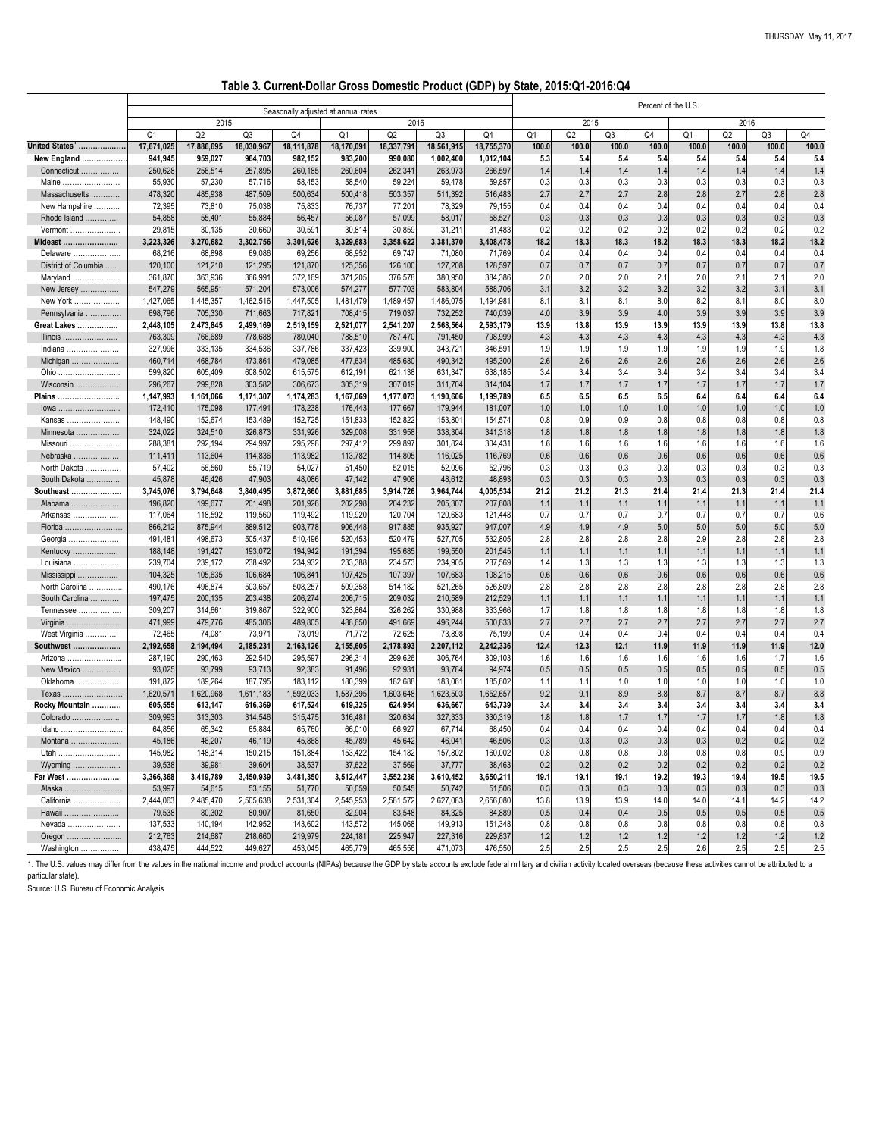1. The U.S. values may differ from the values in the national income and product accounts (NIPAs) because the GDP by state accounts exclude federal military and civilian activity located overseas (because these activities particular state).

|                      |                                     |            |            |                |                |            | $\frac{1}{2}$ |            | <b>OMM) FAIAIRI FAIAI</b> |       |       |                     |                |       |       |       |
|----------------------|-------------------------------------|------------|------------|----------------|----------------|------------|---------------|------------|---------------------------|-------|-------|---------------------|----------------|-------|-------|-------|
|                      | Seasonally adjusted at annual rates |            |            |                |                |            |               |            |                           |       |       | Percent of the U.S. |                |       |       |       |
|                      |                                     | 2015       |            |                |                | 2016       |               |            |                           | 2015  |       |                     |                | 2016  |       |       |
|                      | Q <sub>1</sub>                      | Q2         | Q3         | Q <sub>4</sub> | Q <sub>1</sub> | Q2         | Q3            | Q4         | Q <sub>1</sub>            | Q2    | Q3    | Q4                  | Q <sub>1</sub> | Q2    | Q3    | Q4    |
| United States'       | 17,671,025                          | 17,886,695 | 18,030,967 | 18,111,878     | 18,170,091     | 18,337,791 | 18,561,915    | 18,755,370 | 100.0                     | 100.0 | 100.0 | 100.0               | 100.0          | 100.0 | 100.0 | 100.0 |
| New England          | 941,945                             | 959,027    | 964,703    | 982,152        | 983,200        | 990,080    | 1,002,400     | 1,012,104  | 5.3                       | 5.4   | 5.4   | 5.4                 | 5.4            | 5.4   | 5.4   | 5.4   |
| Connecticut          | 250,628                             | 256,514    | 257,895    | 260,185        | 260,604        | 262,341    | 263,973       | 266,597    | 1.4                       | 1.4   | 1.4   | 1.4                 | 1.4            | 1.4   | 1.4   | 1.4   |
| <b>Maine</b>         | 55,930                              | 57,230     | 57,716     | 58,453         | 58,540         | 59,224     | 59,478        | 59,857     | 0.3                       | 0.3   | 0.3   | 0.3                 | 0.3            | 0.3   | 0.3   | 0.3   |
| Massachusetts        | 478,320                             | 485,938    | 487,509    | 500,634        | 500,418        | 503,357    | 511,392       | 516,483    | 2.7                       | 2.7   | 2.7   | 2.8                 | 2.8            | 2.7   | 2.8   | 2.8   |
| New Hampshire        | 72,395                              | 73,810     | 75,038     | 75,833         | 76,737         | 77,201     | 78,329        | 79,155     | 0.4                       | 0.4   | 0.4   | 0.4                 | 0.4            | 0.4   | 0.4   | 0.4   |
| Rhode Island         | 54,858                              | 55,401     | 55,884     | 56,457         | 56,087         | 57,099     | 58,017        | 58,527     | 0.3                       | 0.3   | 0.3   | 0.3                 | 0.3            | 0.3   | 0.3   | 0.3   |
| Vermont              | 29,815                              | 30,135     | 30,660     | 30,591         | 30,814         | 30,859     | 31,211        | 31,483     | 0.2                       | 0.2   | 0.2   | 0.2                 | 0.2            | 0.2   | 0.2   | 0.2   |
| Mideast              | 3,223,326                           | 3,270,682  | 3,302,756  | 3,301,626      | 3,329,683      | 3,358,622  | 3,381,370     | 3,408,478  | 18.2                      | 18.3  | 18.3  | 18.2                | 18.3           | 18.3  | 18.2  | 18.2  |
| Delaware             | 68,216                              | 68,898     | 69,086     | 69,256         | 68,952         | 69,747     | 71,080        | 71,769     | 0.4                       | 0.4   | 0.4   | 0.4                 | 0.4            | 0.4   | 0.4   | 0.4   |
| District of Columbia | 120,100                             | 121,210    | 121,295    | 121,870        | 125,356        | 126,100    | 127,208       | 128,597    | 0.7                       | 0.7   | 0.7   | 0.7                 | 0.7            | 0.7   | 0.7   | 0.7   |
| Maryland             | 361,870                             | 363,936    | 366,991    | 372,169        | 371,205        | 376,578    | 380,950       | 384,386    | 2.0                       | 2.0   | 2.0   | 2.1                 | 2.0            | 2.1   | 2.1   | 2.0   |
| New Jersey           | 547,279                             | 565,951    | 571,204    | 573,006        | 574,277        | 577,703    | 583,804       | 588,706    | 3.1                       | 3.2   | 3.2   | 3.2                 | 3.2            | 3.2   | 3.1   | 3.1   |
| New York             | 1,427,065                           | 1,445,357  | 1,462,516  | 1,447,505      | 1,481,479      | 1,489,457  | 1,486,075     | 1,494,981  | 8.1                       | 8.1   | 8.1   | 8.0                 | 8.2            | 8.1   | 8.0   | 8.0   |
| Pennsylvania         | 698,796                             | 705,330    | 711,663    | 717,821        | 708,415        | 719,037    | 732,252       | 740,039    | 4.0                       | 3.9   | 3.9   | 4.0                 | 3.9            | 3.9   | 3.9   | 3.9   |
| Great Lakes          | 2,448,105                           | 2,473,845  | 2,499,169  | 2,519,159      | 2,521,077      | 2,541,207  | 2,568,564     | 2,593,179  | 13.9                      | 13.8  | 13.9  | 13.9                | 13.9           | 13.9  | 13.8  | 13.8  |
| Illinois             | 763,309                             | 766,689    | 778,688    | 780,040        | 788,510        | 787,470    | 791,450       | 798,999    | 4.3                       | 4.3   | 4.3   | 4.3                 | 4.3            | 4.3   | 4.3   | 4.3   |
| Indiana              | 327,996                             | 333,135    | 334,536    | 337,786        | 337,423        | 339,900    | 343,721       | 346,591    | 1.9                       | 1.9   | 1.9   | 1.9                 | 1.9            | 1.9   | 1.9   | 1.8   |
| Michigan             | 460,714                             | 468,784    | 473,861    | 479,085        | 477,634        | 485,680    | 490,342       | 495,300    | 2.6                       | 2.6   | 2.6   | 2.6                 | 2.6            | 2.6   | 2.6   | 2.6   |
| Ohio                 | 599,820                             | 605,409    | 608,502    | 615,575        | 612,191        | 621,138    | 631,347       | 638,185    | 3.4                       | 3.4   | 3.4   | 3.4                 | 3.4            | 3.4   | 3.4   | 3.4   |
| Wisconsin            | 296,267                             | 299,828    | 303,582    | 306,673        | 305,319        | 307,019    | 311,704       | 314,104    | 1.7                       | 1.7   | 1.7   | 1.7                 | 1.7            | 1.7   | 1.7   | 1.7   |
| Plains               | 1,147,993                           | 1,161,066  | 1,171,307  | 1,174,283      | 1,167,069      | 1,177,073  | 1,190,606     | 1,199,789  | 6.5                       | 6.5   | 6.5   | 6.5                 | 6.4            | 6.4   | 6.4   | 6.4   |
| lowa                 | 172,410                             | 175,098    | 177,491    | 178,238        | 176,443        | 177,667    | 179,944       | 181,007    | 1.0                       | 1.0   | 1.0   | 1.0                 | 1.0            | 1.0   | 1.0   | 1.0   |
| Kansas               | 148,490                             | 152,674    | 153,489    | 152,725        | 151,833        | 152,822    | 153,801       | 154,574    | 0.8                       | 0.9   | 0.9   | 0.8                 | 0.8            | 0.8   | 0.8   | 0.8   |
| Minnesota            | 324,022                             | 324,510    | 326,873    | 331,926        | 329,008        | 331,958    | 338,304       | 341,318    | 1.8                       | 1.8   | 1.8   | 1.8                 | 1.8            | 1.8   | 1.8   | 1.8   |
| Missouri             | 288,381                             | 292,194    | 294,997    | 295,298        | 297,412        | 299,897    | 301,824       | 304,431    | 1.6                       | 1.6   | 1.6   | 1.6                 | 1.6            | 1.6   | 1.6   | 1.6   |
| Nebraska             | 111,411                             | 113,604    | 114,836    | 113,982        | 113,782        | 114,805    | 116,025       | 116,769    | 0.6                       | 0.6   | 0.6   | 0.6                 | 0.6            | 0.6   | 0.6   | 0.6   |
| North Dakota         | 57,402                              | 56,560     | 55,719     | 54,027         | 51,450         | 52,015     | 52,096        | 52,796     | 0.3                       | 0.3   | 0.3   | 0.3                 | 0.3            | 0.3   | 0.3   | 0.3   |
| South Dakota         | 45,878                              | 46,426     | 47,903     | 48,086         | 47,142         | 47,908     | 48,612        | 48,893     | 0.3                       | 0.3   | 0.3   | 0.3                 | 0.3            | 0.3   | 0.3   | 0.3   |
| Southeast            | 3,745,076                           | 3,794,648  | 3,840,495  | 3,872,660      | 3,881,685      | 3,914,726  | 3,964,744     | 4,005,534  | 21.2                      | 21.2  | 21.3  | 21.4                | 21.4           | 21.3  | 21.4  | 21.4  |
| Alabama              | 196,820                             | 199,677    | 201,498    | 201,926        | 202,298        | 204,232    | 205,307       | 207,608    | 1.1                       | 1.1   | 1.1   | 1.1                 | 1.1            | 1.1   | 1.1   | 1.1   |
| Arkansas             | 117,064                             | 118,592    | 119,560    | 119,492        | 119,920        | 120,704    | 120,683       | 121,448    | 0.7                       | 0.7   | 0.7   | 0.7                 | 0.7            | 0.7   | 0.7   | 0.6   |
| Florida              | 866,212                             | 875,944    | 889,512    | 903,778        | 906,448        | 917,885    | 935,927       | 947,007    | 4.9                       | 4.9   | 4.9   | 5.0                 | 5.0            | 5.0   | 5.0   | 5.0   |
| Georgia              | 491,481                             | 498,673    | 505,437    | 510,496        | 520,453        | 520,479    | 527,705       | 532,805    | 2.8                       | 2.8   | 2.8   | 2.8                 | 2.9            | 2.8   | 2.8   | 2.8   |
| Kentucky             | 188,148                             | 191,427    | 193,072    | 194,942        | 191,394        | 195,685    | 199,550       | 201,545    | 1.1                       | 1.1   | 1.1   | 1.1                 | 1.1            | 1.1   | 1.1   | 1.1   |
| Louisiana            | 239,704                             | 239,172    | 238,492    | 234,932        | 233,388        | 234,573    | 234,905       | 237,569    | 1.4                       | 1.3   | 1.3   | 1.3                 | 1.3            | 1.3   | 1.3   | 1.3   |
| Mississippi          | 104,325                             | 105,635    | 106,684    | 106,841        | 107,425        | 107,397    | 107,683       | 108,215    | 0.6                       | 0.6   | 0.6   | 0.6                 | 0.6            | 0.6   | 0.6   | 0.6   |
| North Carolina       | 490,176                             | 496,874    | 503,657    | 508,257        | 509,358        | 514,182    | 521,265       | 526,809    | 2.8                       | 2.8   | 2.8   | 2.8                 | 2.8            | 2.8   | 2.8   | 2.8   |
| South Carolina       | 197,475                             | 200,135    | 203,438    | 206,274        | 206,715        | 209,032    | 210,589       | 212,529    | 1.1                       | 1.1   | 1.1   | 1.1                 | 1.1            | 1.1   | 1.1   | 1.1   |
| Tennessee            | 309,207                             | 314,661    | 319,867    | 322,900        | 323,864        | 326,262    | 330,988       | 333,966    | 1.7                       | 1.8   | 1.8   | 1.8                 | 1.8            | 1.8   | 1.8   | 1.8   |
| Virginia             | 471,999                             | 479,776    | 485,306    | 489,805        | 488,650        | 491,669    | 496,244       | 500,833    | 2.7                       | 2.7   | 2.7   | 2.7                 | 2.7            | 2.7   | 2.7   | 2.7   |
| West Virginia        | 72,465                              | 74,081     | 73,971     | 73,019         | 71,772         | 72,625     | 73,898        | 75,199     | 0.4                       | 0.4   | 0.4   | 0.4                 | 0.4            | 0.4   | 0.4   | 0.4   |
| Southwest            | 2,192,658                           | 2,194,494  | 2,185,231  | 2,163,126      | 2,155,605      | 2,178,893  | 2,207,112     | 2,242,336  | 12.4                      | 12.3  | 12.1  | 11.9                | 11.9           | 11.9  | 11.9  | 12.0  |
| Arizona              | 287,190                             | 290,463    | 292,540    | 295,597        | 296,314        | 299,626    | 306,764       | 309,103    | 1.6                       | 1.6   | 1.6   | 1.6                 | 1.6            | 1.6   | 1.7   | 1.6   |
| New Mexico           | 93,025                              | 93,799     | 93,713     | 92,383         | 91,496         | 92,931     | 93,784        | 94,974     | 0.5                       | 0.5   | 0.5   | 0.5                 | 0.5            | 0.5   | 0.5   | 0.5   |
| Oklahoma             | 191,872                             | 189,264    | 187,795    | 183,112        | 180,399        | 182,688    | 183,061       | 185,602    | 1.1                       | 1.1   | 1.0   | 1.0                 | 1.0            | 1.0   | 1.0   | 1.0   |
| Texas                | 1,620,571                           | 1,620,968  | 1,611,183  | 1,592,033      | 1,587,395      | 1,603,648  | 1,623,503     | 1,652,657  | 9.2                       | 9.1   | 8.9   | 8.8                 | 8.7            | 8.7   | 8.7   | 8.8   |
| Rocky Mountain       | 605,555                             | 613,147    | 616,369    | 617,524        | 619,325        | 624,954    | 636,667       | 643,739    | 3.4                       | 3.4   | 3.4   | 3.4                 | 3.4            | 3.4   | 3.4   | 3.4   |
|                      |                                     |            |            |                |                |            |               |            |                           |       |       |                     |                |       |       |       |

**Table 3. Current-Dollar Gross Domestic Product (GDP) by State, 2015:Q1-2016:Q4**

| Colorado             | 309,993   | 313,303   | 314,546   | 315,475   | 316,481   | 320,634   | 327,333   | 330,319   | 1.8  | 1.8  |                   |      |                   |            | 1.8              | 1.8  |
|----------------------|-----------|-----------|-----------|-----------|-----------|-----------|-----------|-----------|------|------|-------------------|------|-------------------|------------|------------------|------|
| Idaho                | 64,856    | 65,342    | 65,884    | 65,760    | 66,010    | 66,927    | 67,714    | 68,450    | 0.4  | 0.4  |                   | 0.4  | 0.4               |            | 0.4              | 0.4  |
| Montana              | 45,186    | 46,207    | 46,119    | 45,868    | 45,789    | 45,642    | 46,041    | 46,506    | 0.3  | 0.3  | 0.3               | 0.3  | 0.3               | 0.2        | 0.2              | 0.2  |
| Utah<br>             | 145,982   | 148,314   | 150,215   | 151,884   | 153,422   | 154,182   | 157,802   | 160,002   | 0.8  | 0.8  | 0.8               | 0.8  | 0.8               |            | 0.9              | 0.9  |
| Wyoming              | 39,538    | 39,981    | 39,604    | 38,537    | 37,622    | 37,569    | 37,777    | 38,463    | 0.2  | 0.2  | 0.2               | 0.2  | 0.2               | 0.2        | 0.2              | 0.2  |
| <b>Far West</b><br>. | 3,366,368 | 3,419,789 | 3,450,939 | 3,481,350 | 3,512,447 | 3,552,236 | 3,610,452 | 3,650,211 | 19.1 | 19.1 | 19.1              | 19.2 | 19.3              | 19.4       | 19.5             | 19.5 |
| Alaska               | 53,997    | 54,615    | 53,155    | 51,770    | 50,059    | 50,545    | 50,742    | 51,506    | 0.3  | 0.3  | 0.3               | 0.3  | 0.3               | 0.3        | 0.3              | 0.3  |
| California           | 2,444,063 | 2,485,470 | 2,505,638 | 2,531,304 | 2,545,953 | 2,581,572 | 2,627,083 | 2,656,080 | 13.8 | 13.9 | 13.9              | 14.0 | 14.0 <sub>1</sub> | 14.1       | 14.2             | 14.2 |
| Hawaii               | 79,538    | 80,302    | 80,907    | 81,650    | 82,904    | 83,548    | 84,325    | 84,889    | 0.5  | 0.4  | 0.4               | 0.5  | 0.5               | 0.5        | 0.5              | 0.5  |
| Nevada.              | 137,533   | 140,194   | 142,952   | 143,602   | 143,572   | 145,068   | 149,913   | 151,348   | 0.8  | 0.8  | 0.8               | 0.8  | 0.8               | 0.8        | 0.8              | 0.8  |
| Oregon               | 212,763   | 214,687   | 218,660   | 219,979   | 224,181   | 225,947   | 227,316   | 229,837   | 1.2  | 1.2  | 1.2               | 1.2  |                   |            | 1.2 <sub>1</sub> | 1.2  |
| Washington.<br>.     | 438,475   | 444,522   | 449,627   | 453,045   | 465,779   | 465,556   | 471,073   | 476,550   | 2.5  | 2.5  | $^{\circ}$<br>2.5 | 2.5  | 2.6               | ኅ ር<br>ے ۔ | 2.5              | 2.5  |

Source: U.S. Bureau of Economic Analysis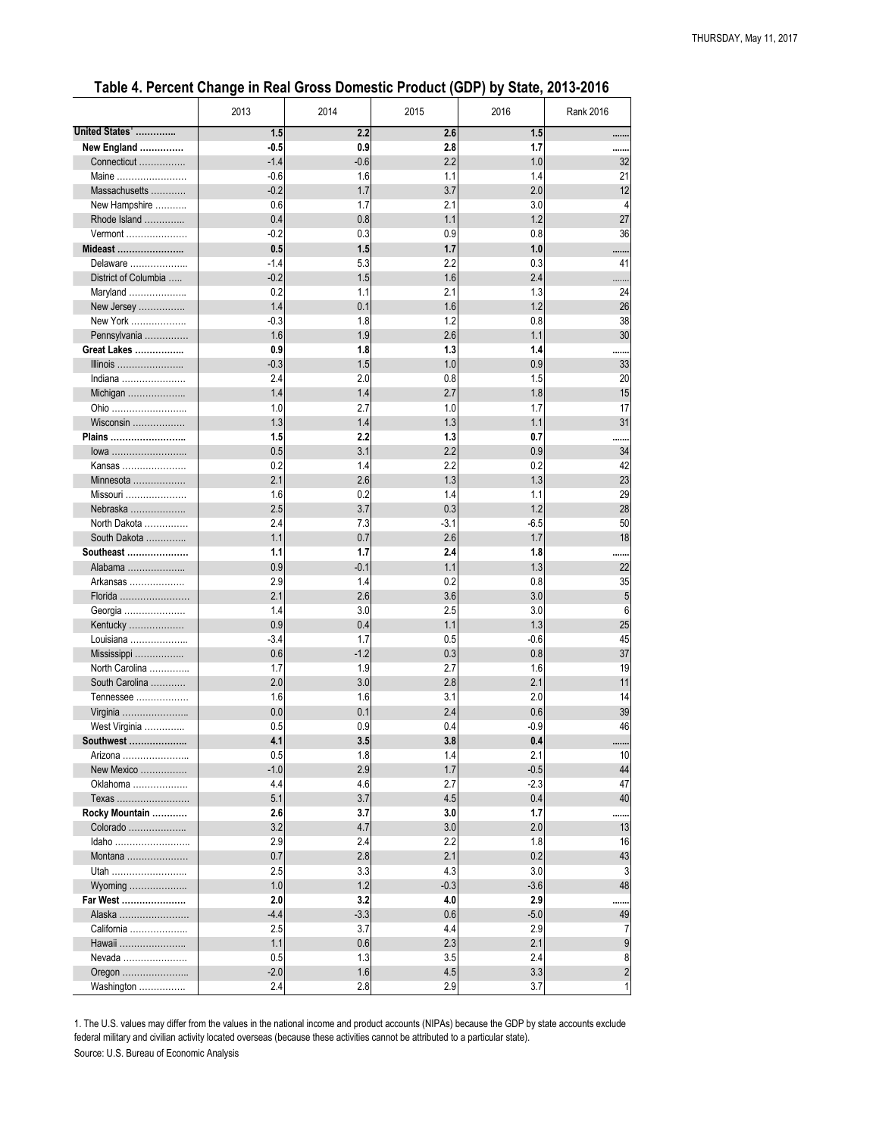|                      | 2013   | 2014   | 2015   | 2016   | <b>Rank 2016</b> |
|----------------------|--------|--------|--------|--------|------------------|
| United States'       | 1.5    | 2.2    | 2.6    | 1.5    |                  |
| New England          | $-0.5$ | 0.9    | 2.8    | 1.7    |                  |
| Connecticut          | $-1.4$ | $-0.6$ | 2.2    | 1.0    | 32               |
| Maine                | $-0.6$ | 1.6    | 1.1    | 1.4    | 21               |
| Massachusetts        | $-0.2$ | 1.7    | 3.7    | 2.0    | 12               |
| New Hampshire        | 0.6    | 1.7    | 2.1    | 3.0    |                  |
| Rhode Island         | 0.4    | 0.8    | 1.1    | 1.2    | 27               |
| Vermont              | $-0.2$ | 0.3    | 0.9    | 0.8    | 36               |
| Mideast              | 0.5    | 1.5    | 1.7    | 1.0    |                  |
| Delaware             | $-1.4$ | 5.3    | 2.2    | 0.3    | 41               |
| District of Columbia | $-0.2$ | 1.5    | 1.6    | 2.4    | .                |
| Maryland             | 0.2    | 1.1    | 2.1    | 1.3    | 24               |
| New Jersey           | 1.4    | 0.1    | 1.6    | 1.2    | 26               |
| New York             | $-0.3$ | 1.8    | 1.2    | 0.8    | 38               |
| Pennsylvania         | 1.6    | 1.9    | 2.6    | 1.1    | 30               |
| <b>Great Lakes </b>  | 0.9    | 1.8    | 1.3    | 1.4    |                  |
| Illinois             | $-0.3$ | 1.5    | 1.0    | 0.9    | 33               |
| Indiana              | 2.4    | 2.0    | 0.8    | 1.5    | 20               |
| Michigan             | 1.4    | 1.4    | 2.7    | 1.8    | 15               |
| Ohio                 | 1.0    | 2.7    | 1.0    | 1.7    | 17               |
| Wisconsin            | 1.3    | 1.4    | 1.3    | 1.1    | 31               |
| Plains               | 1.5    | 2.2    | 1.3    | 0.7    |                  |
| lowa                 | 0.5    | 3.1    | 2.2    | 0.9    | 34               |
| Kansas               | 0.2    | 1.4    | 2.2    | 0.2    | 42               |
| Minnesota            | 2.1    | 2.6    | 1.3    | 1.3    | 23               |
| Missouri             | 1.6    | 0.2    | 1.4    | 1.1    | 29               |
| Nebraska             | 2.5    | 3.7    | 0.3    | 1.2    | 28               |
| North Dakota         | 2.4    | 7.3    | $-3.1$ | $-6.5$ | 50               |
| South Dakota         | 1.1    | 0.7    | 2.6    | 1.7    | 18               |
| Southeast            | 1.1    | 1.7    | 2.4    | 1.8    |                  |
| Alabama              | 0.9    | $-0.1$ | 1.1    | 1.3    | 22               |
| Arkansas             | 2.9    | 1.4    | 0.2    | 0.8    | 35               |
| Florida              | 2.1    | 2.6    | 3.6    | 3.0    | 5                |
| Georgia              | 1.4    | 3.0    | 2.5    | 3.0    | 6                |
| Kentucky             | 0.9    | 0.4    | 1.1    | 1.3    | 25               |
| Louisiana            | $-3.4$ | 1.7    | 0.5    | $-0.6$ | 45               |
| Mississippi          | 0.6    | $-1.2$ | 0.3    | 0.8    | 37               |
| North Carolina       | 1.7    | 1.9    | 2.7    | 1.6    | 19               |
| South Carolina       | 2.0    | 3.0    | 2.8    | 2.1    | 11               |
| Tennessee            | 1.6    | 1.6    | 3.1    | 2.0    | 14               |
| Virginia             | 0.0    | 0.1    | 2.4    | 0.6    | 39               |
| West Virginia        | 0.5    | 0.9    | 0.4    | $-0.9$ | 46               |
| Southwest            | 4.1    | 3.5    | 3.8    | 0.4    |                  |
| Arizona              | 0.5    | 1.8    | 1.4    | 2.1    | 10               |
| New Mexico           | $-1.0$ | 2.9    | 1.7    | $-0.5$ | 44               |
| Oklahoma             | 4.4    | 4.6    | 2.7    | $-2.3$ | 47               |
| Texas                | 5.1    | 3.7    | 4.5    | 0.4    | 40               |
| Rocky Mountain       | 2.6    | 3.7    | 3.0    | 1.7    |                  |
| Colorado             | 3.2    | 4.7    | 3.0    | 2.0    | 13               |
| Idaho                | 2.9    | 2.4    | 2.2    | 1.8    | 16               |
| Montana              | 0.7    | 2.8    | 2.1    | 0.2    | 43               |
| Utah                 | 2.5    | 3.3    | 4.3    | 3.0    | $\mathbf{3}$     |

| Wyoming    |      |     |     |  |
|------------|------|-----|-----|--|
| Far West   | 2.0  | 3.  | 4.0 |  |
| Alaska     |      | ົ   | 0.6 |  |
| California | 2.5  | ບ.  | 4.4 |  |
| Hawaii     |      | 0.6 | 2.3 |  |
| Nevada     | 0.5  |     | 3.5 |  |
| Oregon     | -2.( |     | 4.5 |  |
| Washington |      | 2.8 | 2.9 |  |

### **Table 4. Percent Change in Real Gross Domestic Product (GDP) by State, 2013-2016**

Source: U.S. Bureau of Economic Analysis 1. The U.S. values may differ from the values in the national income and product accounts (NIPAs) because the GDP by state accounts exclude federal military and civilian activity located overseas (because these activities cannot be attributed to a particular state).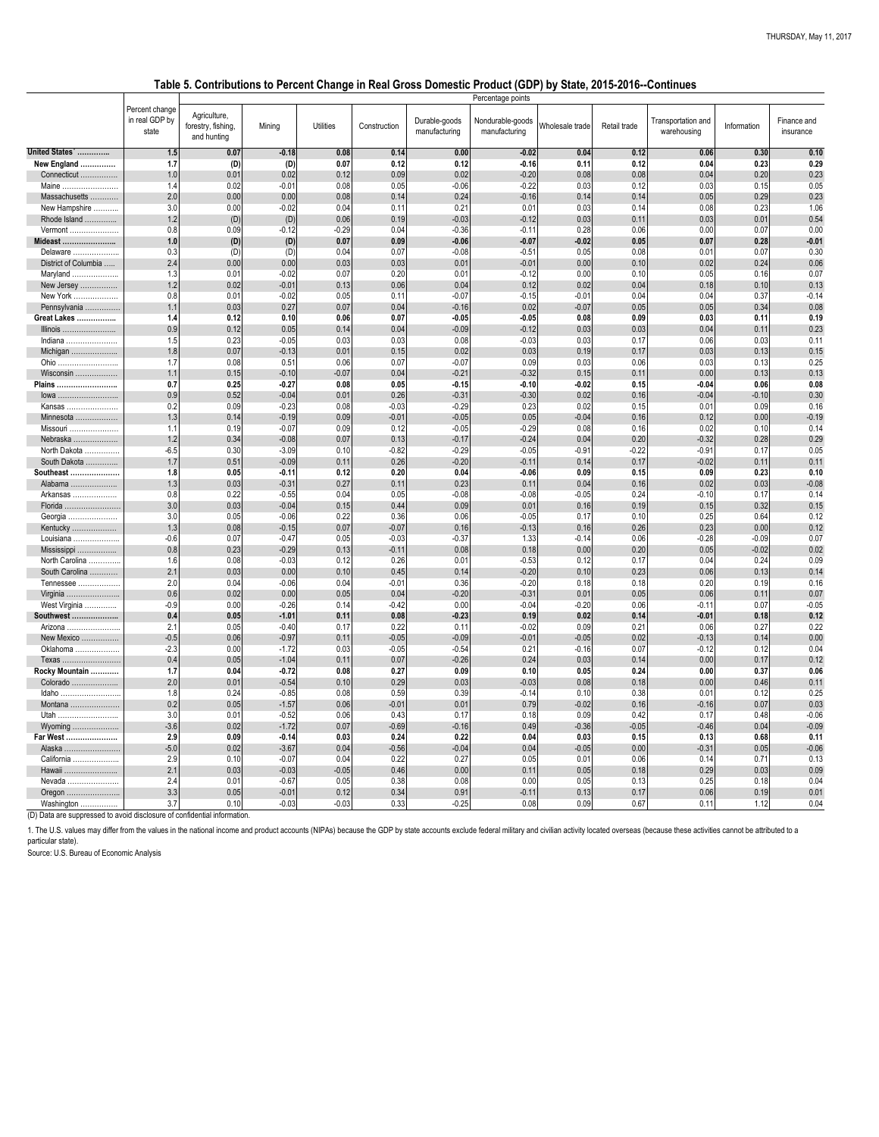1. The U.S. values may differ from the values in the national income and product accounts (NIPAs) because the GDP by state accounts exclude federal military and civilian activity located overseas (because these activities particular state).

| ldaho<br>  |     | 0.24 | $-0.85$  | 0.08    | 0.59    | 0.39    |         | 0.10    | 0.38    | 0.01    | 0.12 | 0.25    |
|------------|-----|------|----------|---------|---------|---------|---------|---------|---------|---------|------|---------|
| Montana    |     | 0.05 | $-1.57'$ | 0.06    | $-0.01$ | 0.01    | 0.79    | $-0.02$ | 0.16    | $-0.16$ | 0.07 | 0.03    |
| Utah<br>   |     | 0.01 | $-0.52$  | 0.06    | 0.431   | 0.17    | 0.18    | 0.09    | 0.42    | 0.17    | 0.48 | $-0.06$ |
| Wyoming    |     | 0.02 | $-1.72$  | 0.07    | $-0.69$ | $-0.16$ | 0.49    | $-0.36$ | $-0.05$ | $-0.46$ | 0.04 | $-0.09$ |
| Far West   | Z.J | 0.09 | $-0.14$  | 0.03    | 0.24    | 0.22    | 0.04    | 0.03    | 0.15    | 0.13    | 0.68 | 0.11    |
|            |     | 0.02 | $-3.67$  | 0.04    | $-0.56$ | $-0.04$ | 0.04    | $-0.05$ | 0.00    | $-0.31$ | 0.05 | $-0.06$ |
| California |     | 0.10 | $-0.07$  | 0.04    | 0.22    | 0.27    | 0.05    | 0.01    | 0.06    | 0.14    | 0.71 | 0.13    |
| Hawaii     |     | 0.03 | $-0.03$  | $-0.05$ | 0.46    | 0.00    | 0.11    | 0.05    | 0.18    | 0.29    | 0.03 | 0.09    |
| Nevada     |     | 0.01 | $-0.67'$ | 0.05    | 0.38    | 0.08    | 0.00    | 0.05    | 0.13    | 0.25    | 0.18 | 0.04    |
|            |     | 0.05 | $-0.01$  | 0.12    | 0.34    | 0.91    | $-0.11$ | 0.13    | 0.17    | 0.06    | 0.19 | 0.01    |
| Washington |     | 0.10 | $-0.03$  | $-0.03$ | 0.33    | $-0.25$ | 0.08    | 0.09    | 0.67    | 0.11    | 1.12 | 0.04    |

(D) Data are suppressed to avoid disclosure of confidential information.

Source: U.S. Bureau of Economic Analysis

| Percent change<br>Agriculture,<br>in real GDP by<br>Durable-goods<br>Nondurable-goods   Wholesale trade <sup>1</sup><br>Transportation and<br>Finance and<br><b>Utilities</b><br>Retail trade<br>forestry, fishing,<br>Mining<br>Construction<br>Information<br>state<br>manufacturing<br>manufacturing<br>warehousing<br>insurance<br>and hunting<br>United States'<br>$-0.18$<br> 0.00 <br>0.04<br>0.12<br>0.10<br>1.5<br>0.07<br>0.08<br>0.14<br>$-0.02$<br>0.06<br>0.30<br>0.12<br>0.12<br>0.07<br>0.12<br>$-0.16$<br>0.11<br>0.23<br>0.29<br>New England<br>1.7<br>(D)<br>(D)<br>0.04<br>0.23<br>0.02<br>0.02<br>$-0.20$<br>0.20<br>1.0<br>0.01<br>0.12<br>0.09<br>0.08<br>0.08<br>0.04<br>Connecticut<br>0.05<br>Maine<br>0.02<br>$-0.01$<br>0.08<br>0.05<br>$-0.06$<br>$-0.22$<br>0.03<br>0.12<br>0.03<br>0.15<br>1.4<br>.<br>0.23<br>2.0<br>0.24<br>0.00<br>0.00<br>0.08<br>0.14<br>$-0.16$<br>0.14<br>0.29<br>Massachusetts<br>0.14<br>0.05<br>1.06<br>New Hampshire<br>3.0<br>$-0.02$<br>0.04<br>0.21<br>0.03<br>0.14<br>0.23<br>0.00<br>0.11<br>0.01<br>0.08<br>0.54<br>1.2<br>0.06<br>$-0.03$<br>$-0.12$<br>0.03<br>0.11<br>0.03<br>0.01<br>Rhode Island<br>(D)<br>(D)<br>0.19<br>0.00<br>0.8<br>0.09<br>$-0.12$<br>$-0.29$<br>0.04<br>$-0.36$<br>$-0.11$<br>0.28<br>0.00<br>0.07<br>Vermont<br>0.06<br>$-0.01$<br>(D)<br>(D)<br>0.07<br>$-0.06$<br>Mideast<br>1.0<br>0.09<br>$-0.07$<br>$-0.02$<br>0.05<br>0.07<br>0.28<br>$-0.08$<br>0.30<br>0.3<br>0.04<br>0.07<br>0.05<br>0.08<br>0.07<br>(D)<br>(D)<br>$-0.51$<br>0.01<br>Delaware<br>0.06<br>District of Columbia<br>2.4<br>0.00<br>0.03<br>0.03<br>0.01<br>0.00<br>0.24<br>0.00<br>$-0.01$<br>0.10<br>0.02<br>0.07<br>1.3<br>0.01<br>$-0.02$<br>0.07<br>0.20<br>0.01<br>$-0.12$<br>0.00<br>0.10<br>0.16<br>Maryland<br>0.05<br>0.13<br>1.2<br>0.12<br>0.02<br>$-0.01$<br>0.13<br>0.06<br>0.04<br>0.02<br>0.04<br>0.18<br>0.10<br>New Jersey<br>$-0.14$<br>New York<br>0.8<br>$-0.02$<br>0.05<br>$-0.07$<br>$-0.15$<br>$-0.01$<br>0.04<br>0.37<br>0.01<br>0.11<br>0.04<br>0.08<br>0.07<br>0.04<br>$-0.16$<br>0.02<br>$-0.07$<br>0.27<br>0.05<br>0.34<br>Pennsylvania<br>1.1<br>0.03<br>0.05<br>1.4<br>0.06<br>0.07<br>$-0.05$<br>0.19<br><b>Great Lakes </b><br>0.12<br>0.10<br>$-0.05$<br>0.08<br>0.09<br>0.03<br>0.11<br>0.23<br>Illinois<br>0.12<br>0.05<br>0.14<br>0.04<br>$-0.09$<br>$-0.12$<br>0.03<br>0.03<br>0.04<br>0.9<br>0.11<br>0.23<br>0.08<br>$-0.03$<br>0.17<br>0.03<br>$-0.05$<br>0.03<br>0.03<br>0.03<br>0.06<br>0.11<br>Indiana<br>1.5<br>0.15<br>1.8<br>0.01<br>0.02<br>0.03<br>0.17<br>0.03<br>0.13<br>Michigan<br>0.07<br>$-0.13$<br>0.15<br>0.19<br>0.25<br>$-0.07$<br>0.03<br>Ohio.<br>0.08<br>0.51<br>0.06<br>0.07<br>0.09<br>0.06<br>0.03<br>0.13<br>1.7<br>0.13<br>$-0.21$<br>$-0.07$<br>0.04<br>$-0.32$<br>0.15<br>0.11<br>0.00<br>Wisconsin<br>1.1<br>0.15<br>$-0.10$<br>0.13<br>0.08<br>$-0.15$<br>$-0.02$<br>Plains<br>0.7<br>0.25<br>$-0.27$<br>0.08<br>0.05<br>$-0.10$<br>0.15<br>0.06<br>$-0.04$<br>0.30<br>0.01<br>$-0.31$<br>$-0.30$<br>0.9<br>0.26<br>0.02<br>0.16<br>0.52<br>$-0.04$<br>$-0.04$<br>$-0.10$<br>lowa<br>$-0.29$<br>0.16<br>0.2<br>0.09<br>$-0.23$<br>0.08<br>$-0.03$<br>0.23<br>0.02<br>0.15<br>0.09<br>0.01<br>Kansas<br>$-0.19$<br>1.3<br>0.09<br>$-0.01$<br>$-0.05$<br>0.05<br>$-0.04$<br>0.12<br>0.00<br>0.14<br>$-0.19$<br>0.16<br>Minnesota<br>0.08<br>0.14<br>$-0.07$<br>0.09<br>0.12<br>$-0.05$<br>$-0.29$<br>0.16<br>0.10<br>0.19<br>0.02<br>Missouri<br>1.1<br>0.29<br>Nebraska<br>0.34<br>$-0.08$<br>0.07<br>0.13<br>$-0.17$<br>$-0.24$<br>0.04<br>0.20<br>$-0.32$<br>0.28<br>1.2<br>North Dakota<br>$-6.5$<br>$-3.09$<br>0.10<br>$-0.82$<br>$-0.29$<br>$-0.91$<br>$-0.22$<br>0.17<br>0.05<br>0.30<br>$-0.05$<br>$-0.91$<br>$-0.20$<br>0.11<br>0.51<br>$-0.09$<br>0.26<br>$-0.11$<br>0.17<br>1.7<br>0.11<br>0.14<br>$-0.02$<br>0.11<br>South Dakota<br>1.8<br>0.10<br>$-0.11$<br>0.12<br>0.20<br>0.04<br>0.09<br>0.15<br>0.23<br>Southeast<br>0.05<br>$-0.06$<br>0.09<br>$-0.08$<br>1.3<br>0.27<br>0.23<br>0.11<br>0.03<br>$-0.31$<br>0.11<br>0.04<br>0.16<br>0.02<br>0.03<br>Alabama<br>0.8<br>$-0.08$<br>$-0.10$<br>0.17<br>0.14<br>0.22<br>$-0.55$<br>0.04<br>0.05<br>$-0.08$<br>$-0.05$<br>0.24<br>Arkansas.<br>3.0<br>0.15<br>0.03<br>$-0.04$<br>0.44<br>0.09<br>0.01<br>0.16<br>0.32<br>Florida<br>0.15<br>0.19<br>0.15<br>3.0<br>0.12<br>0.22<br>0.36<br>0.06<br>0.17<br>0.10<br>0.64<br>0.05<br>$-0.06$<br>$-0.05$<br>0.25<br>Georgia<br>0.12<br>1.3<br>0.07<br>$-0.07$<br>0.16<br>$-0.13$<br>0.08<br>$-0.15$<br>0.16<br>0.26<br>0.23<br>0.00<br>Kentucky<br>0.07<br>$-0.6$<br>$-0.03$<br>$-0.37$<br>$-0.14$<br>Louisiana<br>0.07<br>$-0.47$<br>0.05<br>1.33<br>0.06<br>$-0.28$<br>$-0.09$<br>0.02<br>0.8<br>0.23<br>0.08<br>0.18<br>0.20<br>$-0.02$<br>$-0.29$<br>0.13<br>$-0.11$<br>0.00<br>0.05<br>Mississippi<br>0.09<br>0.12<br>0.01<br>$-0.53$<br>0.12<br>North Carolina<br>1.6<br>0.08<br>$-0.03$<br>0.26<br>0.17<br>0.04<br>0.24<br>2.1<br>0.14<br>0.10<br>0.14<br>$-0.20$<br>0.23<br>0.13<br>South Carolina<br>0.03<br>0.00<br>0.45<br>0.10<br>0.06<br>2.0<br>$-0.01$<br>0.36<br>0.16<br>0.04<br>$-0.06$<br>0.04<br>$-0.20$<br>0.18<br>0.18<br>0.20<br>0.19<br>Tennessee<br>0.07<br>0.6<br>0.02<br>$-0.20$<br>$-0.31$<br>0.00<br>0.05<br>0.04<br>0.01<br>0.05<br>0.06<br>0.11<br>Virginia<br>$-0.9$<br>0.14<br>$-0.42$<br>0.00<br>$-0.20$<br>0.06<br>$-0.05$<br>0.00<br>$-0.26$<br>$-0.04$<br>$-0.11$<br>0.07<br>West Virginia<br>0.12<br>$-1.01$<br>0.11<br>0.08<br>$-0.23$<br>0.19<br>0.02<br>0.14<br>0.18<br>Southwest<br>0.4<br>0.05<br>$-0.01$<br>0.22<br>2.1<br>0.17<br>0.22<br>0.11<br>0.21<br>0.27<br>0.05<br>$-0.40$<br>$-0.02$<br>0.09<br>0.06<br>Arizona<br>0.00<br>$-0.5$<br>$-0.09$<br>0.06<br>$-0.97$<br>0.11<br>$-0.05$<br>$-0.01$<br>$-0.05$<br>0.02<br>$-0.13$<br>0.14<br>New Mexico<br>0.04<br>$-2.3$<br>0.00<br>$-1.72$<br>0.03<br>$-0.05$<br>$-0.54$<br>$-0.16$<br>$-0.12$<br>0.12<br>Oklahoma<br>0.21<br>0.07<br>0.12<br>0.4<br>0.11<br>0.07<br>$-0.26$<br>0.24<br>0.17<br>0.05<br>$-1.04$<br>0.03<br>0.14<br>0.00<br>Texas<br>1.7<br>0.06<br>Rocky Mountain<br>0.04<br>$-0.72$<br>0.08<br>0.27<br>0.09<br>0.10<br>0.05<br>0.24<br>0.37<br>0.00 |          |     |      |         |      |      |      | Percentage points |      |      |      |      |      |
|-----------------------------------------------------------------------------------------------------------------------------------------------------------------------------------------------------------------------------------------------------------------------------------------------------------------------------------------------------------------------------------------------------------------------------------------------------------------------------------------------------------------------------------------------------------------------------------------------------------------------------------------------------------------------------------------------------------------------------------------------------------------------------------------------------------------------------------------------------------------------------------------------------------------------------------------------------------------------------------------------------------------------------------------------------------------------------------------------------------------------------------------------------------------------------------------------------------------------------------------------------------------------------------------------------------------------------------------------------------------------------------------------------------------------------------------------------------------------------------------------------------------------------------------------------------------------------------------------------------------------------------------------------------------------------------------------------------------------------------------------------------------------------------------------------------------------------------------------------------------------------------------------------------------------------------------------------------------------------------------------------------------------------------------------------------------------------------------------------------------------------------------------------------------------------------------------------------------------------------------------------------------------------------------------------------------------------------------------------------------------------------------------------------------------------------------------------------------------------------------------------------------------------------------------------------------------------------------------------------------------------------------------------------------------------------------------------------------------------------------------------------------------------------------------------------------------------------------------------------------------------------------------------------------------------------------------------------------------------------------------------------------------------------------------------------------------------------------------------------------------------------------------------------------------------------------------------------------------------------------------------------------------------------------------------------------------------------------------------------------------------------------------------------------------------------------------------------------------------------------------------------------------------------------------------------------------------------------------------------------------------------------------------------------------------------------------------------------------------------------------------------------------------------------------------------------------------------------------------------------------------------------------------------------------------------------------------------------------------------------------------------------------------------------------------------------------------------------------------------------------------------------------------------------------------------------------------------------------------------------------------------------------------------------------------------------------------------------------------------------------------------------------------------------------------------------------------------------------------------------------------------------------------------------------------------------------------------------------------------------------------------------------------------------------------------------------------------------------------------------------------------------------------------------------------------------------------------------------------------------------------------------------------------------------------------------------------------------------------------------------------------------------------------------------------------------------------------------------------------------------------------------------------------------------------------------------------------------------------------------------------------------------------------------------------------------------------------------------------------------------------------------------------------------------------------------------------------------------------------------------------------------------------------------------------------------------------------------------------------------------------------------------------------------------------------------------------------------------------------------------------------------------------------------------------------------------------------------------------------------------------------------------------------------------------------------------------------------------------------------------------------------------------------------------------------------------------------------------------------------------------------------------------------------------------------------------------------------------|----------|-----|------|---------|------|------|------|-------------------|------|------|------|------|------|
|                                                                                                                                                                                                                                                                                                                                                                                                                                                                                                                                                                                                                                                                                                                                                                                                                                                                                                                                                                                                                                                                                                                                                                                                                                                                                                                                                                                                                                                                                                                                                                                                                                                                                                                                                                                                                                                                                                                                                                                                                                                                                                                                                                                                                                                                                                                                                                                                                                                                                                                                                                                                                                                                                                                                                                                                                                                                                                                                                                                                                                                                                                                                                                                                                                                                                                                                                                                                                                                                                                                                                                                                                                                                                                                                                                                                                                                                                                                                                                                                                                                                                                                                                                                                                                                                                                                                                                                                                                                                                                                                                                                                                                                                                                                                                                                                                                                                                                                                                                                                                                                                                                                                                                                                                                                                                                                                                                                                                                                                                                                                                                                                                                                                                                                                                                                                                                                                                                                                                                                                                                                                                                                                                                                                                       |          |     |      |         |      |      |      |                   |      |      |      |      |      |
|                                                                                                                                                                                                                                                                                                                                                                                                                                                                                                                                                                                                                                                                                                                                                                                                                                                                                                                                                                                                                                                                                                                                                                                                                                                                                                                                                                                                                                                                                                                                                                                                                                                                                                                                                                                                                                                                                                                                                                                                                                                                                                                                                                                                                                                                                                                                                                                                                                                                                                                                                                                                                                                                                                                                                                                                                                                                                                                                                                                                                                                                                                                                                                                                                                                                                                                                                                                                                                                                                                                                                                                                                                                                                                                                                                                                                                                                                                                                                                                                                                                                                                                                                                                                                                                                                                                                                                                                                                                                                                                                                                                                                                                                                                                                                                                                                                                                                                                                                                                                                                                                                                                                                                                                                                                                                                                                                                                                                                                                                                                                                                                                                                                                                                                                                                                                                                                                                                                                                                                                                                                                                                                                                                                                                       |          |     |      |         |      |      |      |                   |      |      |      |      |      |
|                                                                                                                                                                                                                                                                                                                                                                                                                                                                                                                                                                                                                                                                                                                                                                                                                                                                                                                                                                                                                                                                                                                                                                                                                                                                                                                                                                                                                                                                                                                                                                                                                                                                                                                                                                                                                                                                                                                                                                                                                                                                                                                                                                                                                                                                                                                                                                                                                                                                                                                                                                                                                                                                                                                                                                                                                                                                                                                                                                                                                                                                                                                                                                                                                                                                                                                                                                                                                                                                                                                                                                                                                                                                                                                                                                                                                                                                                                                                                                                                                                                                                                                                                                                                                                                                                                                                                                                                                                                                                                                                                                                                                                                                                                                                                                                                                                                                                                                                                                                                                                                                                                                                                                                                                                                                                                                                                                                                                                                                                                                                                                                                                                                                                                                                                                                                                                                                                                                                                                                                                                                                                                                                                                                                                       |          |     |      |         |      |      |      |                   |      |      |      |      |      |
|                                                                                                                                                                                                                                                                                                                                                                                                                                                                                                                                                                                                                                                                                                                                                                                                                                                                                                                                                                                                                                                                                                                                                                                                                                                                                                                                                                                                                                                                                                                                                                                                                                                                                                                                                                                                                                                                                                                                                                                                                                                                                                                                                                                                                                                                                                                                                                                                                                                                                                                                                                                                                                                                                                                                                                                                                                                                                                                                                                                                                                                                                                                                                                                                                                                                                                                                                                                                                                                                                                                                                                                                                                                                                                                                                                                                                                                                                                                                                                                                                                                                                                                                                                                                                                                                                                                                                                                                                                                                                                                                                                                                                                                                                                                                                                                                                                                                                                                                                                                                                                                                                                                                                                                                                                                                                                                                                                                                                                                                                                                                                                                                                                                                                                                                                                                                                                                                                                                                                                                                                                                                                                                                                                                                                       |          |     |      |         |      |      |      |                   |      |      |      |      |      |
|                                                                                                                                                                                                                                                                                                                                                                                                                                                                                                                                                                                                                                                                                                                                                                                                                                                                                                                                                                                                                                                                                                                                                                                                                                                                                                                                                                                                                                                                                                                                                                                                                                                                                                                                                                                                                                                                                                                                                                                                                                                                                                                                                                                                                                                                                                                                                                                                                                                                                                                                                                                                                                                                                                                                                                                                                                                                                                                                                                                                                                                                                                                                                                                                                                                                                                                                                                                                                                                                                                                                                                                                                                                                                                                                                                                                                                                                                                                                                                                                                                                                                                                                                                                                                                                                                                                                                                                                                                                                                                                                                                                                                                                                                                                                                                                                                                                                                                                                                                                                                                                                                                                                                                                                                                                                                                                                                                                                                                                                                                                                                                                                                                                                                                                                                                                                                                                                                                                                                                                                                                                                                                                                                                                                                       |          |     |      |         |      |      |      |                   |      |      |      |      |      |
|                                                                                                                                                                                                                                                                                                                                                                                                                                                                                                                                                                                                                                                                                                                                                                                                                                                                                                                                                                                                                                                                                                                                                                                                                                                                                                                                                                                                                                                                                                                                                                                                                                                                                                                                                                                                                                                                                                                                                                                                                                                                                                                                                                                                                                                                                                                                                                                                                                                                                                                                                                                                                                                                                                                                                                                                                                                                                                                                                                                                                                                                                                                                                                                                                                                                                                                                                                                                                                                                                                                                                                                                                                                                                                                                                                                                                                                                                                                                                                                                                                                                                                                                                                                                                                                                                                                                                                                                                                                                                                                                                                                                                                                                                                                                                                                                                                                                                                                                                                                                                                                                                                                                                                                                                                                                                                                                                                                                                                                                                                                                                                                                                                                                                                                                                                                                                                                                                                                                                                                                                                                                                                                                                                                                                       |          |     |      |         |      |      |      |                   |      |      |      |      |      |
|                                                                                                                                                                                                                                                                                                                                                                                                                                                                                                                                                                                                                                                                                                                                                                                                                                                                                                                                                                                                                                                                                                                                                                                                                                                                                                                                                                                                                                                                                                                                                                                                                                                                                                                                                                                                                                                                                                                                                                                                                                                                                                                                                                                                                                                                                                                                                                                                                                                                                                                                                                                                                                                                                                                                                                                                                                                                                                                                                                                                                                                                                                                                                                                                                                                                                                                                                                                                                                                                                                                                                                                                                                                                                                                                                                                                                                                                                                                                                                                                                                                                                                                                                                                                                                                                                                                                                                                                                                                                                                                                                                                                                                                                                                                                                                                                                                                                                                                                                                                                                                                                                                                                                                                                                                                                                                                                                                                                                                                                                                                                                                                                                                                                                                                                                                                                                                                                                                                                                                                                                                                                                                                                                                                                                       |          |     |      |         |      |      |      |                   |      |      |      |      |      |
|                                                                                                                                                                                                                                                                                                                                                                                                                                                                                                                                                                                                                                                                                                                                                                                                                                                                                                                                                                                                                                                                                                                                                                                                                                                                                                                                                                                                                                                                                                                                                                                                                                                                                                                                                                                                                                                                                                                                                                                                                                                                                                                                                                                                                                                                                                                                                                                                                                                                                                                                                                                                                                                                                                                                                                                                                                                                                                                                                                                                                                                                                                                                                                                                                                                                                                                                                                                                                                                                                                                                                                                                                                                                                                                                                                                                                                                                                                                                                                                                                                                                                                                                                                                                                                                                                                                                                                                                                                                                                                                                                                                                                                                                                                                                                                                                                                                                                                                                                                                                                                                                                                                                                                                                                                                                                                                                                                                                                                                                                                                                                                                                                                                                                                                                                                                                                                                                                                                                                                                                                                                                                                                                                                                                                       |          |     |      |         |      |      |      |                   |      |      |      |      |      |
|                                                                                                                                                                                                                                                                                                                                                                                                                                                                                                                                                                                                                                                                                                                                                                                                                                                                                                                                                                                                                                                                                                                                                                                                                                                                                                                                                                                                                                                                                                                                                                                                                                                                                                                                                                                                                                                                                                                                                                                                                                                                                                                                                                                                                                                                                                                                                                                                                                                                                                                                                                                                                                                                                                                                                                                                                                                                                                                                                                                                                                                                                                                                                                                                                                                                                                                                                                                                                                                                                                                                                                                                                                                                                                                                                                                                                                                                                                                                                                                                                                                                                                                                                                                                                                                                                                                                                                                                                                                                                                                                                                                                                                                                                                                                                                                                                                                                                                                                                                                                                                                                                                                                                                                                                                                                                                                                                                                                                                                                                                                                                                                                                                                                                                                                                                                                                                                                                                                                                                                                                                                                                                                                                                                                                       |          |     |      |         |      |      |      |                   |      |      |      |      |      |
|                                                                                                                                                                                                                                                                                                                                                                                                                                                                                                                                                                                                                                                                                                                                                                                                                                                                                                                                                                                                                                                                                                                                                                                                                                                                                                                                                                                                                                                                                                                                                                                                                                                                                                                                                                                                                                                                                                                                                                                                                                                                                                                                                                                                                                                                                                                                                                                                                                                                                                                                                                                                                                                                                                                                                                                                                                                                                                                                                                                                                                                                                                                                                                                                                                                                                                                                                                                                                                                                                                                                                                                                                                                                                                                                                                                                                                                                                                                                                                                                                                                                                                                                                                                                                                                                                                                                                                                                                                                                                                                                                                                                                                                                                                                                                                                                                                                                                                                                                                                                                                                                                                                                                                                                                                                                                                                                                                                                                                                                                                                                                                                                                                                                                                                                                                                                                                                                                                                                                                                                                                                                                                                                                                                                                       |          |     |      |         |      |      |      |                   |      |      |      |      |      |
|                                                                                                                                                                                                                                                                                                                                                                                                                                                                                                                                                                                                                                                                                                                                                                                                                                                                                                                                                                                                                                                                                                                                                                                                                                                                                                                                                                                                                                                                                                                                                                                                                                                                                                                                                                                                                                                                                                                                                                                                                                                                                                                                                                                                                                                                                                                                                                                                                                                                                                                                                                                                                                                                                                                                                                                                                                                                                                                                                                                                                                                                                                                                                                                                                                                                                                                                                                                                                                                                                                                                                                                                                                                                                                                                                                                                                                                                                                                                                                                                                                                                                                                                                                                                                                                                                                                                                                                                                                                                                                                                                                                                                                                                                                                                                                                                                                                                                                                                                                                                                                                                                                                                                                                                                                                                                                                                                                                                                                                                                                                                                                                                                                                                                                                                                                                                                                                                                                                                                                                                                                                                                                                                                                                                                       |          |     |      |         |      |      |      |                   |      |      |      |      |      |
|                                                                                                                                                                                                                                                                                                                                                                                                                                                                                                                                                                                                                                                                                                                                                                                                                                                                                                                                                                                                                                                                                                                                                                                                                                                                                                                                                                                                                                                                                                                                                                                                                                                                                                                                                                                                                                                                                                                                                                                                                                                                                                                                                                                                                                                                                                                                                                                                                                                                                                                                                                                                                                                                                                                                                                                                                                                                                                                                                                                                                                                                                                                                                                                                                                                                                                                                                                                                                                                                                                                                                                                                                                                                                                                                                                                                                                                                                                                                                                                                                                                                                                                                                                                                                                                                                                                                                                                                                                                                                                                                                                                                                                                                                                                                                                                                                                                                                                                                                                                                                                                                                                                                                                                                                                                                                                                                                                                                                                                                                                                                                                                                                                                                                                                                                                                                                                                                                                                                                                                                                                                                                                                                                                                                                       |          |     |      |         |      |      |      |                   |      |      |      |      |      |
|                                                                                                                                                                                                                                                                                                                                                                                                                                                                                                                                                                                                                                                                                                                                                                                                                                                                                                                                                                                                                                                                                                                                                                                                                                                                                                                                                                                                                                                                                                                                                                                                                                                                                                                                                                                                                                                                                                                                                                                                                                                                                                                                                                                                                                                                                                                                                                                                                                                                                                                                                                                                                                                                                                                                                                                                                                                                                                                                                                                                                                                                                                                                                                                                                                                                                                                                                                                                                                                                                                                                                                                                                                                                                                                                                                                                                                                                                                                                                                                                                                                                                                                                                                                                                                                                                                                                                                                                                                                                                                                                                                                                                                                                                                                                                                                                                                                                                                                                                                                                                                                                                                                                                                                                                                                                                                                                                                                                                                                                                                                                                                                                                                                                                                                                                                                                                                                                                                                                                                                                                                                                                                                                                                                                                       |          |     |      |         |      |      |      |                   |      |      |      |      |      |
|                                                                                                                                                                                                                                                                                                                                                                                                                                                                                                                                                                                                                                                                                                                                                                                                                                                                                                                                                                                                                                                                                                                                                                                                                                                                                                                                                                                                                                                                                                                                                                                                                                                                                                                                                                                                                                                                                                                                                                                                                                                                                                                                                                                                                                                                                                                                                                                                                                                                                                                                                                                                                                                                                                                                                                                                                                                                                                                                                                                                                                                                                                                                                                                                                                                                                                                                                                                                                                                                                                                                                                                                                                                                                                                                                                                                                                                                                                                                                                                                                                                                                                                                                                                                                                                                                                                                                                                                                                                                                                                                                                                                                                                                                                                                                                                                                                                                                                                                                                                                                                                                                                                                                                                                                                                                                                                                                                                                                                                                                                                                                                                                                                                                                                                                                                                                                                                                                                                                                                                                                                                                                                                                                                                                                       |          |     |      |         |      |      |      |                   |      |      |      |      |      |
|                                                                                                                                                                                                                                                                                                                                                                                                                                                                                                                                                                                                                                                                                                                                                                                                                                                                                                                                                                                                                                                                                                                                                                                                                                                                                                                                                                                                                                                                                                                                                                                                                                                                                                                                                                                                                                                                                                                                                                                                                                                                                                                                                                                                                                                                                                                                                                                                                                                                                                                                                                                                                                                                                                                                                                                                                                                                                                                                                                                                                                                                                                                                                                                                                                                                                                                                                                                                                                                                                                                                                                                                                                                                                                                                                                                                                                                                                                                                                                                                                                                                                                                                                                                                                                                                                                                                                                                                                                                                                                                                                                                                                                                                                                                                                                                                                                                                                                                                                                                                                                                                                                                                                                                                                                                                                                                                                                                                                                                                                                                                                                                                                                                                                                                                                                                                                                                                                                                                                                                                                                                                                                                                                                                                                       |          |     |      |         |      |      |      |                   |      |      |      |      |      |
|                                                                                                                                                                                                                                                                                                                                                                                                                                                                                                                                                                                                                                                                                                                                                                                                                                                                                                                                                                                                                                                                                                                                                                                                                                                                                                                                                                                                                                                                                                                                                                                                                                                                                                                                                                                                                                                                                                                                                                                                                                                                                                                                                                                                                                                                                                                                                                                                                                                                                                                                                                                                                                                                                                                                                                                                                                                                                                                                                                                                                                                                                                                                                                                                                                                                                                                                                                                                                                                                                                                                                                                                                                                                                                                                                                                                                                                                                                                                                                                                                                                                                                                                                                                                                                                                                                                                                                                                                                                                                                                                                                                                                                                                                                                                                                                                                                                                                                                                                                                                                                                                                                                                                                                                                                                                                                                                                                                                                                                                                                                                                                                                                                                                                                                                                                                                                                                                                                                                                                                                                                                                                                                                                                                                                       |          |     |      |         |      |      |      |                   |      |      |      |      |      |
|                                                                                                                                                                                                                                                                                                                                                                                                                                                                                                                                                                                                                                                                                                                                                                                                                                                                                                                                                                                                                                                                                                                                                                                                                                                                                                                                                                                                                                                                                                                                                                                                                                                                                                                                                                                                                                                                                                                                                                                                                                                                                                                                                                                                                                                                                                                                                                                                                                                                                                                                                                                                                                                                                                                                                                                                                                                                                                                                                                                                                                                                                                                                                                                                                                                                                                                                                                                                                                                                                                                                                                                                                                                                                                                                                                                                                                                                                                                                                                                                                                                                                                                                                                                                                                                                                                                                                                                                                                                                                                                                                                                                                                                                                                                                                                                                                                                                                                                                                                                                                                                                                                                                                                                                                                                                                                                                                                                                                                                                                                                                                                                                                                                                                                                                                                                                                                                                                                                                                                                                                                                                                                                                                                                                                       |          |     |      |         |      |      |      |                   |      |      |      |      |      |
|                                                                                                                                                                                                                                                                                                                                                                                                                                                                                                                                                                                                                                                                                                                                                                                                                                                                                                                                                                                                                                                                                                                                                                                                                                                                                                                                                                                                                                                                                                                                                                                                                                                                                                                                                                                                                                                                                                                                                                                                                                                                                                                                                                                                                                                                                                                                                                                                                                                                                                                                                                                                                                                                                                                                                                                                                                                                                                                                                                                                                                                                                                                                                                                                                                                                                                                                                                                                                                                                                                                                                                                                                                                                                                                                                                                                                                                                                                                                                                                                                                                                                                                                                                                                                                                                                                                                                                                                                                                                                                                                                                                                                                                                                                                                                                                                                                                                                                                                                                                                                                                                                                                                                                                                                                                                                                                                                                                                                                                                                                                                                                                                                                                                                                                                                                                                                                                                                                                                                                                                                                                                                                                                                                                                                       |          |     |      |         |      |      |      |                   |      |      |      |      |      |
|                                                                                                                                                                                                                                                                                                                                                                                                                                                                                                                                                                                                                                                                                                                                                                                                                                                                                                                                                                                                                                                                                                                                                                                                                                                                                                                                                                                                                                                                                                                                                                                                                                                                                                                                                                                                                                                                                                                                                                                                                                                                                                                                                                                                                                                                                                                                                                                                                                                                                                                                                                                                                                                                                                                                                                                                                                                                                                                                                                                                                                                                                                                                                                                                                                                                                                                                                                                                                                                                                                                                                                                                                                                                                                                                                                                                                                                                                                                                                                                                                                                                                                                                                                                                                                                                                                                                                                                                                                                                                                                                                                                                                                                                                                                                                                                                                                                                                                                                                                                                                                                                                                                                                                                                                                                                                                                                                                                                                                                                                                                                                                                                                                                                                                                                                                                                                                                                                                                                                                                                                                                                                                                                                                                                                       |          |     |      |         |      |      |      |                   |      |      |      |      |      |
|                                                                                                                                                                                                                                                                                                                                                                                                                                                                                                                                                                                                                                                                                                                                                                                                                                                                                                                                                                                                                                                                                                                                                                                                                                                                                                                                                                                                                                                                                                                                                                                                                                                                                                                                                                                                                                                                                                                                                                                                                                                                                                                                                                                                                                                                                                                                                                                                                                                                                                                                                                                                                                                                                                                                                                                                                                                                                                                                                                                                                                                                                                                                                                                                                                                                                                                                                                                                                                                                                                                                                                                                                                                                                                                                                                                                                                                                                                                                                                                                                                                                                                                                                                                                                                                                                                                                                                                                                                                                                                                                                                                                                                                                                                                                                                                                                                                                                                                                                                                                                                                                                                                                                                                                                                                                                                                                                                                                                                                                                                                                                                                                                                                                                                                                                                                                                                                                                                                                                                                                                                                                                                                                                                                                                       |          |     |      |         |      |      |      |                   |      |      |      |      |      |
|                                                                                                                                                                                                                                                                                                                                                                                                                                                                                                                                                                                                                                                                                                                                                                                                                                                                                                                                                                                                                                                                                                                                                                                                                                                                                                                                                                                                                                                                                                                                                                                                                                                                                                                                                                                                                                                                                                                                                                                                                                                                                                                                                                                                                                                                                                                                                                                                                                                                                                                                                                                                                                                                                                                                                                                                                                                                                                                                                                                                                                                                                                                                                                                                                                                                                                                                                                                                                                                                                                                                                                                                                                                                                                                                                                                                                                                                                                                                                                                                                                                                                                                                                                                                                                                                                                                                                                                                                                                                                                                                                                                                                                                                                                                                                                                                                                                                                                                                                                                                                                                                                                                                                                                                                                                                                                                                                                                                                                                                                                                                                                                                                                                                                                                                                                                                                                                                                                                                                                                                                                                                                                                                                                                                                       |          |     |      |         |      |      |      |                   |      |      |      |      |      |
|                                                                                                                                                                                                                                                                                                                                                                                                                                                                                                                                                                                                                                                                                                                                                                                                                                                                                                                                                                                                                                                                                                                                                                                                                                                                                                                                                                                                                                                                                                                                                                                                                                                                                                                                                                                                                                                                                                                                                                                                                                                                                                                                                                                                                                                                                                                                                                                                                                                                                                                                                                                                                                                                                                                                                                                                                                                                                                                                                                                                                                                                                                                                                                                                                                                                                                                                                                                                                                                                                                                                                                                                                                                                                                                                                                                                                                                                                                                                                                                                                                                                                                                                                                                                                                                                                                                                                                                                                                                                                                                                                                                                                                                                                                                                                                                                                                                                                                                                                                                                                                                                                                                                                                                                                                                                                                                                                                                                                                                                                                                                                                                                                                                                                                                                                                                                                                                                                                                                                                                                                                                                                                                                                                                                                       |          |     |      |         |      |      |      |                   |      |      |      |      |      |
|                                                                                                                                                                                                                                                                                                                                                                                                                                                                                                                                                                                                                                                                                                                                                                                                                                                                                                                                                                                                                                                                                                                                                                                                                                                                                                                                                                                                                                                                                                                                                                                                                                                                                                                                                                                                                                                                                                                                                                                                                                                                                                                                                                                                                                                                                                                                                                                                                                                                                                                                                                                                                                                                                                                                                                                                                                                                                                                                                                                                                                                                                                                                                                                                                                                                                                                                                                                                                                                                                                                                                                                                                                                                                                                                                                                                                                                                                                                                                                                                                                                                                                                                                                                                                                                                                                                                                                                                                                                                                                                                                                                                                                                                                                                                                                                                                                                                                                                                                                                                                                                                                                                                                                                                                                                                                                                                                                                                                                                                                                                                                                                                                                                                                                                                                                                                                                                                                                                                                                                                                                                                                                                                                                                                                       |          |     |      |         |      |      |      |                   |      |      |      |      |      |
|                                                                                                                                                                                                                                                                                                                                                                                                                                                                                                                                                                                                                                                                                                                                                                                                                                                                                                                                                                                                                                                                                                                                                                                                                                                                                                                                                                                                                                                                                                                                                                                                                                                                                                                                                                                                                                                                                                                                                                                                                                                                                                                                                                                                                                                                                                                                                                                                                                                                                                                                                                                                                                                                                                                                                                                                                                                                                                                                                                                                                                                                                                                                                                                                                                                                                                                                                                                                                                                                                                                                                                                                                                                                                                                                                                                                                                                                                                                                                                                                                                                                                                                                                                                                                                                                                                                                                                                                                                                                                                                                                                                                                                                                                                                                                                                                                                                                                                                                                                                                                                                                                                                                                                                                                                                                                                                                                                                                                                                                                                                                                                                                                                                                                                                                                                                                                                                                                                                                                                                                                                                                                                                                                                                                                       |          |     |      |         |      |      |      |                   |      |      |      |      |      |
|                                                                                                                                                                                                                                                                                                                                                                                                                                                                                                                                                                                                                                                                                                                                                                                                                                                                                                                                                                                                                                                                                                                                                                                                                                                                                                                                                                                                                                                                                                                                                                                                                                                                                                                                                                                                                                                                                                                                                                                                                                                                                                                                                                                                                                                                                                                                                                                                                                                                                                                                                                                                                                                                                                                                                                                                                                                                                                                                                                                                                                                                                                                                                                                                                                                                                                                                                                                                                                                                                                                                                                                                                                                                                                                                                                                                                                                                                                                                                                                                                                                                                                                                                                                                                                                                                                                                                                                                                                                                                                                                                                                                                                                                                                                                                                                                                                                                                                                                                                                                                                                                                                                                                                                                                                                                                                                                                                                                                                                                                                                                                                                                                                                                                                                                                                                                                                                                                                                                                                                                                                                                                                                                                                                                                       |          |     |      |         |      |      |      |                   |      |      |      |      |      |
|                                                                                                                                                                                                                                                                                                                                                                                                                                                                                                                                                                                                                                                                                                                                                                                                                                                                                                                                                                                                                                                                                                                                                                                                                                                                                                                                                                                                                                                                                                                                                                                                                                                                                                                                                                                                                                                                                                                                                                                                                                                                                                                                                                                                                                                                                                                                                                                                                                                                                                                                                                                                                                                                                                                                                                                                                                                                                                                                                                                                                                                                                                                                                                                                                                                                                                                                                                                                                                                                                                                                                                                                                                                                                                                                                                                                                                                                                                                                                                                                                                                                                                                                                                                                                                                                                                                                                                                                                                                                                                                                                                                                                                                                                                                                                                                                                                                                                                                                                                                                                                                                                                                                                                                                                                                                                                                                                                                                                                                                                                                                                                                                                                                                                                                                                                                                                                                                                                                                                                                                                                                                                                                                                                                                                       |          |     |      |         |      |      |      |                   |      |      |      |      |      |
|                                                                                                                                                                                                                                                                                                                                                                                                                                                                                                                                                                                                                                                                                                                                                                                                                                                                                                                                                                                                                                                                                                                                                                                                                                                                                                                                                                                                                                                                                                                                                                                                                                                                                                                                                                                                                                                                                                                                                                                                                                                                                                                                                                                                                                                                                                                                                                                                                                                                                                                                                                                                                                                                                                                                                                                                                                                                                                                                                                                                                                                                                                                                                                                                                                                                                                                                                                                                                                                                                                                                                                                                                                                                                                                                                                                                                                                                                                                                                                                                                                                                                                                                                                                                                                                                                                                                                                                                                                                                                                                                                                                                                                                                                                                                                                                                                                                                                                                                                                                                                                                                                                                                                                                                                                                                                                                                                                                                                                                                                                                                                                                                                                                                                                                                                                                                                                                                                                                                                                                                                                                                                                                                                                                                                       |          |     |      |         |      |      |      |                   |      |      |      |      |      |
|                                                                                                                                                                                                                                                                                                                                                                                                                                                                                                                                                                                                                                                                                                                                                                                                                                                                                                                                                                                                                                                                                                                                                                                                                                                                                                                                                                                                                                                                                                                                                                                                                                                                                                                                                                                                                                                                                                                                                                                                                                                                                                                                                                                                                                                                                                                                                                                                                                                                                                                                                                                                                                                                                                                                                                                                                                                                                                                                                                                                                                                                                                                                                                                                                                                                                                                                                                                                                                                                                                                                                                                                                                                                                                                                                                                                                                                                                                                                                                                                                                                                                                                                                                                                                                                                                                                                                                                                                                                                                                                                                                                                                                                                                                                                                                                                                                                                                                                                                                                                                                                                                                                                                                                                                                                                                                                                                                                                                                                                                                                                                                                                                                                                                                                                                                                                                                                                                                                                                                                                                                                                                                                                                                                                                       |          |     |      |         |      |      |      |                   |      |      |      |      |      |
|                                                                                                                                                                                                                                                                                                                                                                                                                                                                                                                                                                                                                                                                                                                                                                                                                                                                                                                                                                                                                                                                                                                                                                                                                                                                                                                                                                                                                                                                                                                                                                                                                                                                                                                                                                                                                                                                                                                                                                                                                                                                                                                                                                                                                                                                                                                                                                                                                                                                                                                                                                                                                                                                                                                                                                                                                                                                                                                                                                                                                                                                                                                                                                                                                                                                                                                                                                                                                                                                                                                                                                                                                                                                                                                                                                                                                                                                                                                                                                                                                                                                                                                                                                                                                                                                                                                                                                                                                                                                                                                                                                                                                                                                                                                                                                                                                                                                                                                                                                                                                                                                                                                                                                                                                                                                                                                                                                                                                                                                                                                                                                                                                                                                                                                                                                                                                                                                                                                                                                                                                                                                                                                                                                                                                       |          |     |      |         |      |      |      |                   |      |      |      |      |      |
|                                                                                                                                                                                                                                                                                                                                                                                                                                                                                                                                                                                                                                                                                                                                                                                                                                                                                                                                                                                                                                                                                                                                                                                                                                                                                                                                                                                                                                                                                                                                                                                                                                                                                                                                                                                                                                                                                                                                                                                                                                                                                                                                                                                                                                                                                                                                                                                                                                                                                                                                                                                                                                                                                                                                                                                                                                                                                                                                                                                                                                                                                                                                                                                                                                                                                                                                                                                                                                                                                                                                                                                                                                                                                                                                                                                                                                                                                                                                                                                                                                                                                                                                                                                                                                                                                                                                                                                                                                                                                                                                                                                                                                                                                                                                                                                                                                                                                                                                                                                                                                                                                                                                                                                                                                                                                                                                                                                                                                                                                                                                                                                                                                                                                                                                                                                                                                                                                                                                                                                                                                                                                                                                                                                                                       |          |     |      |         |      |      |      |                   |      |      |      |      |      |
|                                                                                                                                                                                                                                                                                                                                                                                                                                                                                                                                                                                                                                                                                                                                                                                                                                                                                                                                                                                                                                                                                                                                                                                                                                                                                                                                                                                                                                                                                                                                                                                                                                                                                                                                                                                                                                                                                                                                                                                                                                                                                                                                                                                                                                                                                                                                                                                                                                                                                                                                                                                                                                                                                                                                                                                                                                                                                                                                                                                                                                                                                                                                                                                                                                                                                                                                                                                                                                                                                                                                                                                                                                                                                                                                                                                                                                                                                                                                                                                                                                                                                                                                                                                                                                                                                                                                                                                                                                                                                                                                                                                                                                                                                                                                                                                                                                                                                                                                                                                                                                                                                                                                                                                                                                                                                                                                                                                                                                                                                                                                                                                                                                                                                                                                                                                                                                                                                                                                                                                                                                                                                                                                                                                                                       |          |     |      |         |      |      |      |                   |      |      |      |      |      |
|                                                                                                                                                                                                                                                                                                                                                                                                                                                                                                                                                                                                                                                                                                                                                                                                                                                                                                                                                                                                                                                                                                                                                                                                                                                                                                                                                                                                                                                                                                                                                                                                                                                                                                                                                                                                                                                                                                                                                                                                                                                                                                                                                                                                                                                                                                                                                                                                                                                                                                                                                                                                                                                                                                                                                                                                                                                                                                                                                                                                                                                                                                                                                                                                                                                                                                                                                                                                                                                                                                                                                                                                                                                                                                                                                                                                                                                                                                                                                                                                                                                                                                                                                                                                                                                                                                                                                                                                                                                                                                                                                                                                                                                                                                                                                                                                                                                                                                                                                                                                                                                                                                                                                                                                                                                                                                                                                                                                                                                                                                                                                                                                                                                                                                                                                                                                                                                                                                                                                                                                                                                                                                                                                                                                                       |          |     |      |         |      |      |      |                   |      |      |      |      |      |
|                                                                                                                                                                                                                                                                                                                                                                                                                                                                                                                                                                                                                                                                                                                                                                                                                                                                                                                                                                                                                                                                                                                                                                                                                                                                                                                                                                                                                                                                                                                                                                                                                                                                                                                                                                                                                                                                                                                                                                                                                                                                                                                                                                                                                                                                                                                                                                                                                                                                                                                                                                                                                                                                                                                                                                                                                                                                                                                                                                                                                                                                                                                                                                                                                                                                                                                                                                                                                                                                                                                                                                                                                                                                                                                                                                                                                                                                                                                                                                                                                                                                                                                                                                                                                                                                                                                                                                                                                                                                                                                                                                                                                                                                                                                                                                                                                                                                                                                                                                                                                                                                                                                                                                                                                                                                                                                                                                                                                                                                                                                                                                                                                                                                                                                                                                                                                                                                                                                                                                                                                                                                                                                                                                                                                       |          |     |      |         |      |      |      |                   |      |      |      |      |      |
|                                                                                                                                                                                                                                                                                                                                                                                                                                                                                                                                                                                                                                                                                                                                                                                                                                                                                                                                                                                                                                                                                                                                                                                                                                                                                                                                                                                                                                                                                                                                                                                                                                                                                                                                                                                                                                                                                                                                                                                                                                                                                                                                                                                                                                                                                                                                                                                                                                                                                                                                                                                                                                                                                                                                                                                                                                                                                                                                                                                                                                                                                                                                                                                                                                                                                                                                                                                                                                                                                                                                                                                                                                                                                                                                                                                                                                                                                                                                                                                                                                                                                                                                                                                                                                                                                                                                                                                                                                                                                                                                                                                                                                                                                                                                                                                                                                                                                                                                                                                                                                                                                                                                                                                                                                                                                                                                                                                                                                                                                                                                                                                                                                                                                                                                                                                                                                                                                                                                                                                                                                                                                                                                                                                                                       |          |     |      |         |      |      |      |                   |      |      |      |      |      |
|                                                                                                                                                                                                                                                                                                                                                                                                                                                                                                                                                                                                                                                                                                                                                                                                                                                                                                                                                                                                                                                                                                                                                                                                                                                                                                                                                                                                                                                                                                                                                                                                                                                                                                                                                                                                                                                                                                                                                                                                                                                                                                                                                                                                                                                                                                                                                                                                                                                                                                                                                                                                                                                                                                                                                                                                                                                                                                                                                                                                                                                                                                                                                                                                                                                                                                                                                                                                                                                                                                                                                                                                                                                                                                                                                                                                                                                                                                                                                                                                                                                                                                                                                                                                                                                                                                                                                                                                                                                                                                                                                                                                                                                                                                                                                                                                                                                                                                                                                                                                                                                                                                                                                                                                                                                                                                                                                                                                                                                                                                                                                                                                                                                                                                                                                                                                                                                                                                                                                                                                                                                                                                                                                                                                                       |          |     |      |         |      |      |      |                   |      |      |      |      |      |
|                                                                                                                                                                                                                                                                                                                                                                                                                                                                                                                                                                                                                                                                                                                                                                                                                                                                                                                                                                                                                                                                                                                                                                                                                                                                                                                                                                                                                                                                                                                                                                                                                                                                                                                                                                                                                                                                                                                                                                                                                                                                                                                                                                                                                                                                                                                                                                                                                                                                                                                                                                                                                                                                                                                                                                                                                                                                                                                                                                                                                                                                                                                                                                                                                                                                                                                                                                                                                                                                                                                                                                                                                                                                                                                                                                                                                                                                                                                                                                                                                                                                                                                                                                                                                                                                                                                                                                                                                                                                                                                                                                                                                                                                                                                                                                                                                                                                                                                                                                                                                                                                                                                                                                                                                                                                                                                                                                                                                                                                                                                                                                                                                                                                                                                                                                                                                                                                                                                                                                                                                                                                                                                                                                                                                       |          |     |      |         |      |      |      |                   |      |      |      |      |      |
|                                                                                                                                                                                                                                                                                                                                                                                                                                                                                                                                                                                                                                                                                                                                                                                                                                                                                                                                                                                                                                                                                                                                                                                                                                                                                                                                                                                                                                                                                                                                                                                                                                                                                                                                                                                                                                                                                                                                                                                                                                                                                                                                                                                                                                                                                                                                                                                                                                                                                                                                                                                                                                                                                                                                                                                                                                                                                                                                                                                                                                                                                                                                                                                                                                                                                                                                                                                                                                                                                                                                                                                                                                                                                                                                                                                                                                                                                                                                                                                                                                                                                                                                                                                                                                                                                                                                                                                                                                                                                                                                                                                                                                                                                                                                                                                                                                                                                                                                                                                                                                                                                                                                                                                                                                                                                                                                                                                                                                                                                                                                                                                                                                                                                                                                                                                                                                                                                                                                                                                                                                                                                                                                                                                                                       |          |     |      |         |      |      |      |                   |      |      |      |      |      |
|                                                                                                                                                                                                                                                                                                                                                                                                                                                                                                                                                                                                                                                                                                                                                                                                                                                                                                                                                                                                                                                                                                                                                                                                                                                                                                                                                                                                                                                                                                                                                                                                                                                                                                                                                                                                                                                                                                                                                                                                                                                                                                                                                                                                                                                                                                                                                                                                                                                                                                                                                                                                                                                                                                                                                                                                                                                                                                                                                                                                                                                                                                                                                                                                                                                                                                                                                                                                                                                                                                                                                                                                                                                                                                                                                                                                                                                                                                                                                                                                                                                                                                                                                                                                                                                                                                                                                                                                                                                                                                                                                                                                                                                                                                                                                                                                                                                                                                                                                                                                                                                                                                                                                                                                                                                                                                                                                                                                                                                                                                                                                                                                                                                                                                                                                                                                                                                                                                                                                                                                                                                                                                                                                                                                                       |          |     |      |         |      |      |      |                   |      |      |      |      |      |
|                                                                                                                                                                                                                                                                                                                                                                                                                                                                                                                                                                                                                                                                                                                                                                                                                                                                                                                                                                                                                                                                                                                                                                                                                                                                                                                                                                                                                                                                                                                                                                                                                                                                                                                                                                                                                                                                                                                                                                                                                                                                                                                                                                                                                                                                                                                                                                                                                                                                                                                                                                                                                                                                                                                                                                                                                                                                                                                                                                                                                                                                                                                                                                                                                                                                                                                                                                                                                                                                                                                                                                                                                                                                                                                                                                                                                                                                                                                                                                                                                                                                                                                                                                                                                                                                                                                                                                                                                                                                                                                                                                                                                                                                                                                                                                                                                                                                                                                                                                                                                                                                                                                                                                                                                                                                                                                                                                                                                                                                                                                                                                                                                                                                                                                                                                                                                                                                                                                                                                                                                                                                                                                                                                                                                       |          |     |      |         |      |      |      |                   |      |      |      |      |      |
|                                                                                                                                                                                                                                                                                                                                                                                                                                                                                                                                                                                                                                                                                                                                                                                                                                                                                                                                                                                                                                                                                                                                                                                                                                                                                                                                                                                                                                                                                                                                                                                                                                                                                                                                                                                                                                                                                                                                                                                                                                                                                                                                                                                                                                                                                                                                                                                                                                                                                                                                                                                                                                                                                                                                                                                                                                                                                                                                                                                                                                                                                                                                                                                                                                                                                                                                                                                                                                                                                                                                                                                                                                                                                                                                                                                                                                                                                                                                                                                                                                                                                                                                                                                                                                                                                                                                                                                                                                                                                                                                                                                                                                                                                                                                                                                                                                                                                                                                                                                                                                                                                                                                                                                                                                                                                                                                                                                                                                                                                                                                                                                                                                                                                                                                                                                                                                                                                                                                                                                                                                                                                                                                                                                                                       |          |     |      |         |      |      |      |                   |      |      |      |      |      |
|                                                                                                                                                                                                                                                                                                                                                                                                                                                                                                                                                                                                                                                                                                                                                                                                                                                                                                                                                                                                                                                                                                                                                                                                                                                                                                                                                                                                                                                                                                                                                                                                                                                                                                                                                                                                                                                                                                                                                                                                                                                                                                                                                                                                                                                                                                                                                                                                                                                                                                                                                                                                                                                                                                                                                                                                                                                                                                                                                                                                                                                                                                                                                                                                                                                                                                                                                                                                                                                                                                                                                                                                                                                                                                                                                                                                                                                                                                                                                                                                                                                                                                                                                                                                                                                                                                                                                                                                                                                                                                                                                                                                                                                                                                                                                                                                                                                                                                                                                                                                                                                                                                                                                                                                                                                                                                                                                                                                                                                                                                                                                                                                                                                                                                                                                                                                                                                                                                                                                                                                                                                                                                                                                                                                                       |          |     |      |         |      |      |      |                   |      |      |      |      |      |
|                                                                                                                                                                                                                                                                                                                                                                                                                                                                                                                                                                                                                                                                                                                                                                                                                                                                                                                                                                                                                                                                                                                                                                                                                                                                                                                                                                                                                                                                                                                                                                                                                                                                                                                                                                                                                                                                                                                                                                                                                                                                                                                                                                                                                                                                                                                                                                                                                                                                                                                                                                                                                                                                                                                                                                                                                                                                                                                                                                                                                                                                                                                                                                                                                                                                                                                                                                                                                                                                                                                                                                                                                                                                                                                                                                                                                                                                                                                                                                                                                                                                                                                                                                                                                                                                                                                                                                                                                                                                                                                                                                                                                                                                                                                                                                                                                                                                                                                                                                                                                                                                                                                                                                                                                                                                                                                                                                                                                                                                                                                                                                                                                                                                                                                                                                                                                                                                                                                                                                                                                                                                                                                                                                                                                       |          |     |      |         |      |      |      |                   |      |      |      |      |      |
|                                                                                                                                                                                                                                                                                                                                                                                                                                                                                                                                                                                                                                                                                                                                                                                                                                                                                                                                                                                                                                                                                                                                                                                                                                                                                                                                                                                                                                                                                                                                                                                                                                                                                                                                                                                                                                                                                                                                                                                                                                                                                                                                                                                                                                                                                                                                                                                                                                                                                                                                                                                                                                                                                                                                                                                                                                                                                                                                                                                                                                                                                                                                                                                                                                                                                                                                                                                                                                                                                                                                                                                                                                                                                                                                                                                                                                                                                                                                                                                                                                                                                                                                                                                                                                                                                                                                                                                                                                                                                                                                                                                                                                                                                                                                                                                                                                                                                                                                                                                                                                                                                                                                                                                                                                                                                                                                                                                                                                                                                                                                                                                                                                                                                                                                                                                                                                                                                                                                                                                                                                                                                                                                                                                                                       |          |     |      |         |      |      |      |                   |      |      |      |      |      |
|                                                                                                                                                                                                                                                                                                                                                                                                                                                                                                                                                                                                                                                                                                                                                                                                                                                                                                                                                                                                                                                                                                                                                                                                                                                                                                                                                                                                                                                                                                                                                                                                                                                                                                                                                                                                                                                                                                                                                                                                                                                                                                                                                                                                                                                                                                                                                                                                                                                                                                                                                                                                                                                                                                                                                                                                                                                                                                                                                                                                                                                                                                                                                                                                                                                                                                                                                                                                                                                                                                                                                                                                                                                                                                                                                                                                                                                                                                                                                                                                                                                                                                                                                                                                                                                                                                                                                                                                                                                                                                                                                                                                                                                                                                                                                                                                                                                                                                                                                                                                                                                                                                                                                                                                                                                                                                                                                                                                                                                                                                                                                                                                                                                                                                                                                                                                                                                                                                                                                                                                                                                                                                                                                                                                                       |          |     |      |         |      |      |      |                   |      |      |      |      |      |
|                                                                                                                                                                                                                                                                                                                                                                                                                                                                                                                                                                                                                                                                                                                                                                                                                                                                                                                                                                                                                                                                                                                                                                                                                                                                                                                                                                                                                                                                                                                                                                                                                                                                                                                                                                                                                                                                                                                                                                                                                                                                                                                                                                                                                                                                                                                                                                                                                                                                                                                                                                                                                                                                                                                                                                                                                                                                                                                                                                                                                                                                                                                                                                                                                                                                                                                                                                                                                                                                                                                                                                                                                                                                                                                                                                                                                                                                                                                                                                                                                                                                                                                                                                                                                                                                                                                                                                                                                                                                                                                                                                                                                                                                                                                                                                                                                                                                                                                                                                                                                                                                                                                                                                                                                                                                                                                                                                                                                                                                                                                                                                                                                                                                                                                                                                                                                                                                                                                                                                                                                                                                                                                                                                                                                       |          |     |      |         |      |      |      |                   |      |      |      |      |      |
|                                                                                                                                                                                                                                                                                                                                                                                                                                                                                                                                                                                                                                                                                                                                                                                                                                                                                                                                                                                                                                                                                                                                                                                                                                                                                                                                                                                                                                                                                                                                                                                                                                                                                                                                                                                                                                                                                                                                                                                                                                                                                                                                                                                                                                                                                                                                                                                                                                                                                                                                                                                                                                                                                                                                                                                                                                                                                                                                                                                                                                                                                                                                                                                                                                                                                                                                                                                                                                                                                                                                                                                                                                                                                                                                                                                                                                                                                                                                                                                                                                                                                                                                                                                                                                                                                                                                                                                                                                                                                                                                                                                                                                                                                                                                                                                                                                                                                                                                                                                                                                                                                                                                                                                                                                                                                                                                                                                                                                                                                                                                                                                                                                                                                                                                                                                                                                                                                                                                                                                                                                                                                                                                                                                                                       |          |     |      |         |      |      |      |                   |      |      |      |      |      |
|                                                                                                                                                                                                                                                                                                                                                                                                                                                                                                                                                                                                                                                                                                                                                                                                                                                                                                                                                                                                                                                                                                                                                                                                                                                                                                                                                                                                                                                                                                                                                                                                                                                                                                                                                                                                                                                                                                                                                                                                                                                                                                                                                                                                                                                                                                                                                                                                                                                                                                                                                                                                                                                                                                                                                                                                                                                                                                                                                                                                                                                                                                                                                                                                                                                                                                                                                                                                                                                                                                                                                                                                                                                                                                                                                                                                                                                                                                                                                                                                                                                                                                                                                                                                                                                                                                                                                                                                                                                                                                                                                                                                                                                                                                                                                                                                                                                                                                                                                                                                                                                                                                                                                                                                                                                                                                                                                                                                                                                                                                                                                                                                                                                                                                                                                                                                                                                                                                                                                                                                                                                                                                                                                                                                                       |          |     |      |         |      |      |      |                   |      |      |      |      |      |
|                                                                                                                                                                                                                                                                                                                                                                                                                                                                                                                                                                                                                                                                                                                                                                                                                                                                                                                                                                                                                                                                                                                                                                                                                                                                                                                                                                                                                                                                                                                                                                                                                                                                                                                                                                                                                                                                                                                                                                                                                                                                                                                                                                                                                                                                                                                                                                                                                                                                                                                                                                                                                                                                                                                                                                                                                                                                                                                                                                                                                                                                                                                                                                                                                                                                                                                                                                                                                                                                                                                                                                                                                                                                                                                                                                                                                                                                                                                                                                                                                                                                                                                                                                                                                                                                                                                                                                                                                                                                                                                                                                                                                                                                                                                                                                                                                                                                                                                                                                                                                                                                                                                                                                                                                                                                                                                                                                                                                                                                                                                                                                                                                                                                                                                                                                                                                                                                                                                                                                                                                                                                                                                                                                                                                       | Colorado | 2.0 | 0.01 | $-0.54$ | 0.10 | 0.29 | 0.03 | $-0.03$           | 0.08 | 0.18 | 0.00 | 0.46 | 0.11 |
| 1.8<br>0.59<br>0.39<br>0.10<br>0.38<br>0.25<br>0.24<br>$-0.85$<br>0.08<br>$-0.14$<br>0.01<br>0.12<br>Idaho                                                                                                                                                                                                                                                                                                                                                                                                                                                                                                                                                                                                                                                                                                                                                                                                                                                                                                                                                                                                                                                                                                                                                                                                                                                                                                                                                                                                                                                                                                                                                                                                                                                                                                                                                                                                                                                                                                                                                                                                                                                                                                                                                                                                                                                                                                                                                                                                                                                                                                                                                                                                                                                                                                                                                                                                                                                                                                                                                                                                                                                                                                                                                                                                                                                                                                                                                                                                                                                                                                                                                                                                                                                                                                                                                                                                                                                                                                                                                                                                                                                                                                                                                                                                                                                                                                                                                                                                                                                                                                                                                                                                                                                                                                                                                                                                                                                                                                                                                                                                                                                                                                                                                                                                                                                                                                                                                                                                                                                                                                                                                                                                                                                                                                                                                                                                                                                                                                                                                                                                                                                                                                            |          |     |      |         |      |      |      |                   |      |      |      |      |      |

**Table 5. Contributions to Percent Change in Real Gross Domestic Product (GDP) by State, 2015-2016--Continues**